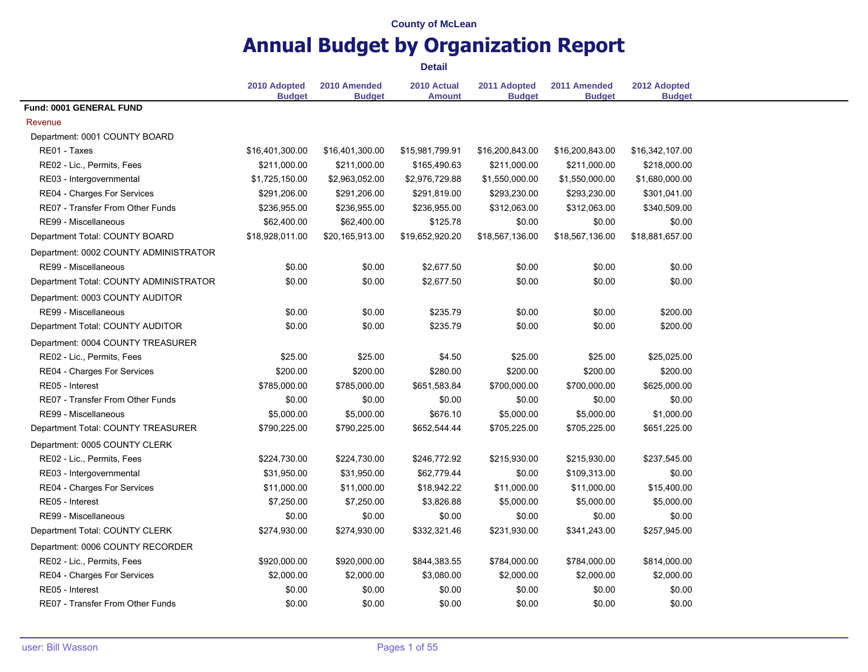|                                        |                               |                               | <b>Detail</b>                |                               |                               |                               |
|----------------------------------------|-------------------------------|-------------------------------|------------------------------|-------------------------------|-------------------------------|-------------------------------|
|                                        | 2010 Adopted<br><b>Budget</b> | 2010 Amended<br><b>Budget</b> | 2010 Actual<br><b>Amount</b> | 2011 Adopted<br><b>Budget</b> | 2011 Amended<br><b>Budget</b> | 2012 Adopted<br><b>Budget</b> |
| <b>Fund: 0001 GENERAL FUND</b>         |                               |                               |                              |                               |                               |                               |
| Revenue                                |                               |                               |                              |                               |                               |                               |
| Department: 0001 COUNTY BOARD          |                               |                               |                              |                               |                               |                               |
| RE01 - Taxes                           | \$16,401,300.00               | \$16,401,300.00               | \$15,981,799.91              | \$16,200,843.00               | \$16,200,843.00               | \$16,342,107.00               |
| RE02 - Lic., Permits, Fees             | \$211,000.00                  | \$211,000.00                  | \$165,490.63                 | \$211,000.00                  | \$211,000.00                  | \$218,000.00                  |
| RE03 - Intergovernmental               | \$1,725,150.00                | \$2,963,052.00                | \$2,976,729.88               | \$1,550,000.00                | \$1,550,000.00                | \$1,680,000.00                |
| RE04 - Charges For Services            | \$291,206.00                  | \$291,206.00                  | \$291,819.00                 | \$293,230.00                  | \$293,230.00                  | \$301,041.00                  |
| RE07 - Transfer From Other Funds       | \$236,955.00                  | \$236,955.00                  | \$236,955.00                 | \$312,063.00                  | \$312,063.00                  | \$340,509.00                  |
| RE99 - Miscellaneous                   | \$62,400.00                   | \$62,400.00                   | \$125.78                     | \$0.00                        | \$0.00                        | \$0.00                        |
| Department Total: COUNTY BOARD         | \$18,928,011.00               | \$20,165,913.00               | \$19,652,920.20              | \$18,567,136.00               | \$18,567,136.00               | \$18,881,657.00               |
| Department: 0002 COUNTY ADMINISTRATOR  |                               |                               |                              |                               |                               |                               |
| RE99 - Miscellaneous                   | \$0.00                        | \$0.00                        | \$2,677.50                   | \$0.00                        | \$0.00                        | \$0.00                        |
| Department Total: COUNTY ADMINISTRATOR | \$0.00                        | \$0.00                        | \$2,677.50                   | \$0.00                        | \$0.00                        | \$0.00                        |
| Department: 0003 COUNTY AUDITOR        |                               |                               |                              |                               |                               |                               |
| RE99 - Miscellaneous                   | \$0.00                        | \$0.00                        | \$235.79                     | \$0.00                        | \$0.00                        | \$200.00                      |
| Department Total: COUNTY AUDITOR       | \$0.00                        | \$0.00                        | \$235.79                     | \$0.00                        | \$0.00                        | \$200.00                      |
| Department: 0004 COUNTY TREASURER      |                               |                               |                              |                               |                               |                               |
| RE02 - Lic., Permits, Fees             | \$25.00                       | \$25.00                       | \$4.50                       | \$25.00                       | \$25.00                       | \$25,025.00                   |
| RE04 - Charges For Services            | \$200.00                      | \$200.00                      | \$280.00                     | \$200.00                      | \$200.00                      | \$200.00                      |
| RE05 - Interest                        | \$785,000.00                  | \$785,000.00                  | \$651,583.84                 | \$700,000.00                  | \$700,000.00                  | \$625,000.00                  |
| RE07 - Transfer From Other Funds       | \$0.00                        | \$0.00                        | \$0.00                       | \$0.00                        | \$0.00                        | \$0.00                        |
| RE99 - Miscellaneous                   | \$5,000.00                    | \$5,000.00                    | \$676.10                     | \$5,000.00                    | \$5,000.00                    | \$1,000.00                    |
| Department Total: COUNTY TREASURER     | \$790,225.00                  | \$790,225.00                  | \$652,544.44                 | \$705,225.00                  | \$705,225.00                  | \$651,225.00                  |
| Department: 0005 COUNTY CLERK          |                               |                               |                              |                               |                               |                               |
| RE02 - Lic., Permits, Fees             | \$224,730.00                  | \$224,730.00                  | \$246,772.92                 | \$215,930.00                  | \$215,930.00                  | \$237,545.00                  |
| RE03 - Intergovernmental               | \$31,950.00                   | \$31,950.00                   | \$62,779.44                  | \$0.00                        | \$109,313.00                  | \$0.00                        |
| RE04 - Charges For Services            | \$11,000.00                   | \$11,000.00                   | \$18,942.22                  | \$11,000.00                   | \$11,000.00                   | \$15,400.00                   |
| RE05 - Interest                        | \$7,250.00                    | \$7,250.00                    | \$3,826.88                   | \$5,000.00                    | \$5,000.00                    | \$5,000.00                    |
| RE99 - Miscellaneous                   | \$0.00                        | \$0.00                        | \$0.00                       | \$0.00                        | \$0.00                        | \$0.00                        |
| Department Total: COUNTY CLERK         | \$274,930.00                  | \$274,930.00                  | \$332,321.46                 | \$231,930.00                  | \$341,243.00                  | \$257,945.00                  |
| Department: 0006 COUNTY RECORDER       |                               |                               |                              |                               |                               |                               |
| RE02 - Lic., Permits, Fees             | \$920,000.00                  | \$920,000.00                  | \$844,383.55                 | \$784,000.00                  | \$784,000.00                  | \$814,000.00                  |
| RE04 - Charges For Services            | \$2,000.00                    | \$2,000.00                    | \$3,080.00                   | \$2,000.00                    | \$2,000.00                    | \$2,000.00                    |
| RE05 - Interest                        | \$0.00                        | \$0.00                        | \$0.00                       | \$0.00                        | \$0.00                        | \$0.00                        |
| RE07 - Transfer From Other Funds       | \$0.00                        | \$0.00                        | \$0.00                       | \$0.00                        | \$0.00                        | \$0.00                        |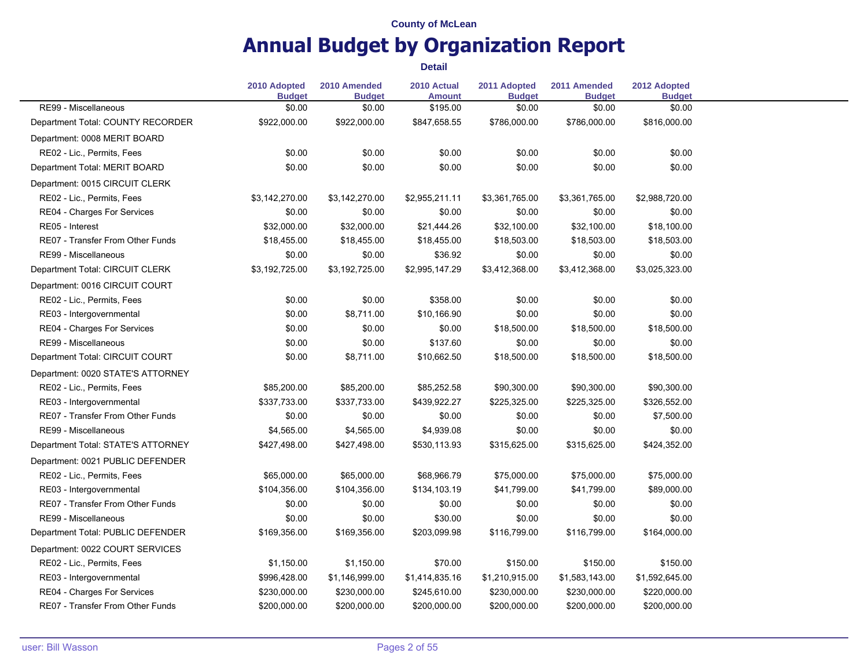# **Annual Budget by Organization Report**

|                                    | 2010 Adopted<br><b>Budget</b> | 2010 Amended<br><b>Budget</b> | 2010 Actual<br><b>Amount</b> | 2011 Adopted<br><b>Budget</b> | 2011 Amended<br><b>Budget</b> | 2012 Adopted<br><b>Budget</b> |
|------------------------------------|-------------------------------|-------------------------------|------------------------------|-------------------------------|-------------------------------|-------------------------------|
| RE99 - Miscellaneous               | \$0.00                        | \$0.00                        | \$195.00                     | \$0.00                        | \$0.00                        | \$0.00                        |
| Department Total: COUNTY RECORDER  | \$922,000.00                  | \$922,000.00                  | \$847,658.55                 | \$786,000.00                  | \$786,000.00                  | \$816,000.00                  |
| Department: 0008 MERIT BOARD       |                               |                               |                              |                               |                               |                               |
| RE02 - Lic., Permits, Fees         | \$0.00                        | \$0.00                        | \$0.00                       | \$0.00                        | \$0.00                        | \$0.00                        |
| Department Total: MERIT BOARD      | \$0.00                        | \$0.00                        | \$0.00                       | \$0.00                        | \$0.00                        | \$0.00                        |
| Department: 0015 CIRCUIT CLERK     |                               |                               |                              |                               |                               |                               |
| RE02 - Lic., Permits, Fees         | \$3,142,270.00                | \$3,142,270.00                | \$2,955,211.11               | \$3,361,765.00                | \$3,361,765.00                | \$2,988,720.00                |
| RE04 - Charges For Services        | \$0.00                        | \$0.00                        | \$0.00                       | \$0.00                        | \$0.00                        | \$0.00                        |
| RE05 - Interest                    | \$32,000.00                   | \$32,000.00                   | \$21,444.26                  | \$32,100.00                   | \$32,100.00                   | \$18,100.00                   |
| RE07 - Transfer From Other Funds   | \$18,455.00                   | \$18,455.00                   | \$18,455.00                  | \$18,503.00                   | \$18,503.00                   | \$18,503.00                   |
| RE99 - Miscellaneous               | \$0.00                        | \$0.00                        | \$36.92                      | \$0.00                        | \$0.00                        | \$0.00                        |
| Department Total: CIRCUIT CLERK    | \$3,192,725.00                | \$3,192,725.00                | \$2,995,147.29               | \$3,412,368.00                | \$3,412,368.00                | \$3,025,323.00                |
| Department: 0016 CIRCUIT COURT     |                               |                               |                              |                               |                               |                               |
| RE02 - Lic., Permits, Fees         | \$0.00                        | \$0.00                        | \$358.00                     | \$0.00                        | \$0.00                        | \$0.00                        |
| RE03 - Intergovernmental           | \$0.00                        | \$8,711.00                    | \$10,166.90                  | \$0.00                        | \$0.00                        | \$0.00                        |
| RE04 - Charges For Services        | \$0.00                        | \$0.00                        | \$0.00                       | \$18,500.00                   | \$18,500.00                   | \$18,500.00                   |
| RE99 - Miscellaneous               | \$0.00                        | \$0.00                        | \$137.60                     | \$0.00                        | \$0.00                        | \$0.00                        |
| Department Total: CIRCUIT COURT    | \$0.00                        | \$8,711.00                    | \$10,662.50                  | \$18,500.00                   | \$18,500.00                   | \$18,500.00                   |
| Department: 0020 STATE'S ATTORNEY  |                               |                               |                              |                               |                               |                               |
| RE02 - Lic., Permits, Fees         | \$85,200.00                   | \$85,200.00                   | \$85,252.58                  | \$90,300.00                   | \$90,300.00                   | \$90,300.00                   |
| RE03 - Intergovernmental           | \$337,733.00                  | \$337,733.00                  | \$439,922.27                 | \$225,325.00                  | \$225,325.00                  | \$326,552.00                  |
| RE07 - Transfer From Other Funds   | \$0.00                        | \$0.00                        | \$0.00                       | \$0.00                        | \$0.00                        | \$7,500.00                    |
| RE99 - Miscellaneous               | \$4,565.00                    | \$4,565.00                    | \$4,939.08                   | \$0.00                        | \$0.00                        | \$0.00                        |
| Department Total: STATE'S ATTORNEY | \$427,498.00                  | \$427,498.00                  | \$530,113.93                 | \$315,625.00                  | \$315,625.00                  | \$424,352.00                  |
| Department: 0021 PUBLIC DEFENDER   |                               |                               |                              |                               |                               |                               |
| RE02 - Lic., Permits, Fees         | \$65,000.00                   | \$65,000.00                   | \$68,966.79                  | \$75,000.00                   | \$75,000.00                   | \$75,000.00                   |
| RE03 - Intergovernmental           | \$104,356.00                  | \$104,356.00                  | \$134,103.19                 | \$41,799.00                   | \$41,799.00                   | \$89,000.00                   |
| RE07 - Transfer From Other Funds   | \$0.00                        | \$0.00                        | \$0.00                       | \$0.00                        | \$0.00                        | \$0.00                        |
| RE99 - Miscellaneous               | \$0.00                        | \$0.00                        | \$30.00                      | \$0.00                        | \$0.00                        | \$0.00                        |
| Department Total: PUBLIC DEFENDER  | \$169,356.00                  | \$169,356.00                  | \$203,099.98                 | \$116,799.00                  | \$116,799.00                  | \$164,000.00                  |
| Department: 0022 COURT SERVICES    |                               |                               |                              |                               |                               |                               |
| RE02 - Lic., Permits, Fees         | \$1,150.00                    | \$1,150.00                    | \$70.00                      | \$150.00                      | \$150.00                      | \$150.00                      |
| RE03 - Intergovernmental           | \$996,428.00                  | \$1,146,999.00                | \$1,414,835.16               | \$1,210,915.00                | \$1,583,143.00                | \$1,592,645.00                |
| RE04 - Charges For Services        | \$230,000.00                  | \$230,000.00                  | \$245,610.00                 | \$230,000.00                  | \$230,000.00                  | \$220,000.00                  |
| RE07 - Transfer From Other Funds   | \$200,000.00                  | \$200,000.00                  | \$200,000.00                 | \$200,000.00                  | \$200,000.00                  | \$200,000.00                  |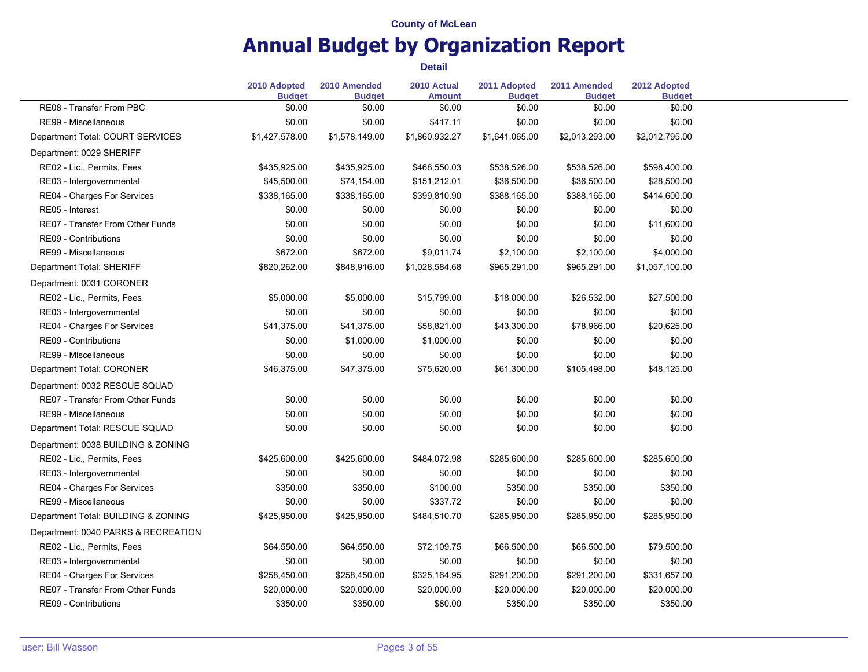# **Annual Budget by Organization Report**

|                                     | 2010 Adopted<br><b>Budget</b> | 2010 Amended<br><b>Budget</b> | 2010 Actual<br><b>Amount</b> | 2011 Adopted<br><b>Budget</b> | 2011 Amended<br><b>Budget</b> | 2012 Adopted<br><b>Budget</b> |
|-------------------------------------|-------------------------------|-------------------------------|------------------------------|-------------------------------|-------------------------------|-------------------------------|
| RE08 - Transfer From PBC            | \$0.00                        | \$0.00                        | \$0.00                       | \$0.00                        | \$0.00                        | \$0.00                        |
| RE99 - Miscellaneous                | \$0.00                        | \$0.00                        | \$417.11                     | \$0.00                        | \$0.00                        | \$0.00                        |
| Department Total: COURT SERVICES    | \$1,427,578.00                | \$1,578,149.00                | \$1,860,932.27               | \$1,641,065.00                | \$2,013,293.00                | \$2,012,795.00                |
| Department: 0029 SHERIFF            |                               |                               |                              |                               |                               |                               |
| RE02 - Lic., Permits, Fees          | \$435,925.00                  | \$435,925.00                  | \$468,550.03                 | \$538,526.00                  | \$538,526.00                  | \$598,400.00                  |
| RE03 - Intergovernmental            | \$45,500.00                   | \$74,154.00                   | \$151,212.01                 | \$36,500.00                   | \$36,500.00                   | \$28,500.00                   |
| RE04 - Charges For Services         | \$338,165.00                  | \$338,165.00                  | \$399,810.90                 | \$388,165.00                  | \$388,165.00                  | \$414,600.00                  |
| RE05 - Interest                     | \$0.00                        | \$0.00                        | \$0.00                       | \$0.00                        | \$0.00                        | \$0.00                        |
| RE07 - Transfer From Other Funds    | \$0.00                        | \$0.00                        | \$0.00                       | \$0.00                        | \$0.00                        | \$11,600.00                   |
| RE09 - Contributions                | \$0.00                        | \$0.00                        | \$0.00                       | \$0.00                        | \$0.00                        | \$0.00                        |
| RE99 - Miscellaneous                | \$672.00                      | \$672.00                      | \$9,011.74                   | \$2,100.00                    | \$2,100.00                    | \$4,000.00                    |
| Department Total: SHERIFF           | \$820,262.00                  | \$848,916.00                  | \$1,028,584.68               | \$965,291.00                  | \$965,291.00                  | \$1,057,100.00                |
| Department: 0031 CORONER            |                               |                               |                              |                               |                               |                               |
| RE02 - Lic., Permits, Fees          | \$5,000.00                    | \$5,000.00                    | \$15,799.00                  | \$18,000.00                   | \$26,532.00                   | \$27,500.00                   |
| RE03 - Intergovernmental            | \$0.00                        | \$0.00                        | \$0.00                       | \$0.00                        | \$0.00                        | \$0.00                        |
| RE04 - Charges For Services         | \$41,375.00                   | \$41,375.00                   | \$58,821.00                  | \$43,300.00                   | \$78,966.00                   | \$20,625.00                   |
| RE09 - Contributions                | \$0.00                        | \$1,000.00                    | \$1,000.00                   | \$0.00                        | \$0.00                        | \$0.00                        |
| RE99 - Miscellaneous                | \$0.00                        | \$0.00                        | \$0.00                       | \$0.00                        | \$0.00                        | \$0.00                        |
| Department Total: CORONER           | \$46,375.00                   | \$47,375.00                   | \$75,620.00                  | \$61,300.00                   | \$105,498.00                  | \$48,125.00                   |
| Department: 0032 RESCUE SQUAD       |                               |                               |                              |                               |                               |                               |
| RE07 - Transfer From Other Funds    | \$0.00                        | \$0.00                        | \$0.00                       | \$0.00                        | \$0.00                        | \$0.00                        |
| RE99 - Miscellaneous                | \$0.00                        | \$0.00                        | \$0.00                       | \$0.00                        | \$0.00                        | \$0.00                        |
| Department Total: RESCUE SQUAD      | \$0.00                        | \$0.00                        | \$0.00                       | \$0.00                        | \$0.00                        | \$0.00                        |
| Department: 0038 BUILDING & ZONING  |                               |                               |                              |                               |                               |                               |
| RE02 - Lic., Permits, Fees          | \$425,600.00                  | \$425,600.00                  | \$484,072.98                 | \$285,600.00                  | \$285,600.00                  | \$285,600.00                  |
| RE03 - Intergovernmental            | \$0.00                        | \$0.00                        | \$0.00                       | \$0.00                        | \$0.00                        | \$0.00                        |
| RE04 - Charges For Services         | \$350.00                      | \$350.00                      | \$100.00                     | \$350.00                      | \$350.00                      | \$350.00                      |
| RE99 - Miscellaneous                | \$0.00                        | \$0.00                        | \$337.72                     | \$0.00                        | \$0.00                        | \$0.00                        |
| Department Total: BUILDING & ZONING | \$425,950.00                  | \$425,950.00                  | \$484,510.70                 | \$285,950.00                  | \$285,950.00                  | \$285,950.00                  |
| Department: 0040 PARKS & RECREATION |                               |                               |                              |                               |                               |                               |
| RE02 - Lic., Permits, Fees          | \$64,550.00                   | \$64,550.00                   | \$72,109.75                  | \$66,500.00                   | \$66,500.00                   | \$79,500.00                   |
| RE03 - Intergovernmental            | \$0.00                        | \$0.00                        | \$0.00                       | \$0.00                        | \$0.00                        | \$0.00                        |
| RE04 - Charges For Services         | \$258,450.00                  | \$258,450.00                  | \$325,164.95                 | \$291,200.00                  | \$291,200.00                  | \$331,657.00                  |
| RE07 - Transfer From Other Funds    | \$20,000.00                   | \$20,000.00                   | \$20,000.00                  | \$20,000.00                   | \$20,000.00                   | \$20,000.00                   |
| RE09 - Contributions                | \$350.00                      | \$350.00                      | \$80.00                      | \$350.00                      | \$350.00                      | \$350.00                      |
|                                     |                               |                               |                              |                               |                               |                               |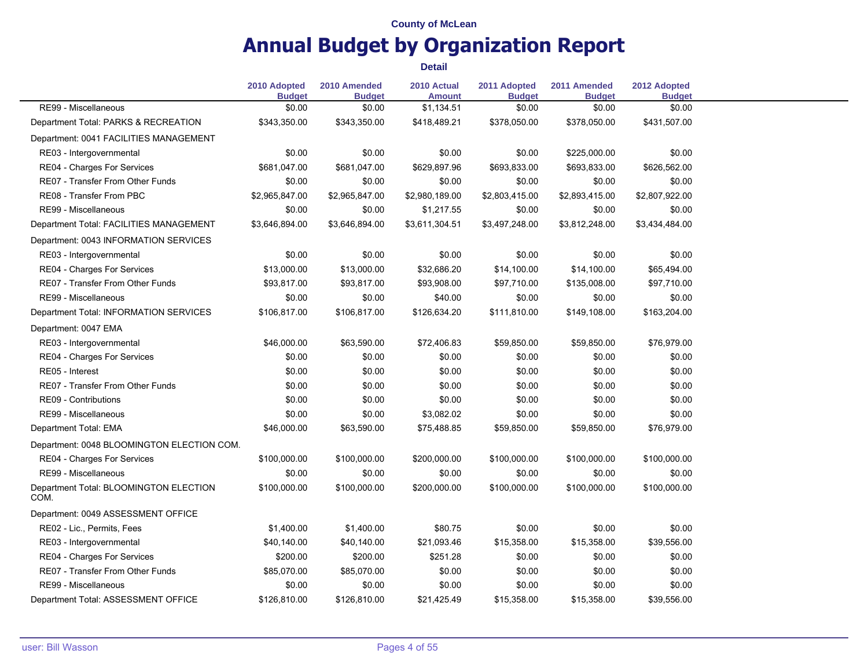# **Annual Budget by Organization Report**

|                                                | 2010 Adopted<br><b>Budget</b> | 2010 Amended<br><b>Budget</b> | 2010 Actual<br><b>Amount</b> | 2011 Adopted<br><b>Budget</b> | 2011 Amended<br><b>Budget</b> | 2012 Adopted<br><b>Budget</b> |
|------------------------------------------------|-------------------------------|-------------------------------|------------------------------|-------------------------------|-------------------------------|-------------------------------|
| RE99 - Miscellaneous                           | \$0.00                        | \$0.00                        | \$1,134.51                   | \$0.00                        | \$0.00                        | \$0.00                        |
| Department Total: PARKS & RECREATION           | \$343,350.00                  | \$343,350.00                  | \$418,489.21                 | \$378,050.00                  | \$378,050.00                  | \$431,507.00                  |
| Department: 0041 FACILITIES MANAGEMENT         |                               |                               |                              |                               |                               |                               |
| RE03 - Intergovernmental                       | \$0.00                        | \$0.00                        | \$0.00                       | \$0.00                        | \$225,000.00                  | \$0.00                        |
| RE04 - Charges For Services                    | \$681,047.00                  | \$681,047.00                  | \$629,897.96                 | \$693,833.00                  | \$693,833.00                  | \$626,562.00                  |
| RE07 - Transfer From Other Funds               | \$0.00                        | \$0.00                        | \$0.00                       | \$0.00                        | \$0.00                        | \$0.00                        |
| RE08 - Transfer From PBC                       | \$2,965,847.00                | \$2,965,847.00                | \$2,980,189.00               | \$2,803,415.00                | \$2,893,415.00                | \$2,807,922.00                |
| RE99 - Miscellaneous                           | \$0.00                        | \$0.00                        | \$1,217.55                   | \$0.00                        | \$0.00                        | \$0.00                        |
| Department Total: FACILITIES MANAGEMENT        | \$3,646,894.00                | \$3,646,894.00                | \$3,611,304.51               | \$3,497,248.00                | \$3,812,248.00                | \$3,434,484.00                |
| Department: 0043 INFORMATION SERVICES          |                               |                               |                              |                               |                               |                               |
| RE03 - Intergovernmental                       | \$0.00                        | \$0.00                        | \$0.00                       | \$0.00                        | \$0.00                        | \$0.00                        |
| RE04 - Charges For Services                    | \$13,000.00                   | \$13,000.00                   | \$32,686.20                  | \$14,100.00                   | \$14,100.00                   | \$65,494.00                   |
| RE07 - Transfer From Other Funds               | \$93,817.00                   | \$93,817.00                   | \$93,908.00                  | \$97,710.00                   | \$135,008.00                  | \$97,710.00                   |
| RE99 - Miscellaneous                           | \$0.00                        | \$0.00                        | \$40.00                      | \$0.00                        | \$0.00                        | \$0.00                        |
| Department Total: INFORMATION SERVICES         | \$106,817.00                  | \$106,817.00                  | \$126,634.20                 | \$111,810.00                  | \$149,108.00                  | \$163,204.00                  |
| Department: 0047 EMA                           |                               |                               |                              |                               |                               |                               |
| RE03 - Intergovernmental                       | \$46,000.00                   | \$63,590.00                   | \$72,406.83                  | \$59,850.00                   | \$59,850.00                   | \$76,979.00                   |
| RE04 - Charges For Services                    | \$0.00                        | \$0.00                        | \$0.00                       | \$0.00                        | \$0.00                        | \$0.00                        |
| RE05 - Interest                                | \$0.00                        | \$0.00                        | \$0.00                       | \$0.00                        | \$0.00                        | \$0.00                        |
| RE07 - Transfer From Other Funds               | \$0.00                        | \$0.00                        | \$0.00                       | \$0.00                        | \$0.00                        | \$0.00                        |
| RE09 - Contributions                           | \$0.00                        | \$0.00                        | \$0.00                       | \$0.00                        | \$0.00                        | \$0.00                        |
| RE99 - Miscellaneous                           | \$0.00                        | \$0.00                        | \$3,082.02                   | \$0.00                        | \$0.00                        | \$0.00                        |
| Department Total: EMA                          | \$46,000.00                   | \$63,590.00                   | \$75,488.85                  | \$59,850.00                   | \$59,850.00                   | \$76,979.00                   |
| Department: 0048 BLOOMINGTON ELECTION COM.     |                               |                               |                              |                               |                               |                               |
| RE04 - Charges For Services                    | \$100,000.00                  | \$100,000.00                  | \$200,000.00                 | \$100,000.00                  | \$100,000.00                  | \$100,000.00                  |
| RE99 - Miscellaneous                           | \$0.00                        | \$0.00                        | \$0.00                       | \$0.00                        | \$0.00                        | \$0.00                        |
| Department Total: BLOOMINGTON ELECTION<br>COM. | \$100,000.00                  | \$100,000.00                  | \$200,000.00                 | \$100,000.00                  | \$100,000.00                  | \$100,000.00                  |
| Department: 0049 ASSESSMENT OFFICE             |                               |                               |                              |                               |                               |                               |
| RE02 - Lic., Permits, Fees                     | \$1,400.00                    | \$1,400.00                    | \$80.75                      | \$0.00                        | \$0.00                        | \$0.00                        |
| RE03 - Intergovernmental                       | \$40,140.00                   | \$40,140.00                   | \$21,093.46                  | \$15,358.00                   | \$15,358.00                   | \$39,556.00                   |
| RE04 - Charges For Services                    | \$200.00                      | \$200.00                      | \$251.28                     | \$0.00                        | \$0.00                        | \$0.00                        |
| RE07 - Transfer From Other Funds               | \$85,070.00                   | \$85,070.00                   | \$0.00                       | \$0.00                        | \$0.00                        | \$0.00                        |
| RE99 - Miscellaneous                           | \$0.00                        | \$0.00                        | \$0.00                       | \$0.00                        | \$0.00                        | \$0.00                        |
| Department Total: ASSESSMENT OFFICE            | \$126,810.00                  | \$126,810.00                  | \$21,425.49                  | \$15,358.00                   | \$15,358.00                   | \$39,556.00                   |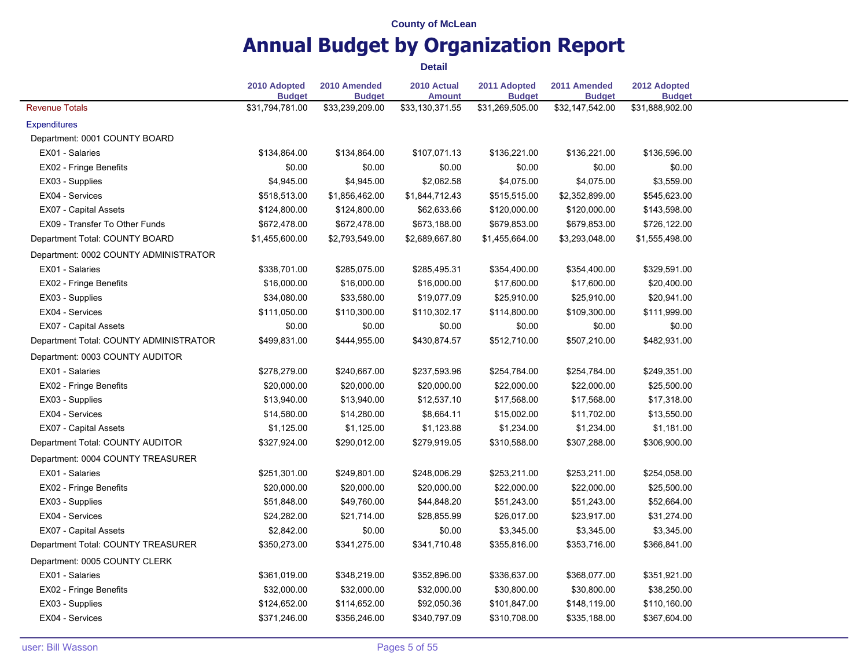# **Annual Budget by Organization Report**

|                                        | 2010 Adopted<br><b>Budget</b> | 2010 Amended<br><b>Budget</b> | 2010 Actual<br><b>Amount</b> | 2011 Adopted<br><b>Budget</b> | 2011 Amended<br><b>Budget</b> | 2012 Adopted<br><b>Budget</b> |
|----------------------------------------|-------------------------------|-------------------------------|------------------------------|-------------------------------|-------------------------------|-------------------------------|
| <b>Revenue Totals</b>                  | \$31,794,781.00               | \$33,239,209.00               | \$33,130,371.55              | \$31,269,505.00               | \$32,147,542.00               | \$31,888,902.00               |
| <b>Expenditures</b>                    |                               |                               |                              |                               |                               |                               |
| Department: 0001 COUNTY BOARD          |                               |                               |                              |                               |                               |                               |
| EX01 - Salaries                        | \$134,864.00                  | \$134,864.00                  | \$107,071.13                 | \$136,221.00                  | \$136,221.00                  | \$136,596.00                  |
| EX02 - Fringe Benefits                 | \$0.00                        | \$0.00                        | \$0.00                       | \$0.00                        | \$0.00                        | \$0.00                        |
| EX03 - Supplies                        | \$4,945.00                    | \$4,945.00                    | \$2,062.58                   | \$4,075.00                    | \$4,075.00                    | \$3,559.00                    |
| EX04 - Services                        | \$518,513.00                  | \$1,856,462.00                | \$1,844,712.43               | \$515,515.00                  | \$2,352,899.00                | \$545,623.00                  |
| <b>EX07 - Capital Assets</b>           | \$124,800.00                  | \$124,800.00                  | \$62,633.66                  | \$120,000.00                  | \$120,000.00                  | \$143,598.00                  |
| EX09 - Transfer To Other Funds         | \$672,478.00                  | \$672,478.00                  | \$673,188.00                 | \$679,853.00                  | \$679,853.00                  | \$726,122.00                  |
| Department Total: COUNTY BOARD         | \$1,455,600.00                | \$2,793,549.00                | \$2,689,667.80               | \$1,455,664.00                | \$3,293,048.00                | \$1,555,498.00                |
| Department: 0002 COUNTY ADMINISTRATOR  |                               |                               |                              |                               |                               |                               |
| EX01 - Salaries                        | \$338,701.00                  | \$285,075.00                  | \$285,495.31                 | \$354,400.00                  | \$354,400.00                  | \$329,591.00                  |
| EX02 - Fringe Benefits                 | \$16,000.00                   | \$16,000.00                   | \$16,000.00                  | \$17,600.00                   | \$17,600.00                   | \$20,400.00                   |
| EX03 - Supplies                        | \$34,080.00                   | \$33,580.00                   | \$19,077.09                  | \$25,910.00                   | \$25,910.00                   | \$20,941.00                   |
| EX04 - Services                        | \$111,050.00                  | \$110,300.00                  | \$110,302.17                 | \$114,800.00                  | \$109,300.00                  | \$111,999.00                  |
| EX07 - Capital Assets                  | \$0.00                        | \$0.00                        | \$0.00                       | \$0.00                        | \$0.00                        | \$0.00                        |
| Department Total: COUNTY ADMINISTRATOR | \$499,831.00                  | \$444,955.00                  | \$430,874.57                 | \$512,710.00                  | \$507,210.00                  | \$482,931.00                  |
| Department: 0003 COUNTY AUDITOR        |                               |                               |                              |                               |                               |                               |
| EX01 - Salaries                        | \$278,279.00                  | \$240,667.00                  | \$237,593.96                 | \$254,784.00                  | \$254,784.00                  | \$249,351.00                  |
| EX02 - Fringe Benefits                 | \$20,000.00                   | \$20,000.00                   | \$20,000.00                  | \$22,000.00                   | \$22,000.00                   | \$25,500.00                   |
| EX03 - Supplies                        | \$13,940.00                   | \$13,940.00                   | \$12,537.10                  | \$17,568.00                   | \$17,568.00                   | \$17,318.00                   |
| EX04 - Services                        | \$14,580.00                   | \$14,280.00                   | \$8,664.11                   | \$15,002.00                   | \$11,702.00                   | \$13,550.00                   |
| EX07 - Capital Assets                  | \$1,125.00                    | \$1,125.00                    | \$1,123.88                   | \$1,234.00                    | \$1,234.00                    | \$1,181.00                    |
| Department Total: COUNTY AUDITOR       | \$327,924.00                  | \$290,012.00                  | \$279,919.05                 | \$310,588.00                  | \$307,288.00                  | \$306,900.00                  |
| Department: 0004 COUNTY TREASURER      |                               |                               |                              |                               |                               |                               |
| EX01 - Salaries                        | \$251,301.00                  | \$249,801.00                  | \$248,006.29                 | \$253,211.00                  | \$253,211.00                  | \$254,058.00                  |
| EX02 - Fringe Benefits                 | \$20,000.00                   | \$20,000.00                   | \$20,000.00                  | \$22,000.00                   | \$22,000.00                   | \$25,500.00                   |
| EX03 - Supplies                        | \$51,848.00                   | \$49,760.00                   | \$44,848.20                  | \$51,243.00                   | \$51,243.00                   | \$52,664.00                   |
| EX04 - Services                        | \$24,282.00                   | \$21,714.00                   | \$28,855.99                  | \$26,017.00                   | \$23,917.00                   | \$31,274.00                   |
| EX07 - Capital Assets                  | \$2,842.00                    | \$0.00                        | \$0.00                       | \$3,345.00                    | \$3,345.00                    | \$3,345.00                    |
| Department Total: COUNTY TREASURER     | \$350,273.00                  | \$341,275.00                  | \$341,710.48                 | \$355,816.00                  | \$353,716.00                  | \$366,841.00                  |
| Department: 0005 COUNTY CLERK          |                               |                               |                              |                               |                               |                               |
| EX01 - Salaries                        | \$361,019.00                  | \$348,219.00                  | \$352,896.00                 | \$336,637.00                  | \$368,077.00                  | \$351,921.00                  |
| EX02 - Fringe Benefits                 | \$32,000.00                   | \$32,000.00                   | \$32,000.00                  | \$30,800.00                   | \$30,800.00                   | \$38,250.00                   |
| EX03 - Supplies                        | \$124,652.00                  | \$114,652.00                  | \$92,050.36                  | \$101,847.00                  | \$148,119.00                  | \$110,160.00                  |
| EX04 - Services                        | \$371,246.00                  | \$356,246.00                  | \$340,797.09                 | \$310,708.00                  | \$335,188.00                  | \$367,604.00                  |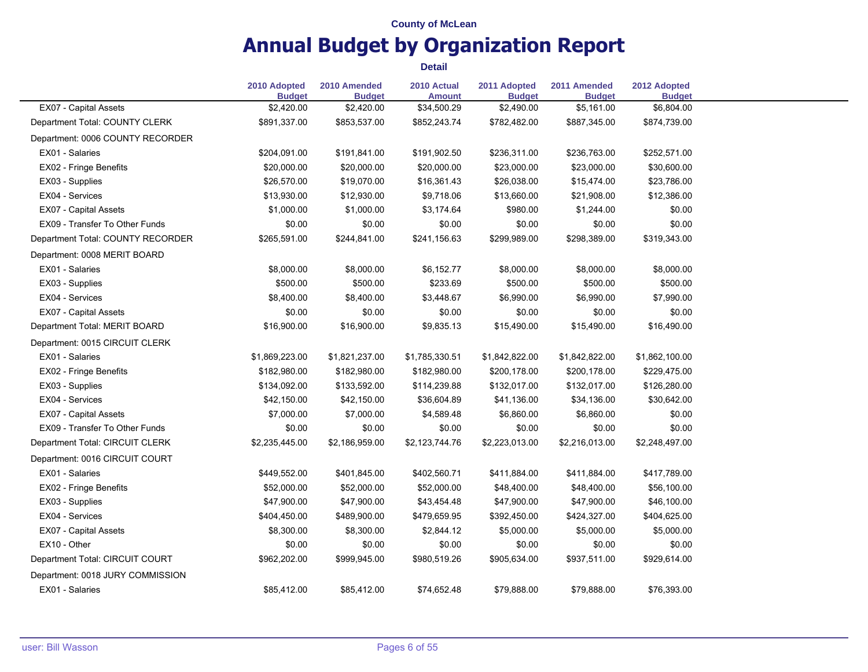# **Annual Budget by Organization Report**

|                                   | 2010 Adopted<br><b>Budget</b> | 2010 Amended<br><b>Budget</b> | 2010 Actual<br><b>Amount</b> | 2011 Adopted<br><b>Budget</b> | 2011 Amended<br><b>Budget</b> | 2012 Adopted<br><b>Budget</b> |
|-----------------------------------|-------------------------------|-------------------------------|------------------------------|-------------------------------|-------------------------------|-------------------------------|
| EX07 - Capital Assets             | \$2,420.00                    | \$2,420.00                    | \$34,500.29                  | \$2,490.00                    | \$5,161.00                    | \$6,804.00                    |
| Department Total: COUNTY CLERK    | \$891,337.00                  | \$853,537.00                  | \$852,243.74                 | \$782,482.00                  | \$887,345.00                  | \$874,739.00                  |
| Department: 0006 COUNTY RECORDER  |                               |                               |                              |                               |                               |                               |
| EX01 - Salaries                   | \$204,091.00                  | \$191,841.00                  | \$191,902.50                 | \$236,311.00                  | \$236,763.00                  | \$252,571.00                  |
| EX02 - Fringe Benefits            | \$20,000.00                   | \$20,000.00                   | \$20,000.00                  | \$23,000.00                   | \$23,000.00                   | \$30,600.00                   |
| EX03 - Supplies                   | \$26,570.00                   | \$19,070.00                   | \$16,361.43                  | \$26,038.00                   | \$15,474.00                   | \$23,786.00                   |
| EX04 - Services                   | \$13,930.00                   | \$12,930.00                   | \$9,718.06                   | \$13,660.00                   | \$21,908.00                   | \$12,386.00                   |
| EX07 - Capital Assets             | \$1,000.00                    | \$1,000.00                    | \$3,174.64                   | \$980.00                      | \$1,244.00                    | \$0.00                        |
| EX09 - Transfer To Other Funds    | \$0.00                        | \$0.00                        | \$0.00                       | \$0.00                        | \$0.00                        | \$0.00                        |
| Department Total: COUNTY RECORDER | \$265,591.00                  | \$244,841.00                  | \$241,156.63                 | \$299,989.00                  | \$298,389.00                  | \$319,343.00                  |
| Department: 0008 MERIT BOARD      |                               |                               |                              |                               |                               |                               |
| EX01 - Salaries                   | \$8,000.00                    | \$8,000.00                    | \$6,152.77                   | \$8,000.00                    | \$8,000.00                    | \$8,000.00                    |
| EX03 - Supplies                   | \$500.00                      | \$500.00                      | \$233.69                     | \$500.00                      | \$500.00                      | \$500.00                      |
| EX04 - Services                   | \$8,400.00                    | \$8,400.00                    | \$3,448.67                   | \$6,990.00                    | \$6,990.00                    | \$7,990.00                    |
| EX07 - Capital Assets             | \$0.00                        | \$0.00                        | \$0.00                       | \$0.00                        | \$0.00                        | \$0.00                        |
| Department Total: MERIT BOARD     | \$16,900.00                   | \$16,900.00                   | \$9,835.13                   | \$15,490.00                   | \$15,490.00                   | \$16,490.00                   |
| Department: 0015 CIRCUIT CLERK    |                               |                               |                              |                               |                               |                               |
| EX01 - Salaries                   | \$1,869,223.00                | \$1,821,237.00                | \$1,785,330.51               | \$1,842,822.00                | \$1,842,822.00                | \$1,862,100.00                |
| EX02 - Fringe Benefits            | \$182,980.00                  | \$182,980.00                  | \$182,980.00                 | \$200,178.00                  | \$200,178.00                  | \$229,475.00                  |
| EX03 - Supplies                   | \$134,092.00                  | \$133,592.00                  | \$114,239.88                 | \$132,017.00                  | \$132,017.00                  | \$126,280.00                  |
| EX04 - Services                   | \$42,150.00                   | \$42,150.00                   | \$36,604.89                  | \$41,136.00                   | \$34,136.00                   | \$30,642.00                   |
| EX07 - Capital Assets             | \$7,000.00                    | \$7,000.00                    | \$4,589.48                   | \$6,860.00                    | \$6,860.00                    | \$0.00                        |
| EX09 - Transfer To Other Funds    | \$0.00                        | \$0.00                        | \$0.00                       | \$0.00                        | \$0.00                        | \$0.00                        |
| Department Total: CIRCUIT CLERK   | \$2,235,445.00                | \$2,186,959.00                | \$2,123,744.76               | \$2,223,013.00                | \$2,216,013.00                | \$2,248,497.00                |
| Department: 0016 CIRCUIT COURT    |                               |                               |                              |                               |                               |                               |
| EX01 - Salaries                   | \$449,552.00                  | \$401,845.00                  | \$402,560.71                 | \$411,884.00                  | \$411,884.00                  | \$417,789.00                  |
| EX02 - Fringe Benefits            | \$52,000.00                   | \$52,000.00                   | \$52,000.00                  | \$48,400.00                   | \$48,400.00                   | \$56,100.00                   |
| EX03 - Supplies                   | \$47,900.00                   | \$47,900.00                   | \$43,454.48                  | \$47,900.00                   | \$47,900.00                   | \$46,100.00                   |
| EX04 - Services                   | \$404,450.00                  | \$489,900.00                  | \$479,659.95                 | \$392,450.00                  | \$424,327.00                  | \$404,625.00                  |
| EX07 - Capital Assets             | \$8,300.00                    | \$8,300.00                    | \$2,844.12                   | \$5,000.00                    | \$5,000.00                    | \$5,000.00                    |
| EX10 - Other                      | \$0.00                        | \$0.00                        | \$0.00                       | \$0.00                        | \$0.00                        | \$0.00                        |
| Department Total: CIRCUIT COURT   | \$962,202.00                  | \$999,945.00                  | \$980,519.26                 | \$905,634.00                  | \$937,511.00                  | \$929,614.00                  |
| Department: 0018 JURY COMMISSION  |                               |                               |                              |                               |                               |                               |
| EX01 - Salaries                   | \$85,412.00                   | \$85,412.00                   | \$74,652.48                  | \$79,888.00                   | \$79,888.00                   | \$76,393.00                   |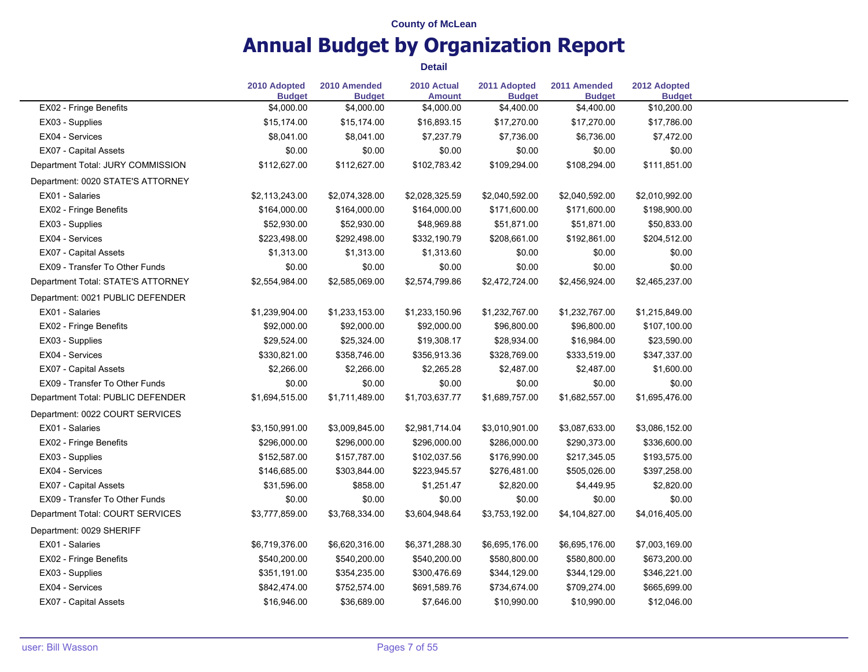### **Annual Budget by Organization Report County of McLean**

|                                    | 2010 Adopted<br><b>Budget</b> | 2010 Amended<br><b>Budget</b> | 2010 Actual<br><b>Amount</b> | 2011 Adopted<br><b>Budget</b> | 2011 Amended<br><b>Budget</b> | 2012 Adopted<br><b>Budget</b> |
|------------------------------------|-------------------------------|-------------------------------|------------------------------|-------------------------------|-------------------------------|-------------------------------|
| EX02 - Fringe Benefits             | \$4,000.00                    | \$4,000.00                    | \$4,000.00                   | \$4,400.00                    | \$4,400.00                    | \$10,200.00                   |
| EX03 - Supplies                    | \$15,174.00                   | \$15,174.00                   | \$16,893.15                  | \$17,270.00                   | \$17,270.00                   | \$17,786.00                   |
| EX04 - Services                    | \$8,041.00                    | \$8,041.00                    | \$7,237.79                   | \$7,736.00                    | \$6,736.00                    | \$7,472.00                    |
| <b>EX07 - Capital Assets</b>       | \$0.00                        | \$0.00                        | \$0.00                       | \$0.00                        | \$0.00                        | \$0.00                        |
| Department Total: JURY COMMISSION  | \$112,627.00                  | \$112,627.00                  | \$102,783.42                 | \$109,294.00                  | \$108,294.00                  | \$111,851.00                  |
| Department: 0020 STATE'S ATTORNEY  |                               |                               |                              |                               |                               |                               |
| EX01 - Salaries                    | \$2,113,243.00                | \$2,074,328.00                | \$2,028,325.59               | \$2,040,592.00                | \$2,040,592.00                | \$2,010,992.00                |
| EX02 - Fringe Benefits             | \$164,000.00                  | \$164,000.00                  | \$164,000.00                 | \$171,600.00                  | \$171,600.00                  | \$198,900.00                  |
| EX03 - Supplies                    | \$52,930.00                   | \$52,930.00                   | \$48,969.88                  | \$51,871.00                   | \$51,871.00                   | \$50,833.00                   |
| EX04 - Services                    | \$223,498.00                  | \$292,498.00                  | \$332,190.79                 | \$208,661.00                  | \$192,861.00                  | \$204,512.00                  |
| <b>EX07 - Capital Assets</b>       | \$1,313.00                    | \$1,313.00                    | \$1,313.60                   | \$0.00                        | \$0.00                        | \$0.00                        |
| EX09 - Transfer To Other Funds     | \$0.00                        | \$0.00                        | \$0.00                       | \$0.00                        | \$0.00                        | \$0.00                        |
| Department Total: STATE'S ATTORNEY | \$2,554,984.00                | \$2,585,069.00                | \$2,574,799.86               | \$2,472,724.00                | \$2,456,924.00                | \$2,465,237.00                |
| Department: 0021 PUBLIC DEFENDER   |                               |                               |                              |                               |                               |                               |
| EX01 - Salaries                    | \$1,239,904.00                | \$1,233,153.00                | \$1,233,150.96               | \$1,232,767.00                | \$1,232,767.00                | \$1,215,849.00                |
| EX02 - Fringe Benefits             | \$92,000.00                   | \$92,000.00                   | \$92,000.00                  | \$96,800.00                   | \$96,800.00                   | \$107,100.00                  |
| EX03 - Supplies                    | \$29,524.00                   | \$25,324.00                   | \$19,308.17                  | \$28,934.00                   | \$16,984.00                   | \$23,590.00                   |
| EX04 - Services                    | \$330,821.00                  | \$358,746.00                  | \$356,913.36                 | \$328,769.00                  | \$333,519.00                  | \$347,337.00                  |
| EX07 - Capital Assets              | \$2,266.00                    | \$2,266.00                    | \$2,265.28                   | \$2,487.00                    | \$2,487.00                    | \$1,600.00                    |
| EX09 - Transfer To Other Funds     | \$0.00                        | \$0.00                        | \$0.00                       | \$0.00                        | \$0.00                        | \$0.00                        |
| Department Total: PUBLIC DEFENDER  | \$1,694,515.00                | \$1,711,489.00                | \$1,703,637.77               | \$1,689,757.00                | \$1,682,557.00                | \$1,695,476.00                |
| Department: 0022 COURT SERVICES    |                               |                               |                              |                               |                               |                               |
| EX01 - Salaries                    | \$3,150,991.00                | \$3,009,845.00                | \$2,981,714.04               | \$3,010,901.00                | \$3,087,633.00                | \$3,086,152.00                |
| EX02 - Fringe Benefits             | \$296,000.00                  | \$296,000.00                  | \$296,000.00                 | \$286,000.00                  | \$290,373.00                  | \$336,600.00                  |
| EX03 - Supplies                    | \$152,587.00                  | \$157,787.00                  | \$102,037.56                 | \$176,990.00                  | \$217,345.05                  | \$193,575.00                  |
| EX04 - Services                    | \$146,685.00                  | \$303,844.00                  | \$223,945.57                 | \$276,481.00                  | \$505,026.00                  | \$397,258.00                  |
| EX07 - Capital Assets              | \$31,596.00                   | \$858.00                      | \$1,251.47                   | \$2,820.00                    | \$4,449.95                    | \$2,820.00                    |
| EX09 - Transfer To Other Funds     | \$0.00                        | \$0.00                        | \$0.00                       | \$0.00                        | \$0.00                        | \$0.00                        |
| Department Total: COURT SERVICES   | \$3,777,859.00                | \$3,768,334.00                | \$3,604,948.64               | \$3,753,192.00                | \$4,104,827.00                | \$4,016,405.00                |
| Department: 0029 SHERIFF           |                               |                               |                              |                               |                               |                               |
| EX01 - Salaries                    | \$6,719,376.00                | \$6,620,316.00                | \$6,371,288.30               | \$6,695,176.00                | \$6,695,176.00                | \$7,003,169.00                |
| EX02 - Fringe Benefits             | \$540,200.00                  | \$540,200.00                  | \$540,200.00                 | \$580,800.00                  | \$580,800.00                  | \$673,200.00                  |
| EX03 - Supplies                    | \$351,191.00                  | \$354,235.00                  | \$300,476.69                 | \$344,129.00                  | \$344,129.00                  | \$346,221.00                  |
| EX04 - Services                    | \$842,474.00                  | \$752,574.00                  | \$691,589.76                 | \$734,674.00                  | \$709,274.00                  | \$665,699.00                  |
| EX07 - Capital Assets              | \$16,946.00                   | \$36,689.00                   | \$7,646.00                   | \$10,990.00                   | \$10,990.00                   | \$12,046.00                   |
|                                    |                               |                               |                              |                               |                               |                               |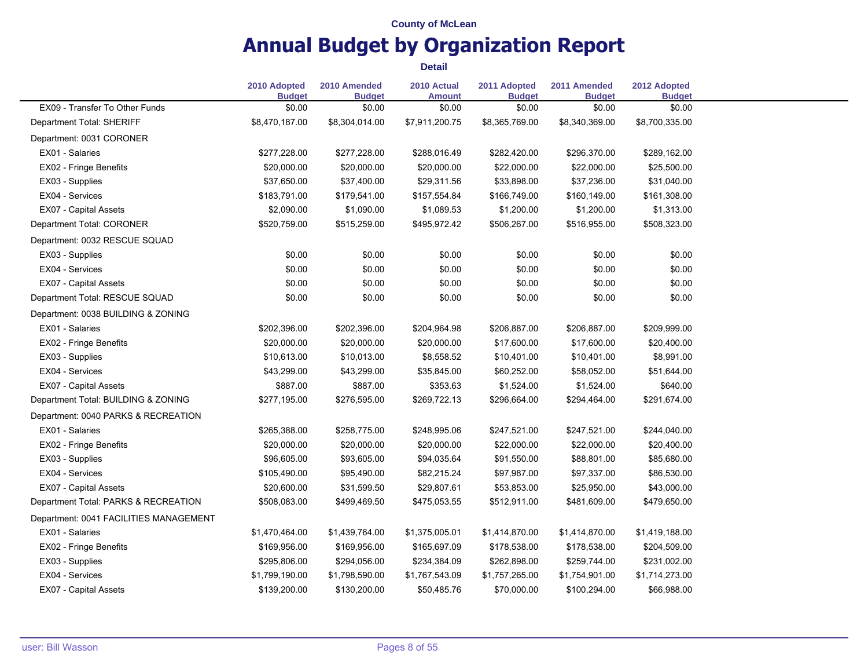# **Annual Budget by Organization Report**

|                                        | 2010 Adopted<br><b>Budget</b> | 2010 Amended<br><b>Budget</b> | 2010 Actual<br><b>Amount</b> | 2011 Adopted<br><b>Budget</b> | 2011 Amended<br><b>Budget</b> | 2012 Adopted<br><b>Budget</b> |
|----------------------------------------|-------------------------------|-------------------------------|------------------------------|-------------------------------|-------------------------------|-------------------------------|
| EX09 - Transfer To Other Funds         | \$0.00                        | \$0.00                        | \$0.00                       | \$0.00                        | \$0.00                        | \$0.00                        |
| Department Total: SHERIFF              | \$8,470,187.00                | \$8,304,014.00                | \$7,911,200.75               | \$8,365,769.00                | \$8,340,369.00                | \$8,700,335.00                |
| Department: 0031 CORONER               |                               |                               |                              |                               |                               |                               |
| EX01 - Salaries                        | \$277,228.00                  | \$277,228.00                  | \$288,016.49                 | \$282,420.00                  | \$296,370.00                  | \$289,162.00                  |
| EX02 - Fringe Benefits                 | \$20,000.00                   | \$20,000.00                   | \$20,000.00                  | \$22,000.00                   | \$22,000.00                   | \$25,500.00                   |
| EX03 - Supplies                        | \$37,650.00                   | \$37,400.00                   | \$29,311.56                  | \$33,898.00                   | \$37,236.00                   | \$31,040.00                   |
| EX04 - Services                        | \$183,791.00                  | \$179,541.00                  | \$157,554.84                 | \$166,749.00                  | \$160,149.00                  | \$161,308.00                  |
| EX07 - Capital Assets                  | \$2,090.00                    | \$1,090.00                    | \$1,089.53                   | \$1,200.00                    | \$1,200.00                    | \$1,313.00                    |
| Department Total: CORONER              | \$520,759.00                  | \$515,259.00                  | \$495,972.42                 | \$506,267.00                  | \$516,955.00                  | \$508,323.00                  |
| Department: 0032 RESCUE SQUAD          |                               |                               |                              |                               |                               |                               |
| EX03 - Supplies                        | \$0.00                        | \$0.00                        | \$0.00                       | \$0.00                        | \$0.00                        | \$0.00                        |
| EX04 - Services                        | \$0.00                        | \$0.00                        | \$0.00                       | \$0.00                        | \$0.00                        | \$0.00                        |
| EX07 - Capital Assets                  | \$0.00                        | \$0.00                        | \$0.00                       | \$0.00                        | \$0.00                        | \$0.00                        |
| Department Total: RESCUE SQUAD         | \$0.00                        | \$0.00                        | \$0.00                       | \$0.00                        | \$0.00                        | \$0.00                        |
| Department: 0038 BUILDING & ZONING     |                               |                               |                              |                               |                               |                               |
| EX01 - Salaries                        | \$202,396.00                  | \$202,396.00                  | \$204,964.98                 | \$206,887.00                  | \$206,887.00                  | \$209,999.00                  |
| EX02 - Fringe Benefits                 | \$20,000.00                   | \$20,000.00                   | \$20,000.00                  | \$17,600.00                   | \$17,600.00                   | \$20,400.00                   |
| EX03 - Supplies                        | \$10,613.00                   | \$10,013.00                   | \$8,558.52                   | \$10,401.00                   | \$10,401.00                   | \$8,991.00                    |
| EX04 - Services                        | \$43,299.00                   | \$43,299.00                   | \$35,845.00                  | \$60,252.00                   | \$58,052.00                   | \$51,644.00                   |
| EX07 - Capital Assets                  | \$887.00                      | \$887.00                      | \$353.63                     | \$1,524.00                    | \$1,524.00                    | \$640.00                      |
| Department Total: BUILDING & ZONING    | \$277,195.00                  | \$276,595.00                  | \$269,722.13                 | \$296,664.00                  | \$294,464.00                  | \$291,674.00                  |
| Department: 0040 PARKS & RECREATION    |                               |                               |                              |                               |                               |                               |
| EX01 - Salaries                        | \$265,388.00                  | \$258,775.00                  | \$248,995.06                 | \$247,521.00                  | \$247,521.00                  | \$244,040.00                  |
| EX02 - Fringe Benefits                 | \$20,000.00                   | \$20,000.00                   | \$20,000.00                  | \$22,000.00                   | \$22,000.00                   | \$20,400.00                   |
| EX03 - Supplies                        | \$96,605.00                   | \$93,605.00                   | \$94,035.64                  | \$91,550.00                   | \$88,801.00                   | \$85,680.00                   |
| EX04 - Services                        | \$105,490.00                  | \$95,490.00                   | \$82,215.24                  | \$97,987.00                   | \$97,337.00                   | \$86,530.00                   |
| EX07 - Capital Assets                  | \$20,600.00                   | \$31,599.50                   | \$29,807.61                  | \$53,853.00                   | \$25,950.00                   | \$43,000.00                   |
| Department Total: PARKS & RECREATION   | \$508,083.00                  | \$499,469.50                  | \$475,053.55                 | \$512,911.00                  | \$481,609.00                  | \$479,650.00                  |
| Department: 0041 FACILITIES MANAGEMENT |                               |                               |                              |                               |                               |                               |
| EX01 - Salaries                        | \$1,470,464.00                | \$1,439,764.00                | \$1,375,005.01               | \$1,414,870.00                | \$1,414,870.00                | \$1,419,188.00                |
| EX02 - Fringe Benefits                 | \$169,956.00                  | \$169,956.00                  | \$165,697.09                 | \$178,538.00                  | \$178,538.00                  | \$204,509.00                  |
| EX03 - Supplies                        | \$295,806.00                  | \$294,056.00                  | \$234,384.09                 | \$262,898.00                  | \$259,744.00                  | \$231,002.00                  |
| EX04 - Services                        | \$1,799,190.00                | \$1,798,590.00                | \$1,767,543.09               | \$1,757,265.00                | \$1,754,901.00                | \$1,714,273.00                |
| EX07 - Capital Assets                  | \$139,200.00                  | \$130,200.00                  | \$50,485.76                  | \$70,000.00                   | \$100,294.00                  | \$66,988.00                   |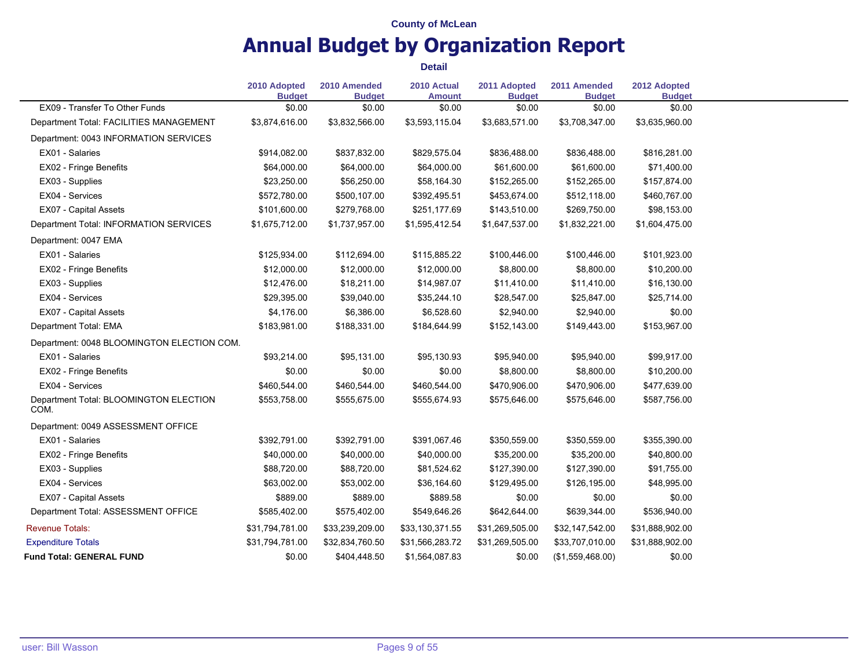# **Annual Budget by Organization Report**

|                                                | 2010 Adopted<br><b>Budget</b> | 2010 Amended<br><b>Budget</b> | 2010 Actual<br><b>Amount</b> | 2011 Adopted<br><b>Budget</b> | 2011 Amended<br><b>Budget</b> | 2012 Adopted<br><b>Budget</b> |
|------------------------------------------------|-------------------------------|-------------------------------|------------------------------|-------------------------------|-------------------------------|-------------------------------|
| EX09 - Transfer To Other Funds                 | \$0.00                        | \$0.00                        | \$0.00                       | \$0.00                        | \$0.00                        | \$0.00                        |
| Department Total: FACILITIES MANAGEMENT        | \$3,874,616.00                | \$3,832,566.00                | \$3,593,115.04               | \$3,683,571.00                | \$3,708,347.00                | \$3,635,960.00                |
| Department: 0043 INFORMATION SERVICES          |                               |                               |                              |                               |                               |                               |
| EX01 - Salaries                                | \$914,082.00                  | \$837,832.00                  | \$829,575.04                 | \$836,488.00                  | \$836,488.00                  | \$816,281.00                  |
| EX02 - Fringe Benefits                         | \$64,000.00                   | \$64,000.00                   | \$64,000.00                  | \$61,600.00                   | \$61,600.00                   | \$71,400.00                   |
| EX03 - Supplies                                | \$23,250.00                   | \$56,250.00                   | \$58,164.30                  | \$152,265.00                  | \$152,265.00                  | \$157,874.00                  |
| EX04 - Services                                | \$572,780.00                  | \$500,107.00                  | \$392,495.51                 | \$453,674.00                  | \$512,118.00                  | \$460,767.00                  |
| EX07 - Capital Assets                          | \$101,600.00                  | \$279,768.00                  | \$251,177.69                 | \$143,510.00                  | \$269,750.00                  | \$98,153.00                   |
| Department Total: INFORMATION SERVICES         | \$1,675,712.00                | \$1,737,957.00                | \$1,595,412.54               | \$1,647,537.00                | \$1,832,221.00                | \$1,604,475.00                |
| Department: 0047 EMA                           |                               |                               |                              |                               |                               |                               |
| EX01 - Salaries                                | \$125,934.00                  | \$112,694.00                  | \$115,885.22                 | \$100,446.00                  | \$100,446.00                  | \$101,923.00                  |
| EX02 - Fringe Benefits                         | \$12,000.00                   | \$12,000.00                   | \$12,000.00                  | \$8,800.00                    | \$8,800.00                    | \$10,200.00                   |
| EX03 - Supplies                                | \$12,476.00                   | \$18,211.00                   | \$14,987.07                  | \$11,410.00                   | \$11,410.00                   | \$16,130.00                   |
| EX04 - Services                                | \$29,395.00                   | \$39,040.00                   | \$35,244.10                  | \$28,547.00                   | \$25,847.00                   | \$25,714.00                   |
| EX07 - Capital Assets                          | \$4,176.00                    | \$6,386.00                    | \$6,528.60                   | \$2,940.00                    | \$2,940.00                    | \$0.00                        |
| Department Total: EMA                          | \$183,981.00                  | \$188,331.00                  | \$184,644.99                 | \$152,143.00                  | \$149,443.00                  | \$153,967.00                  |
| Department: 0048 BLOOMINGTON ELECTION COM.     |                               |                               |                              |                               |                               |                               |
| EX01 - Salaries                                | \$93,214.00                   | \$95,131.00                   | \$95,130.93                  | \$95,940.00                   | \$95,940.00                   | \$99,917.00                   |
| EX02 - Fringe Benefits                         | \$0.00                        | \$0.00                        | \$0.00                       | \$8,800.00                    | \$8,800.00                    | \$10,200.00                   |
| EX04 - Services                                | \$460,544.00                  | \$460,544.00                  | \$460,544.00                 | \$470,906.00                  | \$470,906.00                  | \$477,639.00                  |
| Department Total: BLOOMINGTON ELECTION<br>COM. | \$553,758.00                  | \$555,675.00                  | \$555,674.93                 | \$575,646.00                  | \$575,646.00                  | \$587,756.00                  |
| Department: 0049 ASSESSMENT OFFICE             |                               |                               |                              |                               |                               |                               |
| EX01 - Salaries                                | \$392,791.00                  | \$392,791.00                  | \$391,067.46                 | \$350,559.00                  | \$350,559.00                  | \$355,390.00                  |
| EX02 - Fringe Benefits                         | \$40,000.00                   | \$40,000.00                   | \$40,000.00                  | \$35,200.00                   | \$35,200.00                   | \$40,800.00                   |
| EX03 - Supplies                                | \$88,720.00                   | \$88,720.00                   | \$81,524.62                  | \$127,390.00                  | \$127,390.00                  | \$91,755.00                   |
| EX04 - Services                                | \$63,002.00                   | \$53,002.00                   | \$36,164.60                  | \$129,495.00                  | \$126,195.00                  | \$48,995.00                   |
| <b>EX07 - Capital Assets</b>                   | \$889.00                      | \$889.00                      | \$889.58                     | \$0.00                        | \$0.00                        | \$0.00                        |
| Department Total: ASSESSMENT OFFICE            | \$585,402.00                  | \$575,402.00                  | \$549,646.26                 | \$642,644.00                  | \$639,344.00                  | \$536,940.00                  |
| <b>Revenue Totals:</b>                         | \$31,794,781.00               | \$33,239,209.00               | \$33,130,371.55              | \$31,269,505.00               | \$32,147,542.00               | \$31,888,902.00               |
| <b>Expenditure Totals</b>                      | \$31,794,781.00               | \$32,834,760.50               | \$31,566,283.72              | \$31,269,505.00               | \$33,707,010.00               | \$31,888,902.00               |
| <b>Fund Total: GENERAL FUND</b>                | \$0.00                        | \$404,448.50                  | \$1,564,087.83               | \$0.00                        | (\$1,559,468.00)              | \$0.00                        |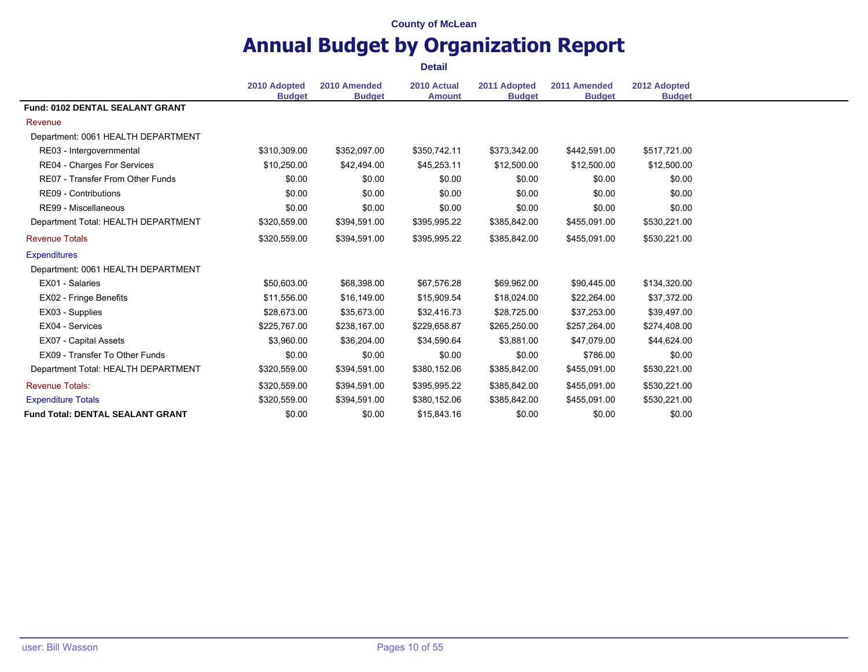|                                         |                               |                               | <b>Detail</b>                |                               |                               |                               |
|-----------------------------------------|-------------------------------|-------------------------------|------------------------------|-------------------------------|-------------------------------|-------------------------------|
|                                         | 2010 Adopted<br><b>Budget</b> | 2010 Amended<br><b>Budget</b> | 2010 Actual<br><b>Amount</b> | 2011 Adopted<br><b>Budget</b> | 2011 Amended<br><b>Budget</b> | 2012 Adopted<br><b>Budget</b> |
| <b>Fund: 0102 DENTAL SEALANT GRANT</b>  |                               |                               |                              |                               |                               |                               |
| Revenue                                 |                               |                               |                              |                               |                               |                               |
| Department: 0061 HEALTH DEPARTMENT      |                               |                               |                              |                               |                               |                               |
| RE03 - Intergovernmental                | \$310,309.00                  | \$352,097.00                  | \$350,742.11                 | \$373,342.00                  | \$442,591.00                  | \$517,721.00                  |
| RE04 - Charges For Services             | \$10,250.00                   | \$42,494.00                   | \$45,253.11                  | \$12,500.00                   | \$12,500.00                   | \$12,500.00                   |
| RE07 - Transfer From Other Funds        | \$0.00                        | \$0.00                        | \$0.00                       | \$0.00                        | \$0.00                        | \$0.00                        |
| RE09 - Contributions                    | \$0.00                        | \$0.00                        | \$0.00                       | \$0.00                        | \$0.00                        | \$0.00                        |
| RE99 - Miscellaneous                    | \$0.00                        | \$0.00                        | \$0.00                       | \$0.00                        | \$0.00                        | \$0.00                        |
| Department Total: HEALTH DEPARTMENT     | \$320,559.00                  | \$394,591.00                  | \$395,995.22                 | \$385,842.00                  | \$455,091.00                  | \$530,221.00                  |
| <b>Revenue Totals</b>                   | \$320,559.00                  | \$394,591.00                  | \$395,995.22                 | \$385,842.00                  | \$455,091.00                  | \$530,221.00                  |
| <b>Expenditures</b>                     |                               |                               |                              |                               |                               |                               |
| Department: 0061 HEALTH DEPARTMENT      |                               |                               |                              |                               |                               |                               |
| EX01 - Salaries                         | \$50,603.00                   | \$68,398.00                   | \$67,576.28                  | \$69,962.00                   | \$90,445.00                   | \$134,320.00                  |
| EX02 - Fringe Benefits                  | \$11,556.00                   | \$16,149.00                   | \$15,909.54                  | \$18,024.00                   | \$22,264.00                   | \$37,372.00                   |
| EX03 - Supplies                         | \$28,673.00                   | \$35,673.00                   | \$32,416.73                  | \$28,725.00                   | \$37,253.00                   | \$39,497.00                   |
| EX04 - Services                         | \$225,767.00                  | \$238,167.00                  | \$229,658.87                 | \$265,250.00                  | \$257,264.00                  | \$274,408.00                  |
| EX07 - Capital Assets                   | \$3,960.00                    | \$36,204.00                   | \$34,590.64                  | \$3,881.00                    | \$47,079.00                   | \$44,624.00                   |
| EX09 - Transfer To Other Funds          | \$0.00                        | \$0.00                        | \$0.00                       | \$0.00                        | \$786.00                      | \$0.00                        |
| Department Total: HEALTH DEPARTMENT     | \$320,559.00                  | \$394,591.00                  | \$380,152.06                 | \$385,842.00                  | \$455,091.00                  | \$530,221.00                  |
| <b>Revenue Totals:</b>                  | \$320,559.00                  | \$394,591.00                  | \$395,995.22                 | \$385,842.00                  | \$455,091.00                  | \$530,221.00                  |
| <b>Expenditure Totals</b>               | \$320,559.00                  | \$394,591.00                  | \$380,152.06                 | \$385,842.00                  | \$455,091.00                  | \$530,221.00                  |
| <b>Fund Total: DENTAL SEALANT GRANT</b> | \$0.00                        | \$0.00                        | \$15,843.16                  | \$0.00                        | \$0.00                        | \$0.00                        |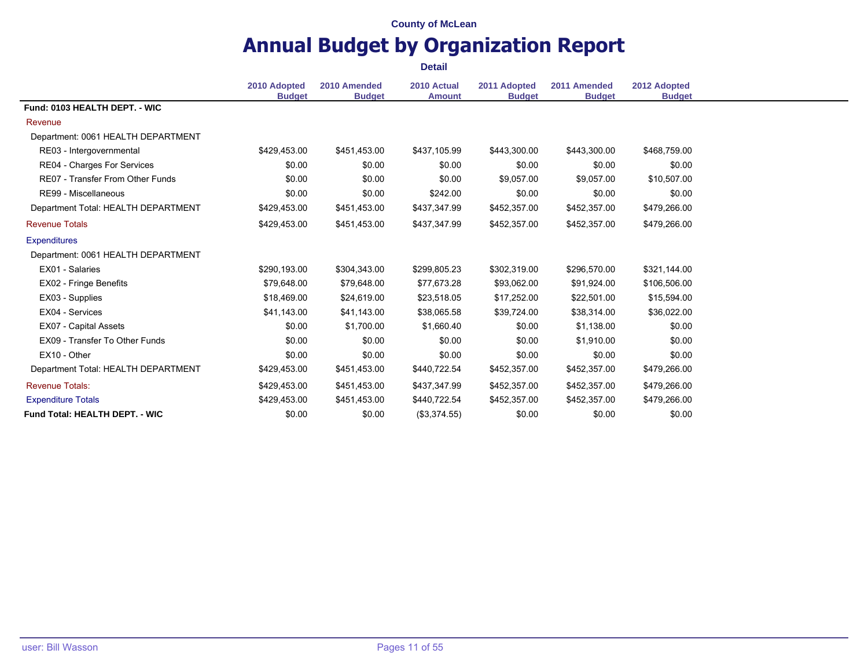|                                       |                               |                               | <b>Detail</b>                |                               |                               |                               |
|---------------------------------------|-------------------------------|-------------------------------|------------------------------|-------------------------------|-------------------------------|-------------------------------|
|                                       | 2010 Adopted<br><b>Budget</b> | 2010 Amended<br><b>Budget</b> | 2010 Actual<br><b>Amount</b> | 2011 Adopted<br><b>Budget</b> | 2011 Amended<br><b>Budget</b> | 2012 Adopted<br><b>Budget</b> |
| Fund: 0103 HEALTH DEPT. - WIC         |                               |                               |                              |                               |                               |                               |
| Revenue                               |                               |                               |                              |                               |                               |                               |
| Department: 0061 HEALTH DEPARTMENT    |                               |                               |                              |                               |                               |                               |
| RE03 - Intergovernmental              | \$429.453.00                  | \$451.453.00                  | \$437.105.99                 | \$443,300.00                  | \$443.300.00                  | \$468,759.00                  |
| RE04 - Charges For Services           | \$0.00                        | \$0.00                        | \$0.00                       | \$0.00                        | \$0.00                        | \$0.00                        |
| RE07 - Transfer From Other Funds      | \$0.00                        | \$0.00                        | \$0.00                       | \$9,057.00                    | \$9,057.00                    | \$10,507.00                   |
| RE99 - Miscellaneous                  | \$0.00                        | \$0.00                        | \$242.00                     | \$0.00                        | \$0.00                        | \$0.00                        |
| Department Total: HEALTH DEPARTMENT   | \$429,453.00                  | \$451,453.00                  | \$437,347.99                 | \$452,357.00                  | \$452,357.00                  | \$479,266.00                  |
| <b>Revenue Totals</b>                 | \$429,453.00                  | \$451,453.00                  | \$437,347.99                 | \$452,357.00                  | \$452,357.00                  | \$479,266.00                  |
| <b>Expenditures</b>                   |                               |                               |                              |                               |                               |                               |
| Department: 0061 HEALTH DEPARTMENT    |                               |                               |                              |                               |                               |                               |
| EX01 - Salaries                       | \$290,193.00                  | \$304,343.00                  | \$299,805.23                 | \$302,319.00                  | \$296,570.00                  | \$321,144.00                  |
| EX02 - Fringe Benefits                | \$79,648.00                   | \$79,648.00                   | \$77,673.28                  | \$93,062.00                   | \$91,924.00                   | \$106,506.00                  |
| EX03 - Supplies                       | \$18,469.00                   | \$24,619.00                   | \$23,518.05                  | \$17,252.00                   | \$22,501.00                   | \$15,594.00                   |
| EX04 - Services                       | \$41,143.00                   | \$41,143.00                   | \$38,065.58                  | \$39,724.00                   | \$38,314.00                   | \$36,022.00                   |
| EX07 - Capital Assets                 | \$0.00                        | \$1,700.00                    | \$1,660.40                   | \$0.00                        | \$1,138.00                    | \$0.00                        |
| EX09 - Transfer To Other Funds        | \$0.00                        | \$0.00                        | \$0.00                       | \$0.00                        | \$1,910.00                    | \$0.00                        |
| EX10 - Other                          | \$0.00                        | \$0.00                        | \$0.00                       | \$0.00                        | \$0.00                        | \$0.00                        |
| Department Total: HEALTH DEPARTMENT   | \$429,453.00                  | \$451,453.00                  | \$440,722.54                 | \$452,357.00                  | \$452,357.00                  | \$479,266.00                  |
| <b>Revenue Totals:</b>                | \$429,453.00                  | \$451,453.00                  | \$437,347.99                 | \$452,357.00                  | \$452,357.00                  | \$479,266.00                  |
| <b>Expenditure Totals</b>             | \$429,453.00                  | \$451,453.00                  | \$440,722.54                 | \$452,357.00                  | \$452,357.00                  | \$479,266.00                  |
| <b>Fund Total: HEALTH DEPT. - WIC</b> | \$0.00                        | \$0.00                        | (\$3,374.55)                 | \$0.00                        | \$0.00                        | \$0.00                        |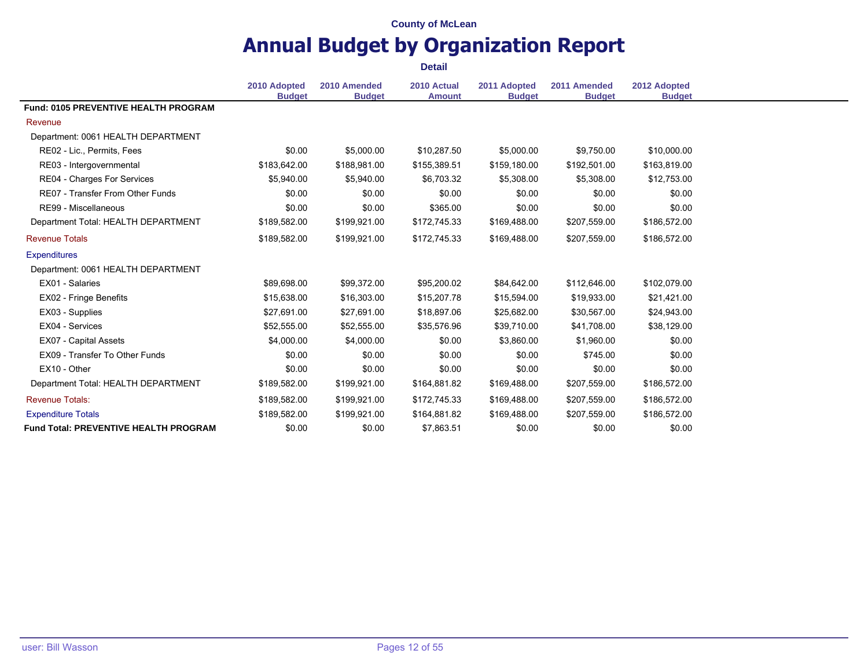|                                              |                               |                               | <b>Detail</b>                |                               |                               |                               |
|----------------------------------------------|-------------------------------|-------------------------------|------------------------------|-------------------------------|-------------------------------|-------------------------------|
|                                              | 2010 Adopted<br><b>Budget</b> | 2010 Amended<br><b>Budget</b> | 2010 Actual<br><b>Amount</b> | 2011 Adopted<br><b>Budget</b> | 2011 Amended<br><b>Budget</b> | 2012 Adopted<br><b>Budget</b> |
| <b>Fund: 0105 PREVENTIVE HEALTH PROGRAM</b>  |                               |                               |                              |                               |                               |                               |
| Revenue                                      |                               |                               |                              |                               |                               |                               |
| Department: 0061 HEALTH DEPARTMENT           |                               |                               |                              |                               |                               |                               |
| RE02 - Lic., Permits, Fees                   | \$0.00                        | \$5,000.00                    | \$10,287.50                  | \$5,000.00                    | \$9,750.00                    | \$10,000.00                   |
| RE03 - Intergovernmental                     | \$183,642.00                  | \$188,981.00                  | \$155,389.51                 | \$159,180.00                  | \$192,501.00                  | \$163,819.00                  |
| RE04 - Charges For Services                  | \$5,940.00                    | \$5,940.00                    | \$6,703.32                   | \$5,308.00                    | \$5,308.00                    | \$12,753.00                   |
| RE07 - Transfer From Other Funds             | \$0.00                        | \$0.00                        | \$0.00                       | \$0.00                        | \$0.00                        | \$0.00                        |
| RE99 - Miscellaneous                         | \$0.00                        | \$0.00                        | \$365.00                     | \$0.00                        | \$0.00                        | \$0.00                        |
| Department Total: HEALTH DEPARTMENT          | \$189,582.00                  | \$199,921.00                  | \$172,745.33                 | \$169,488.00                  | \$207,559.00                  | \$186,572.00                  |
| <b>Revenue Totals</b>                        | \$189,582.00                  | \$199,921.00                  | \$172,745.33                 | \$169,488.00                  | \$207,559.00                  | \$186,572.00                  |
| <b>Expenditures</b>                          |                               |                               |                              |                               |                               |                               |
| Department: 0061 HEALTH DEPARTMENT           |                               |                               |                              |                               |                               |                               |
| EX01 - Salaries                              | \$89,698.00                   | \$99,372.00                   | \$95,200.02                  | \$84,642.00                   | \$112,646.00                  | \$102,079.00                  |
| EX02 - Fringe Benefits                       | \$15,638.00                   | \$16,303.00                   | \$15,207.78                  | \$15,594.00                   | \$19,933.00                   | \$21,421.00                   |
| EX03 - Supplies                              | \$27,691.00                   | \$27,691.00                   | \$18,897.06                  | \$25,682.00                   | \$30,567.00                   | \$24,943.00                   |
| EX04 - Services                              | \$52,555.00                   | \$52,555.00                   | \$35,576.96                  | \$39,710.00                   | \$41,708.00                   | \$38,129.00                   |
| EX07 - Capital Assets                        | \$4,000.00                    | \$4,000.00                    | \$0.00                       | \$3,860.00                    | \$1,960.00                    | \$0.00                        |
| EX09 - Transfer To Other Funds               | \$0.00                        | \$0.00                        | \$0.00                       | \$0.00                        | \$745.00                      | \$0.00                        |
| EX10 - Other                                 | \$0.00                        | \$0.00                        | \$0.00                       | \$0.00                        | \$0.00                        | \$0.00                        |
| Department Total: HEALTH DEPARTMENT          | \$189,582.00                  | \$199,921.00                  | \$164,881.82                 | \$169,488.00                  | \$207,559.00                  | \$186,572.00                  |
| <b>Revenue Totals:</b>                       | \$189,582.00                  | \$199,921.00                  | \$172,745.33                 | \$169,488.00                  | \$207,559.00                  | \$186,572.00                  |
| <b>Expenditure Totals</b>                    | \$189,582.00                  | \$199,921.00                  | \$164,881.82                 | \$169,488.00                  | \$207,559.00                  | \$186,572.00                  |
| <b>Fund Total: PREVENTIVE HEALTH PROGRAM</b> | \$0.00                        | \$0.00                        | \$7,863.51                   | \$0.00                        | \$0.00                        | \$0.00                        |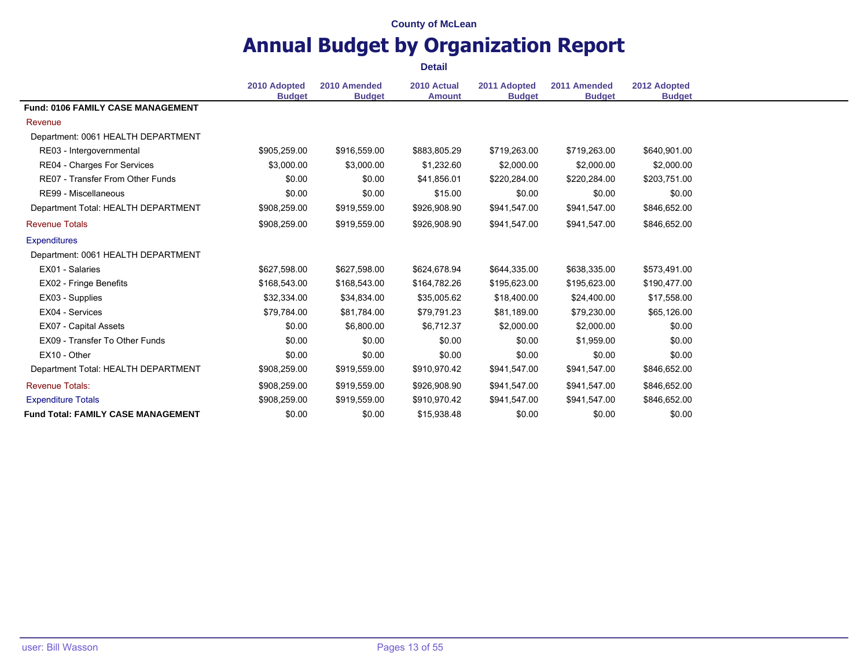|                                           |                               |                               | <b>Detail</b>                |                               |                               |                               |
|-------------------------------------------|-------------------------------|-------------------------------|------------------------------|-------------------------------|-------------------------------|-------------------------------|
|                                           | 2010 Adopted<br><b>Budget</b> | 2010 Amended<br><b>Budget</b> | 2010 Actual<br><b>Amount</b> | 2011 Adopted<br><b>Budget</b> | 2011 Amended<br><b>Budget</b> | 2012 Adopted<br><b>Budget</b> |
| <b>Fund: 0106 FAMILY CASE MANAGEMENT</b>  |                               |                               |                              |                               |                               |                               |
| Revenue                                   |                               |                               |                              |                               |                               |                               |
| Department: 0061 HEALTH DEPARTMENT        |                               |                               |                              |                               |                               |                               |
| RE03 - Intergovernmental                  | \$905.259.00                  | \$916,559.00                  | \$883,805.29                 | \$719,263.00                  | \$719,263.00                  | \$640,901.00                  |
| RE04 - Charges For Services               | \$3,000.00                    | \$3,000.00                    | \$1,232.60                   | \$2,000.00                    | \$2,000.00                    | \$2,000.00                    |
| RE07 - Transfer From Other Funds          | \$0.00                        | \$0.00                        | \$41,856.01                  | \$220,284.00                  | \$220,284.00                  | \$203,751.00                  |
| RE99 - Miscellaneous                      | \$0.00                        | \$0.00                        | \$15.00                      | \$0.00                        | \$0.00                        | \$0.00                        |
| Department Total: HEALTH DEPARTMENT       | \$908,259.00                  | \$919,559.00                  | \$926,908.90                 | \$941,547.00                  | \$941,547.00                  | \$846,652.00                  |
| <b>Revenue Totals</b>                     | \$908,259.00                  | \$919,559.00                  | \$926,908.90                 | \$941,547.00                  | \$941,547.00                  | \$846,652.00                  |
| <b>Expenditures</b>                       |                               |                               |                              |                               |                               |                               |
| Department: 0061 HEALTH DEPARTMENT        |                               |                               |                              |                               |                               |                               |
| EX01 - Salaries                           | \$627,598.00                  | \$627,598.00                  | \$624,678.94                 | \$644,335.00                  | \$638,335.00                  | \$573,491.00                  |
| EX02 - Fringe Benefits                    | \$168,543.00                  | \$168,543.00                  | \$164,782.26                 | \$195,623.00                  | \$195,623.00                  | \$190,477.00                  |
| EX03 - Supplies                           | \$32,334.00                   | \$34,834.00                   | \$35,005.62                  | \$18,400.00                   | \$24,400.00                   | \$17,558.00                   |
| EX04 - Services                           | \$79,784.00                   | \$81,784.00                   | \$79,791.23                  | \$81,189.00                   | \$79,230.00                   | \$65,126.00                   |
| EX07 - Capital Assets                     | \$0.00                        | \$6,800.00                    | \$6,712.37                   | \$2,000.00                    | \$2,000.00                    | \$0.00                        |
| EX09 - Transfer To Other Funds            | \$0.00                        | \$0.00                        | \$0.00                       | \$0.00                        | \$1.959.00                    | \$0.00                        |
| EX10 - Other                              | \$0.00                        | \$0.00                        | \$0.00                       | \$0.00                        | \$0.00                        | \$0.00                        |
| Department Total: HEALTH DEPARTMENT       | \$908,259.00                  | \$919,559.00                  | \$910,970.42                 | \$941,547.00                  | \$941,547.00                  | \$846,652.00                  |
| <b>Revenue Totals:</b>                    | \$908,259.00                  | \$919,559.00                  | \$926,908.90                 | \$941,547.00                  | \$941,547.00                  | \$846,652.00                  |
| <b>Expenditure Totals</b>                 | \$908,259.00                  | \$919,559.00                  | \$910,970.42                 | \$941,547.00                  | \$941,547.00                  | \$846,652.00                  |
| <b>Fund Total: FAMILY CASE MANAGEMENT</b> | \$0.00                        | \$0.00                        | \$15,938.48                  | \$0.00                        | \$0.00                        | \$0.00                        |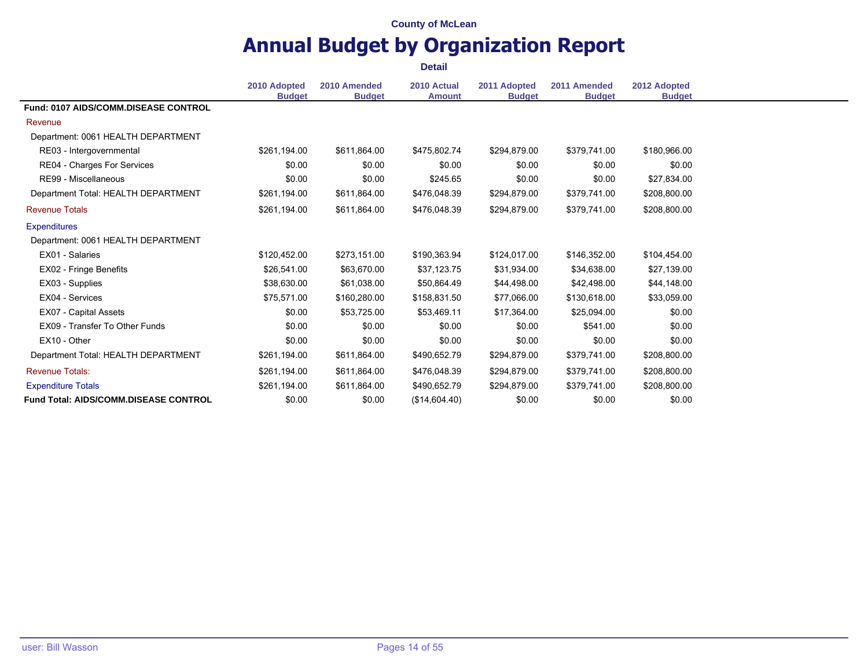|                                              |                               |                               | <b>Detail</b>                |                               |                               |                               |
|----------------------------------------------|-------------------------------|-------------------------------|------------------------------|-------------------------------|-------------------------------|-------------------------------|
|                                              | 2010 Adopted<br><b>Budget</b> | 2010 Amended<br><b>Budget</b> | 2010 Actual<br><b>Amount</b> | 2011 Adopted<br><b>Budget</b> | 2011 Amended<br><b>Budget</b> | 2012 Adopted<br><b>Budget</b> |
| Fund: 0107 AIDS/COMM.DISEASE CONTROL         |                               |                               |                              |                               |                               |                               |
| Revenue                                      |                               |                               |                              |                               |                               |                               |
| Department: 0061 HEALTH DEPARTMENT           |                               |                               |                              |                               |                               |                               |
| RE03 - Intergovernmental                     | \$261,194.00                  | \$611,864.00                  | \$475,802.74                 | \$294,879.00                  | \$379.741.00                  | \$180,966.00                  |
| RE04 - Charges For Services                  | \$0.00                        | \$0.00                        | \$0.00                       | \$0.00                        | \$0.00                        | \$0.00                        |
| RE99 - Miscellaneous                         | \$0.00                        | \$0.00                        | \$245.65                     | \$0.00                        | \$0.00                        | \$27,834.00                   |
| Department Total: HEALTH DEPARTMENT          | \$261,194.00                  | \$611,864.00                  | \$476,048.39                 | \$294,879.00                  | \$379,741.00                  | \$208,800.00                  |
| <b>Revenue Totals</b>                        | \$261,194.00                  | \$611,864.00                  | \$476,048.39                 | \$294,879.00                  | \$379,741.00                  | \$208,800.00                  |
| <b>Expenditures</b>                          |                               |                               |                              |                               |                               |                               |
| Department: 0061 HEALTH DEPARTMENT           |                               |                               |                              |                               |                               |                               |
| EX01 - Salaries                              | \$120,452.00                  | \$273,151.00                  | \$190,363.94                 | \$124,017.00                  | \$146,352.00                  | \$104,454.00                  |
| EX02 - Fringe Benefits                       | \$26,541.00                   | \$63,670.00                   | \$37,123.75                  | \$31,934.00                   | \$34,638.00                   | \$27,139.00                   |
| EX03 - Supplies                              | \$38,630.00                   | \$61,038.00                   | \$50,864.49                  | \$44,498.00                   | \$42,498.00                   | \$44,148.00                   |
| EX04 - Services                              | \$75,571.00                   | \$160,280.00                  | \$158,831.50                 | \$77,066.00                   | \$130,618.00                  | \$33,059.00                   |
| EX07 - Capital Assets                        | \$0.00                        | \$53,725.00                   | \$53,469.11                  | \$17,364.00                   | \$25,094.00                   | \$0.00                        |
| EX09 - Transfer To Other Funds               | \$0.00                        | \$0.00                        | \$0.00                       | \$0.00                        | \$541.00                      | \$0.00                        |
| EX10 - Other                                 | \$0.00                        | \$0.00                        | \$0.00                       | \$0.00                        | \$0.00                        | \$0.00                        |
| Department Total: HEALTH DEPARTMENT          | \$261,194.00                  | \$611,864.00                  | \$490,652.79                 | \$294,879.00                  | \$379,741.00                  | \$208,800.00                  |
| <b>Revenue Totals:</b>                       | \$261,194.00                  | \$611,864.00                  | \$476,048.39                 | \$294,879.00                  | \$379,741.00                  | \$208,800.00                  |
| <b>Expenditure Totals</b>                    | \$261,194.00                  | \$611,864.00                  | \$490,652.79                 | \$294,879.00                  | \$379,741.00                  | \$208,800.00                  |
| <b>Fund Total: AIDS/COMM.DISEASE CONTROL</b> | \$0.00                        | \$0.00                        | (\$14,604.40)                | \$0.00                        | \$0.00                        | \$0.00                        |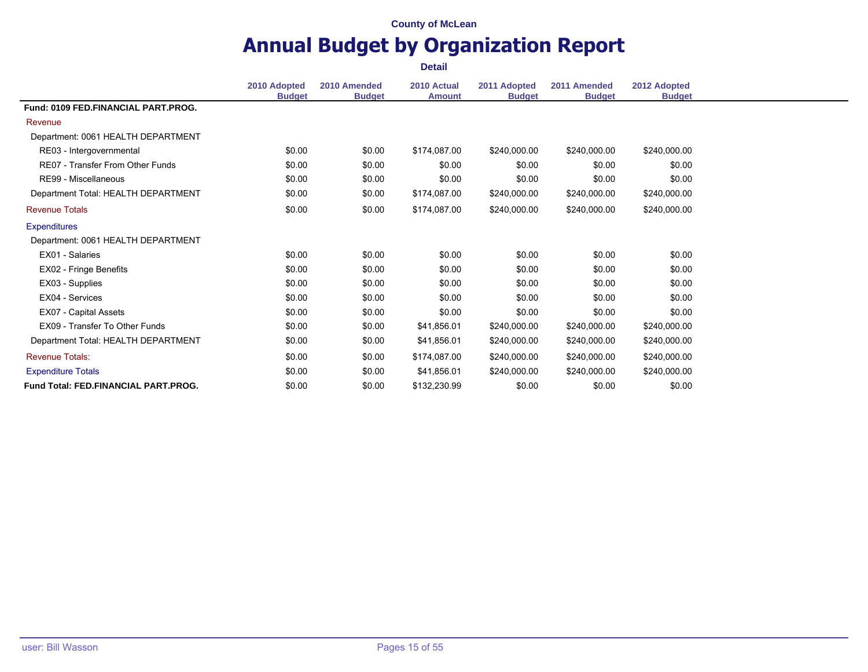|                                             |                               |                               | <b>Detail</b>                |                               |                               |                               |
|---------------------------------------------|-------------------------------|-------------------------------|------------------------------|-------------------------------|-------------------------------|-------------------------------|
|                                             | 2010 Adopted<br><b>Budget</b> | 2010 Amended<br><b>Budget</b> | 2010 Actual<br><b>Amount</b> | 2011 Adopted<br><b>Budget</b> | 2011 Amended<br><b>Budget</b> | 2012 Adopted<br><b>Budget</b> |
| Fund: 0109 FED.FINANCIAL PART.PROG.         |                               |                               |                              |                               |                               |                               |
| Revenue                                     |                               |                               |                              |                               |                               |                               |
| Department: 0061 HEALTH DEPARTMENT          |                               |                               |                              |                               |                               |                               |
| RE03 - Intergovernmental                    | \$0.00                        | \$0.00                        | \$174,087.00                 | \$240,000.00                  | \$240,000.00                  | \$240,000.00                  |
| RE07 - Transfer From Other Funds            | \$0.00                        | \$0.00                        | \$0.00                       | \$0.00                        | \$0.00                        | \$0.00                        |
| RE99 - Miscellaneous                        | \$0.00                        | \$0.00                        | \$0.00                       | \$0.00                        | \$0.00                        | \$0.00                        |
| Department Total: HEALTH DEPARTMENT         | \$0.00                        | \$0.00                        | \$174,087.00                 | \$240,000.00                  | \$240,000.00                  | \$240,000.00                  |
| <b>Revenue Totals</b>                       | \$0.00                        | \$0.00                        | \$174,087.00                 | \$240,000.00                  | \$240,000.00                  | \$240,000.00                  |
| <b>Expenditures</b>                         |                               |                               |                              |                               |                               |                               |
| Department: 0061 HEALTH DEPARTMENT          |                               |                               |                              |                               |                               |                               |
| EX01 - Salaries                             | \$0.00                        | \$0.00                        | \$0.00                       | \$0.00                        | \$0.00                        | \$0.00                        |
| EX02 - Fringe Benefits                      | \$0.00                        | \$0.00                        | \$0.00                       | \$0.00                        | \$0.00                        | \$0.00                        |
| EX03 - Supplies                             | \$0.00                        | \$0.00                        | \$0.00                       | \$0.00                        | \$0.00                        | \$0.00                        |
| EX04 - Services                             | \$0.00                        | \$0.00                        | \$0.00                       | \$0.00                        | \$0.00                        | \$0.00                        |
| EX07 - Capital Assets                       | \$0.00                        | \$0.00                        | \$0.00                       | \$0.00                        | \$0.00                        | \$0.00                        |
| EX09 - Transfer To Other Funds              | \$0.00                        | \$0.00                        | \$41,856.01                  | \$240,000.00                  | \$240,000.00                  | \$240,000.00                  |
| Department Total: HEALTH DEPARTMENT         | \$0.00                        | \$0.00                        | \$41,856.01                  | \$240,000.00                  | \$240,000.00                  | \$240,000.00                  |
| <b>Revenue Totals:</b>                      | \$0.00                        | \$0.00                        | \$174,087.00                 | \$240,000.00                  | \$240,000.00                  | \$240,000.00                  |
| <b>Expenditure Totals</b>                   | \$0.00                        | \$0.00                        | \$41,856.01                  | \$240,000.00                  | \$240,000.00                  | \$240,000.00                  |
| <b>Fund Total: FED.FINANCIAL PART.PROG.</b> | \$0.00                        | \$0.00                        | \$132,230.99                 | \$0.00                        | \$0.00                        | \$0.00                        |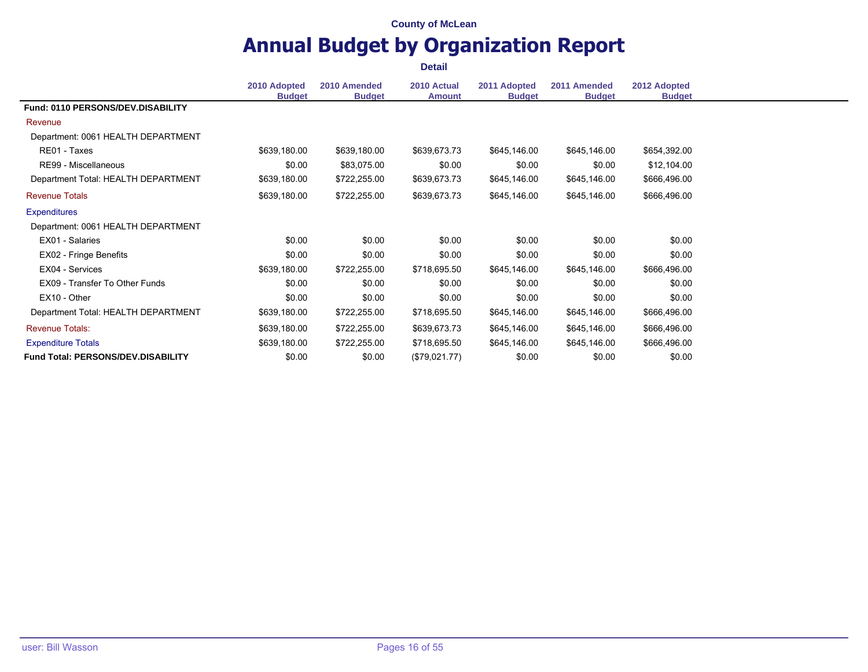|                                           |                               |                               | <b>Detail</b>                |                               |                               |                               |
|-------------------------------------------|-------------------------------|-------------------------------|------------------------------|-------------------------------|-------------------------------|-------------------------------|
|                                           | 2010 Adopted<br><b>Budget</b> | 2010 Amended<br><b>Budget</b> | 2010 Actual<br><b>Amount</b> | 2011 Adopted<br><b>Budget</b> | 2011 Amended<br><b>Budget</b> | 2012 Adopted<br><b>Budget</b> |
| Fund: 0110 PERSONS/DEV.DISABILITY         |                               |                               |                              |                               |                               |                               |
| Revenue                                   |                               |                               |                              |                               |                               |                               |
| Department: 0061 HEALTH DEPARTMENT        |                               |                               |                              |                               |                               |                               |
| RE01 - Taxes                              | \$639,180.00                  | \$639,180.00                  | \$639,673.73                 | \$645,146.00                  | \$645,146.00                  | \$654,392.00                  |
| RE99 - Miscellaneous                      | \$0.00                        | \$83,075.00                   | \$0.00                       | \$0.00                        | \$0.00                        | \$12,104.00                   |
| Department Total: HEALTH DEPARTMENT       | \$639,180.00                  | \$722,255.00                  | \$639,673.73                 | \$645,146.00                  | \$645,146.00                  | \$666,496.00                  |
| <b>Revenue Totals</b>                     | \$639,180.00                  | \$722,255.00                  | \$639,673.73                 | \$645,146.00                  | \$645,146.00                  | \$666,496.00                  |
| <b>Expenditures</b>                       |                               |                               |                              |                               |                               |                               |
| Department: 0061 HEALTH DEPARTMENT        |                               |                               |                              |                               |                               |                               |
| EX01 - Salaries                           | \$0.00                        | \$0.00                        | \$0.00                       | \$0.00                        | \$0.00                        | \$0.00                        |
| EX02 - Fringe Benefits                    | \$0.00                        | \$0.00                        | \$0.00                       | \$0.00                        | \$0.00                        | \$0.00                        |
| EX04 - Services                           | \$639,180.00                  | \$722,255.00                  | \$718,695.50                 | \$645,146.00                  | \$645,146.00                  | \$666,496.00                  |
| EX09 - Transfer To Other Funds            | \$0.00                        | \$0.00                        | \$0.00                       | \$0.00                        | \$0.00                        | \$0.00                        |
| EX10 - Other                              | \$0.00                        | \$0.00                        | \$0.00                       | \$0.00                        | \$0.00                        | \$0.00                        |
| Department Total: HEALTH DEPARTMENT       | \$639,180.00                  | \$722,255.00                  | \$718,695.50                 | \$645,146.00                  | \$645,146.00                  | \$666,496.00                  |
| <b>Revenue Totals:</b>                    | \$639,180.00                  | \$722,255.00                  | \$639,673.73                 | \$645,146.00                  | \$645,146.00                  | \$666,496.00                  |
| <b>Expenditure Totals</b>                 | \$639,180.00                  | \$722,255.00                  | \$718,695.50                 | \$645,146.00                  | \$645,146.00                  | \$666,496.00                  |
| <b>Fund Total: PERSONS/DEV.DISABILITY</b> | \$0.00                        | \$0.00                        | (\$79,021.77)                | \$0.00                        | \$0.00                        | \$0.00                        |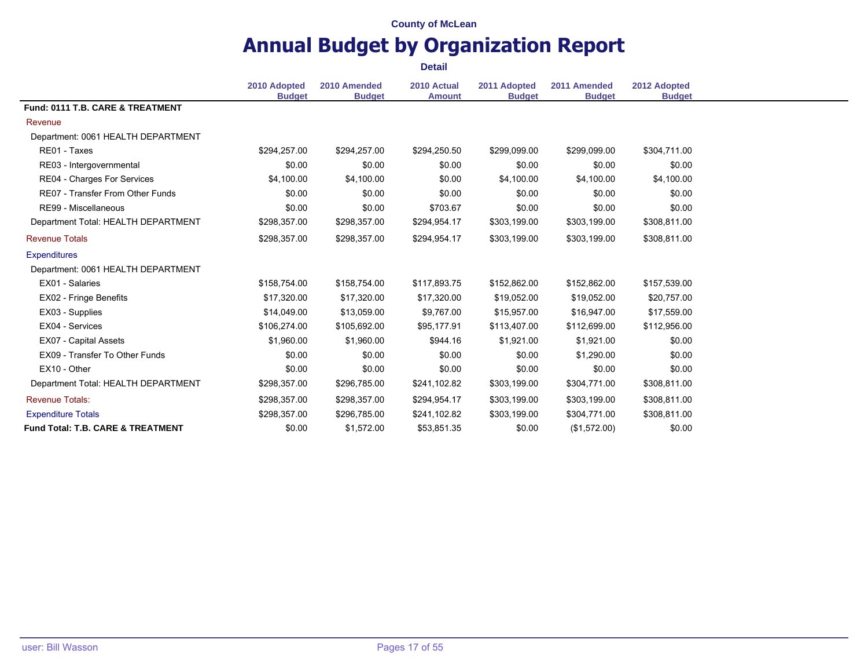|                                              |                               |                               | <b>Detail</b>                |                               |                               |                               |
|----------------------------------------------|-------------------------------|-------------------------------|------------------------------|-------------------------------|-------------------------------|-------------------------------|
|                                              | 2010 Adopted<br><b>Budget</b> | 2010 Amended<br><b>Budget</b> | 2010 Actual<br><b>Amount</b> | 2011 Adopted<br><b>Budget</b> | 2011 Amended<br><b>Budget</b> | 2012 Adopted<br><b>Budget</b> |
| Fund: 0111 T.B. CARE & TREATMENT             |                               |                               |                              |                               |                               |                               |
| Revenue                                      |                               |                               |                              |                               |                               |                               |
| Department: 0061 HEALTH DEPARTMENT           |                               |                               |                              |                               |                               |                               |
| RE01 - Taxes                                 | \$294,257.00                  | \$294,257.00                  | \$294,250.50                 | \$299,099.00                  | \$299,099.00                  | \$304,711.00                  |
| RE03 - Intergovernmental                     | \$0.00                        | \$0.00                        | \$0.00                       | \$0.00                        | \$0.00                        | \$0.00                        |
| RE04 - Charges For Services                  | \$4,100.00                    | \$4,100.00                    | \$0.00                       | \$4,100.00                    | \$4,100.00                    | \$4,100.00                    |
| RE07 - Transfer From Other Funds             | \$0.00                        | \$0.00                        | \$0.00                       | \$0.00                        | \$0.00                        | \$0.00                        |
| RE99 - Miscellaneous                         | \$0.00                        | \$0.00                        | \$703.67                     | \$0.00                        | \$0.00                        | \$0.00                        |
| Department Total: HEALTH DEPARTMENT          | \$298,357.00                  | \$298,357.00                  | \$294,954.17                 | \$303,199.00                  | \$303,199.00                  | \$308,811.00                  |
| <b>Revenue Totals</b>                        | \$298,357.00                  | \$298,357.00                  | \$294,954.17                 | \$303,199.00                  | \$303,199.00                  | \$308,811.00                  |
| <b>Expenditures</b>                          |                               |                               |                              |                               |                               |                               |
| Department: 0061 HEALTH DEPARTMENT           |                               |                               |                              |                               |                               |                               |
| EX01 - Salaries                              | \$158,754.00                  | \$158,754.00                  | \$117,893.75                 | \$152,862.00                  | \$152,862.00                  | \$157,539.00                  |
| EX02 - Fringe Benefits                       | \$17,320.00                   | \$17,320.00                   | \$17,320.00                  | \$19,052.00                   | \$19,052.00                   | \$20,757.00                   |
| EX03 - Supplies                              | \$14,049.00                   | \$13,059.00                   | \$9,767.00                   | \$15,957.00                   | \$16,947.00                   | \$17,559.00                   |
| EX04 - Services                              | \$106,274.00                  | \$105,692.00                  | \$95,177.91                  | \$113,407.00                  | \$112,699.00                  | \$112,956.00                  |
| EX07 - Capital Assets                        | \$1,960.00                    | \$1,960.00                    | \$944.16                     | \$1,921.00                    | \$1,921.00                    | \$0.00                        |
| EX09 - Transfer To Other Funds               | \$0.00                        | \$0.00                        | \$0.00                       | \$0.00                        | \$1,290.00                    | \$0.00                        |
| EX10 - Other                                 | \$0.00                        | \$0.00                        | \$0.00                       | \$0.00                        | \$0.00                        | \$0.00                        |
| Department Total: HEALTH DEPARTMENT          | \$298,357.00                  | \$296,785.00                  | \$241,102.82                 | \$303,199.00                  | \$304,771.00                  | \$308,811.00                  |
| <b>Revenue Totals:</b>                       | \$298,357.00                  | \$298,357.00                  | \$294,954.17                 | \$303,199.00                  | \$303,199.00                  | \$308,811.00                  |
| <b>Expenditure Totals</b>                    | \$298,357.00                  | \$296,785.00                  | \$241,102.82                 | \$303,199.00                  | \$304,771.00                  | \$308,811.00                  |
| <b>Fund Total: T.B. CARE &amp; TREATMENT</b> | \$0.00                        | \$1,572.00                    | \$53,851.35                  | \$0.00                        | (\$1,572.00)                  | \$0.00                        |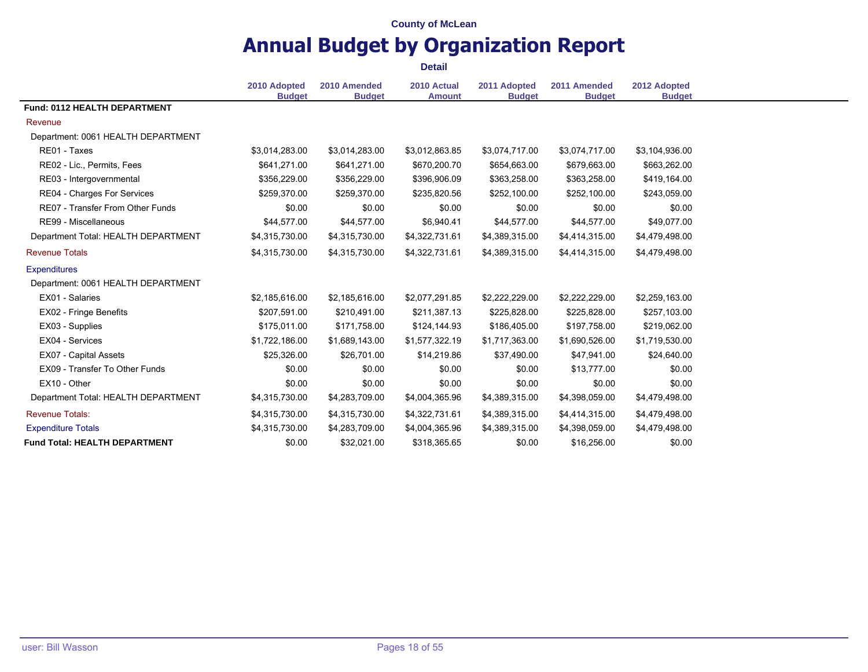|                                      |                               |                               | <b>Detail</b>                |                               |                               |                               |
|--------------------------------------|-------------------------------|-------------------------------|------------------------------|-------------------------------|-------------------------------|-------------------------------|
|                                      | 2010 Adopted<br><b>Budget</b> | 2010 Amended<br><b>Budget</b> | 2010 Actual<br><b>Amount</b> | 2011 Adopted<br><b>Budget</b> | 2011 Amended<br><b>Budget</b> | 2012 Adopted<br><b>Budget</b> |
| Fund: 0112 HEALTH DEPARTMENT         |                               |                               |                              |                               |                               |                               |
| Revenue                              |                               |                               |                              |                               |                               |                               |
| Department: 0061 HEALTH DEPARTMENT   |                               |                               |                              |                               |                               |                               |
| RE01 - Taxes                         | \$3,014,283.00                | \$3,014,283.00                | \$3,012,863.85               | \$3,074,717.00                | \$3,074,717.00                | \$3,104,936.00                |
| RE02 - Lic., Permits, Fees           | \$641,271.00                  | \$641,271.00                  | \$670,200.70                 | \$654,663.00                  | \$679,663.00                  | \$663,262.00                  |
| RE03 - Intergovernmental             | \$356,229.00                  | \$356,229.00                  | \$396,906.09                 | \$363,258.00                  | \$363,258.00                  | \$419,164.00                  |
| RE04 - Charges For Services          | \$259,370.00                  | \$259,370.00                  | \$235,820.56                 | \$252,100.00                  | \$252,100.00                  | \$243,059.00                  |
| RE07 - Transfer From Other Funds     | \$0.00                        | \$0.00                        | \$0.00                       | \$0.00                        | \$0.00                        | \$0.00                        |
| RE99 - Miscellaneous                 | \$44,577.00                   | \$44,577.00                   | \$6,940.41                   | \$44,577.00                   | \$44,577.00                   | \$49,077.00                   |
| Department Total: HEALTH DEPARTMENT  | \$4,315,730.00                | \$4,315,730.00                | \$4,322,731.61               | \$4,389,315.00                | \$4,414,315.00                | \$4,479,498.00                |
| <b>Revenue Totals</b>                | \$4,315,730.00                | \$4,315,730.00                | \$4,322,731.61               | \$4,389,315.00                | \$4,414,315.00                | \$4,479,498.00                |
| <b>Expenditures</b>                  |                               |                               |                              |                               |                               |                               |
| Department: 0061 HEALTH DEPARTMENT   |                               |                               |                              |                               |                               |                               |
| EX01 - Salaries                      | \$2,185,616.00                | \$2,185,616.00                | \$2,077,291.85               | \$2,222,229.00                | \$2,222,229.00                | \$2,259,163.00                |
| EX02 - Fringe Benefits               | \$207,591.00                  | \$210,491.00                  | \$211,387.13                 | \$225,828.00                  | \$225,828.00                  | \$257,103.00                  |
| EX03 - Supplies                      | \$175,011.00                  | \$171,758.00                  | \$124,144.93                 | \$186,405.00                  | \$197,758.00                  | \$219,062.00                  |
| EX04 - Services                      | \$1,722,186.00                | \$1,689,143.00                | \$1,577,322.19               | \$1,717,363.00                | \$1,690,526.00                | \$1,719,530.00                |
| EX07 - Capital Assets                | \$25,326.00                   | \$26,701.00                   | \$14,219.86                  | \$37,490.00                   | \$47,941.00                   | \$24,640.00                   |
| EX09 - Transfer To Other Funds       | \$0.00                        | \$0.00                        | \$0.00                       | \$0.00                        | \$13,777.00                   | \$0.00                        |
| EX10 - Other                         | \$0.00                        | \$0.00                        | \$0.00                       | \$0.00                        | \$0.00                        | \$0.00                        |
| Department Total: HEALTH DEPARTMENT  | \$4,315,730.00                | \$4,283,709.00                | \$4,004,365.96               | \$4,389,315.00                | \$4,398,059.00                | \$4,479,498.00                |
| <b>Revenue Totals:</b>               | \$4,315,730.00                | \$4,315,730.00                | \$4,322,731.61               | \$4,389,315.00                | \$4,414,315.00                | \$4,479,498.00                |
| <b>Expenditure Totals</b>            | \$4,315,730.00                | \$4,283,709.00                | \$4,004,365.96               | \$4,389,315.00                | \$4,398,059.00                | \$4,479,498.00                |
| <b>Fund Total: HEALTH DEPARTMENT</b> | \$0.00                        | \$32,021.00                   | \$318,365.65                 | \$0.00                        | \$16,256.00                   | \$0.00                        |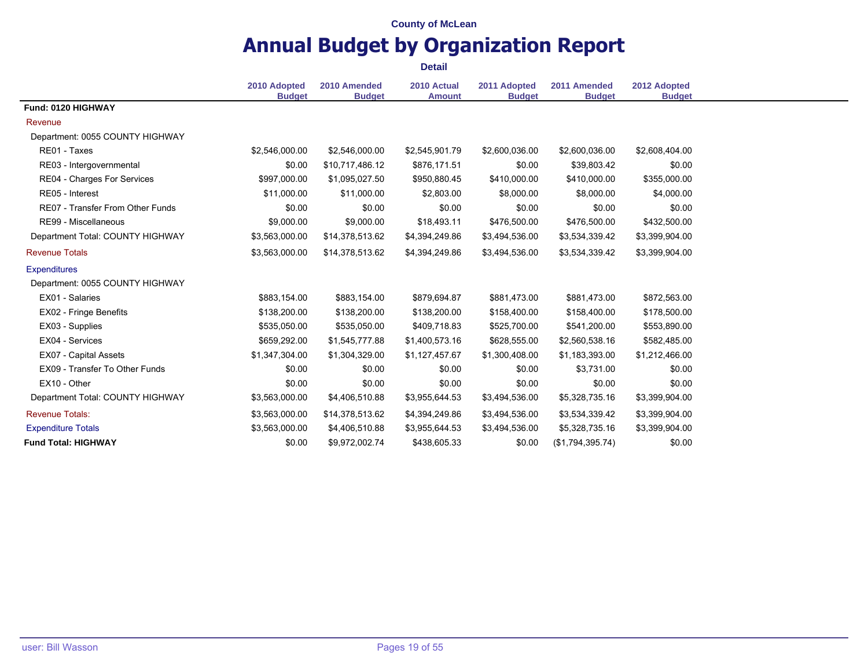|                                  |                               |                               | <b>Detail</b>                |                               |                               |                               |
|----------------------------------|-------------------------------|-------------------------------|------------------------------|-------------------------------|-------------------------------|-------------------------------|
|                                  | 2010 Adopted<br><b>Budget</b> | 2010 Amended<br><b>Budget</b> | 2010 Actual<br><b>Amount</b> | 2011 Adopted<br><b>Budget</b> | 2011 Amended<br><b>Budget</b> | 2012 Adopted<br><b>Budget</b> |
| Fund: 0120 HIGHWAY               |                               |                               |                              |                               |                               |                               |
| Revenue                          |                               |                               |                              |                               |                               |                               |
| Department: 0055 COUNTY HIGHWAY  |                               |                               |                              |                               |                               |                               |
| RE01 - Taxes                     | \$2,546,000.00                | \$2,546,000.00                | \$2,545,901.79               | \$2,600,036.00                | \$2,600,036.00                | \$2,608,404.00                |
| RE03 - Intergovernmental         | \$0.00                        | \$10,717,486.12               | \$876,171.51                 | \$0.00                        | \$39,803.42                   | \$0.00                        |
| RE04 - Charges For Services      | \$997,000.00                  | \$1,095,027.50                | \$950,880.45                 | \$410,000.00                  | \$410,000.00                  | \$355,000.00                  |
| RE05 - Interest                  | \$11,000.00                   | \$11,000.00                   | \$2,803.00                   | \$8,000.00                    | \$8,000.00                    | \$4,000.00                    |
| RE07 - Transfer From Other Funds | \$0.00                        | \$0.00                        | \$0.00                       | \$0.00                        | \$0.00                        | \$0.00                        |
| RE99 - Miscellaneous             | \$9,000.00                    | \$9,000.00                    | \$18,493.11                  | \$476,500.00                  | \$476,500.00                  | \$432,500.00                  |
| Department Total: COUNTY HIGHWAY | \$3,563,000.00                | \$14,378,513.62               | \$4,394,249.86               | \$3,494,536.00                | \$3,534,339.42                | \$3,399,904.00                |
| <b>Revenue Totals</b>            | \$3,563,000.00                | \$14,378,513.62               | \$4,394,249.86               | \$3,494,536.00                | \$3,534,339.42                | \$3,399,904.00                |
| <b>Expenditures</b>              |                               |                               |                              |                               |                               |                               |
| Department: 0055 COUNTY HIGHWAY  |                               |                               |                              |                               |                               |                               |
| EX01 - Salaries                  | \$883,154.00                  | \$883,154.00                  | \$879,694.87                 | \$881,473.00                  | \$881,473.00                  | \$872,563.00                  |
| EX02 - Fringe Benefits           | \$138,200.00                  | \$138,200.00                  | \$138,200.00                 | \$158,400.00                  | \$158,400.00                  | \$178,500.00                  |
| EX03 - Supplies                  | \$535,050.00                  | \$535,050.00                  | \$409,718.83                 | \$525,700.00                  | \$541,200.00                  | \$553,890.00                  |
| EX04 - Services                  | \$659,292.00                  | \$1,545,777.88                | \$1,400,573.16               | \$628,555.00                  | \$2,560,538.16                | \$582,485.00                  |
| <b>EX07 - Capital Assets</b>     | \$1,347,304.00                | \$1,304,329.00                | \$1,127,457.67               | \$1,300,408.00                | \$1,183,393.00                | \$1,212,466.00                |
| EX09 - Transfer To Other Funds   | \$0.00                        | \$0.00                        | \$0.00                       | \$0.00                        | \$3,731.00                    | \$0.00                        |
| EX10 - Other                     | \$0.00                        | \$0.00                        | \$0.00                       | \$0.00                        | \$0.00                        | \$0.00                        |
| Department Total: COUNTY HIGHWAY | \$3,563,000.00                | \$4,406,510.88                | \$3,955,644.53               | \$3,494,536.00                | \$5,328,735.16                | \$3,399,904.00                |
| <b>Revenue Totals:</b>           | \$3,563,000.00                | \$14,378,513.62               | \$4,394,249.86               | \$3,494,536.00                | \$3,534,339.42                | \$3,399,904.00                |
| <b>Expenditure Totals</b>        | \$3,563,000.00                | \$4,406,510.88                | \$3,955,644.53               | \$3,494,536.00                | \$5,328,735.16                | \$3,399,904.00                |
| <b>Fund Total: HIGHWAY</b>       | \$0.00                        | \$9,972,002.74                | \$438,605.33                 | \$0.00                        | (\$1,794,395.74)              | \$0.00                        |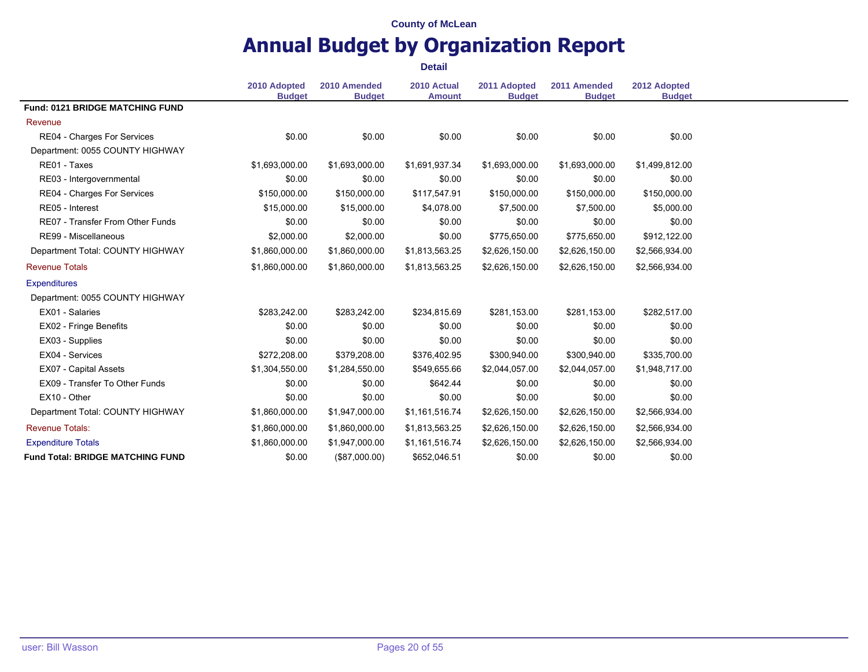|                                         | 2010 Adopted   | 2010 Amended   | 2010 Actual    | 2011 Adopted   | 2011 Amended   | 2012 Adopted   |
|-----------------------------------------|----------------|----------------|----------------|----------------|----------------|----------------|
| <b>Fund: 0121 BRIDGE MATCHING FUND</b>  | <b>Budget</b>  | <b>Budget</b>  | <b>Amount</b>  | <b>Budget</b>  | <b>Budget</b>  | <b>Budget</b>  |
| Revenue                                 |                |                |                |                |                |                |
| RE04 - Charges For Services             | \$0.00         | \$0.00         | \$0.00         | \$0.00         | \$0.00         | \$0.00         |
| Department: 0055 COUNTY HIGHWAY         |                |                |                |                |                |                |
| RE01 - Taxes                            | \$1,693,000.00 | \$1,693,000.00 | \$1,691,937.34 | \$1,693,000.00 | \$1,693,000.00 | \$1,499,812.00 |
| RE03 - Intergovernmental                | \$0.00         | \$0.00         | \$0.00         | \$0.00         | \$0.00         | \$0.00         |
| RE04 - Charges For Services             | \$150,000.00   | \$150,000.00   | \$117,547.91   | \$150,000.00   | \$150,000.00   | \$150,000.00   |
| RE05 - Interest                         | \$15,000.00    | \$15,000.00    | \$4,078.00     | \$7,500.00     | \$7,500.00     | \$5,000.00     |
| RE07 - Transfer From Other Funds        | \$0.00         | \$0.00         | \$0.00         | \$0.00         | \$0.00         | \$0.00         |
| RE99 - Miscellaneous                    | \$2,000.00     | \$2,000.00     | \$0.00         | \$775,650.00   | \$775,650.00   | \$912,122.00   |
| Department Total: COUNTY HIGHWAY        | \$1,860,000.00 | \$1,860,000.00 | \$1,813,563.25 | \$2,626,150.00 | \$2,626,150.00 | \$2,566,934.00 |
| <b>Revenue Totals</b>                   | \$1,860,000.00 | \$1,860,000.00 | \$1,813,563.25 | \$2,626,150.00 | \$2,626,150.00 | \$2,566,934.00 |
| <b>Expenditures</b>                     |                |                |                |                |                |                |
| Department: 0055 COUNTY HIGHWAY         |                |                |                |                |                |                |
| EX01 - Salaries                         | \$283,242.00   | \$283,242.00   | \$234,815.69   | \$281,153.00   | \$281,153.00   | \$282,517.00   |
| EX02 - Fringe Benefits                  | \$0.00         | \$0.00         | \$0.00         | \$0.00         | \$0.00         | \$0.00         |
| EX03 - Supplies                         | \$0.00         | \$0.00         | \$0.00         | \$0.00         | \$0.00         | \$0.00         |
| EX04 - Services                         | \$272,208.00   | \$379,208.00   | \$376,402.95   | \$300,940.00   | \$300,940.00   | \$335,700.00   |
| EX07 - Capital Assets                   | \$1,304,550.00 | \$1,284,550.00 | \$549,655.66   | \$2,044,057.00 | \$2,044,057.00 | \$1,948,717.00 |
| EX09 - Transfer To Other Funds          | \$0.00         | \$0.00         | \$642.44       | \$0.00         | \$0.00         | \$0.00         |
| EX10 - Other                            | \$0.00         | \$0.00         | \$0.00         | \$0.00         | \$0.00         | \$0.00         |
| Department Total: COUNTY HIGHWAY        | \$1,860,000.00 | \$1,947,000.00 | \$1,161,516.74 | \$2,626,150.00 | \$2,626,150.00 | \$2,566,934.00 |
| <b>Revenue Totals:</b>                  | \$1,860,000.00 | \$1,860,000.00 | \$1,813,563.25 | \$2,626,150.00 | \$2,626,150.00 | \$2,566,934.00 |
| <b>Expenditure Totals</b>               | \$1,860,000.00 | \$1,947,000.00 | \$1,161,516.74 | \$2,626,150.00 | \$2,626,150.00 | \$2,566,934.00 |
| <b>Fund Total: BRIDGE MATCHING FUND</b> | \$0.00         | (\$87,000.00)  | \$652,046.51   | \$0.00         | \$0.00         | \$0.00         |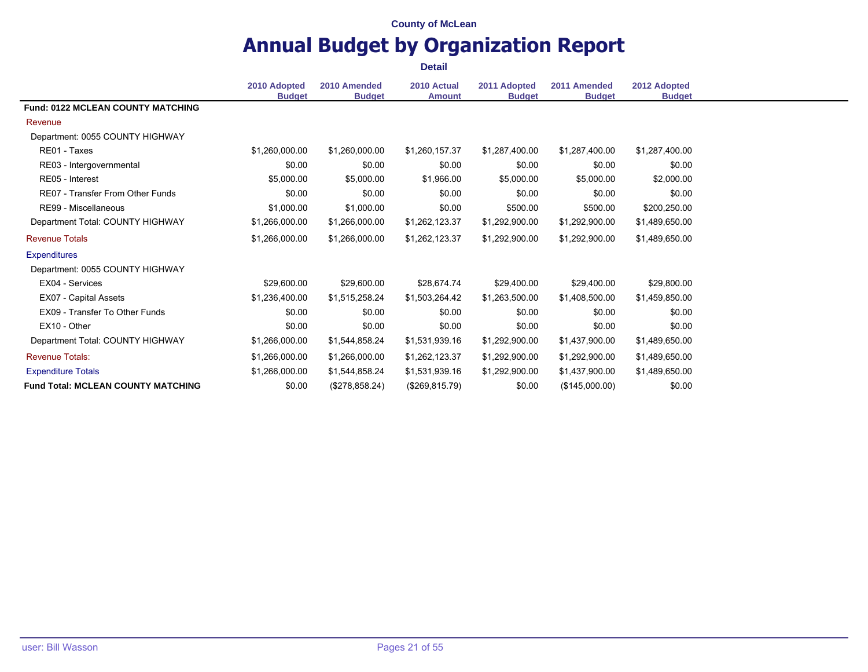|                                           | <b>Detail</b>                 |                               |                              |                               |                               |                               |  |  |
|-------------------------------------------|-------------------------------|-------------------------------|------------------------------|-------------------------------|-------------------------------|-------------------------------|--|--|
|                                           | 2010 Adopted<br><b>Budget</b> | 2010 Amended<br><b>Budget</b> | 2010 Actual<br><b>Amount</b> | 2011 Adopted<br><b>Budget</b> | 2011 Amended<br><b>Budget</b> | 2012 Adopted<br><b>Budget</b> |  |  |
| <b>Fund: 0122 MCLEAN COUNTY MATCHING</b>  |                               |                               |                              |                               |                               |                               |  |  |
| Revenue                                   |                               |                               |                              |                               |                               |                               |  |  |
| Department: 0055 COUNTY HIGHWAY           |                               |                               |                              |                               |                               |                               |  |  |
| RE01 - Taxes                              | \$1,260,000.00                | \$1,260,000.00                | \$1,260,157.37               | \$1.287.400.00                | \$1.287.400.00                | \$1,287,400.00                |  |  |
| RE03 - Intergovernmental                  | \$0.00                        | \$0.00                        | \$0.00                       | \$0.00                        | \$0.00                        | \$0.00                        |  |  |
| RE05 - Interest                           | \$5,000.00                    | \$5,000.00                    | \$1,966.00                   | \$5,000.00                    | \$5,000.00                    | \$2,000.00                    |  |  |
| RE07 - Transfer From Other Funds          | \$0.00                        | \$0.00                        | \$0.00                       | \$0.00                        | \$0.00                        | \$0.00                        |  |  |
| RE99 - Miscellaneous                      | \$1,000.00                    | \$1,000.00                    | \$0.00                       | \$500.00                      | \$500.00                      | \$200,250.00                  |  |  |
| Department Total: COUNTY HIGHWAY          | \$1,266,000.00                | \$1,266,000.00                | \$1,262,123.37               | \$1,292,900.00                | \$1,292,900.00                | \$1,489,650.00                |  |  |
| <b>Revenue Totals</b>                     | \$1,266,000.00                | \$1,266,000.00                | \$1,262,123.37               | \$1,292,900.00                | \$1,292,900.00                | \$1,489,650.00                |  |  |
| <b>Expenditures</b>                       |                               |                               |                              |                               |                               |                               |  |  |
| Department: 0055 COUNTY HIGHWAY           |                               |                               |                              |                               |                               |                               |  |  |
| EX04 - Services                           | \$29,600.00                   | \$29,600.00                   | \$28,674.74                  | \$29,400.00                   | \$29,400.00                   | \$29,800.00                   |  |  |
| EX07 - Capital Assets                     | \$1,236,400.00                | \$1,515,258.24                | \$1,503,264.42               | \$1,263,500.00                | \$1,408,500.00                | \$1,459,850.00                |  |  |
| EX09 - Transfer To Other Funds            | \$0.00                        | \$0.00                        | \$0.00                       | \$0.00                        | \$0.00                        | \$0.00                        |  |  |
| EX10 - Other                              | \$0.00                        | \$0.00                        | \$0.00                       | \$0.00                        | \$0.00                        | \$0.00                        |  |  |
| Department Total: COUNTY HIGHWAY          | \$1,266,000.00                | \$1,544,858.24                | \$1,531,939.16               | \$1,292,900.00                | \$1,437,900.00                | \$1,489,650.00                |  |  |
| <b>Revenue Totals:</b>                    | \$1,266,000.00                | \$1,266,000.00                | \$1,262,123.37               | \$1,292,900.00                | \$1,292,900.00                | \$1,489,650.00                |  |  |
| <b>Expenditure Totals</b>                 | \$1,266,000.00                | \$1,544,858.24                | \$1,531,939.16               | \$1,292,900.00                | \$1,437,900.00                | \$1,489,650.00                |  |  |
| <b>Fund Total: MCLEAN COUNTY MATCHING</b> | \$0.00                        | (\$278,858.24)                | (\$269, 815.79)              | \$0.00                        | (\$145,000.00)                | \$0.00                        |  |  |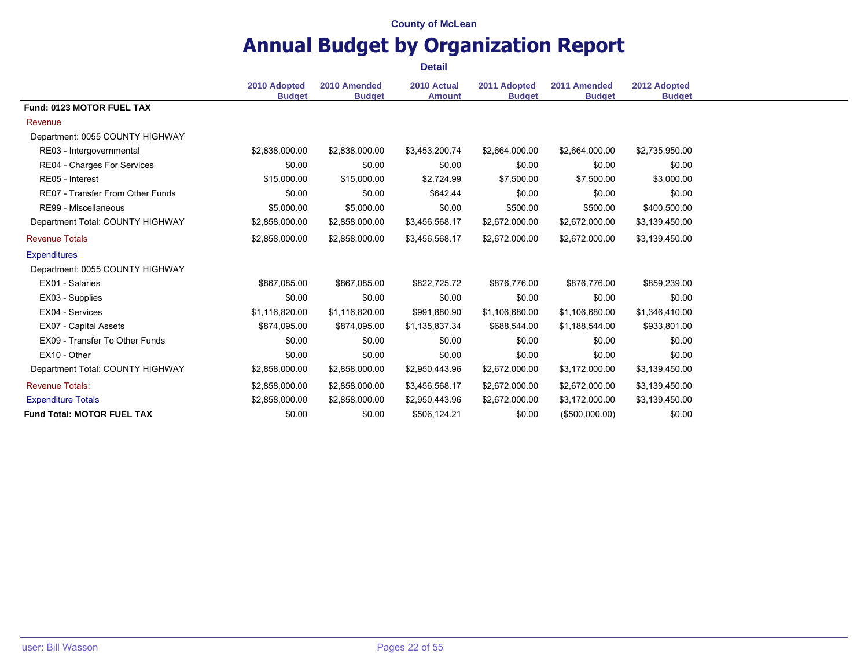|                                   |                               |                               | <b>Detail</b>                |                               |                               |                               |
|-----------------------------------|-------------------------------|-------------------------------|------------------------------|-------------------------------|-------------------------------|-------------------------------|
|                                   | 2010 Adopted<br><b>Budget</b> | 2010 Amended<br><b>Budget</b> | 2010 Actual<br><b>Amount</b> | 2011 Adopted<br><b>Budget</b> | 2011 Amended<br><b>Budget</b> | 2012 Adopted<br><b>Budget</b> |
| <b>Fund: 0123 MOTOR FUEL TAX</b>  |                               |                               |                              |                               |                               |                               |
| Revenue                           |                               |                               |                              |                               |                               |                               |
| Department: 0055 COUNTY HIGHWAY   |                               |                               |                              |                               |                               |                               |
| RE03 - Intergovernmental          | \$2,838,000.00                | \$2,838,000.00                | \$3,453,200.74               | \$2,664,000.00                | \$2,664,000.00                | \$2,735,950.00                |
| RE04 - Charges For Services       | \$0.00                        | \$0.00                        | \$0.00                       | \$0.00                        | \$0.00                        | \$0.00                        |
| RE05 - Interest                   | \$15,000.00                   | \$15,000.00                   | \$2,724.99                   | \$7,500.00                    | \$7,500.00                    | \$3,000.00                    |
| RE07 - Transfer From Other Funds  | \$0.00                        | \$0.00                        | \$642.44                     | \$0.00                        | \$0.00                        | \$0.00                        |
| RE99 - Miscellaneous              | \$5,000.00                    | \$5,000.00                    | \$0.00                       | \$500.00                      | \$500.00                      | \$400,500.00                  |
| Department Total: COUNTY HIGHWAY  | \$2,858,000.00                | \$2,858,000.00                | \$3,456,568.17               | \$2,672,000.00                | \$2,672,000.00                | \$3,139,450.00                |
| <b>Revenue Totals</b>             | \$2,858,000.00                | \$2,858,000.00                | \$3,456,568.17               | \$2,672,000.00                | \$2,672,000.00                | \$3,139,450.00                |
| <b>Expenditures</b>               |                               |                               |                              |                               |                               |                               |
| Department: 0055 COUNTY HIGHWAY   |                               |                               |                              |                               |                               |                               |
| EX01 - Salaries                   | \$867,085.00                  | \$867,085.00                  | \$822,725.72                 | \$876,776.00                  | \$876,776.00                  | \$859,239.00                  |
| EX03 - Supplies                   | \$0.00                        | \$0.00                        | \$0.00                       | \$0.00                        | \$0.00                        | \$0.00                        |
| EX04 - Services                   | \$1,116,820.00                | \$1,116,820.00                | \$991,880.90                 | \$1,106,680.00                | \$1,106,680.00                | \$1,346,410.00                |
| EX07 - Capital Assets             | \$874,095.00                  | \$874,095.00                  | \$1,135,837.34               | \$688,544.00                  | \$1,188,544.00                | \$933,801.00                  |
| EX09 - Transfer To Other Funds    | \$0.00                        | \$0.00                        | \$0.00                       | \$0.00                        | \$0.00                        | \$0.00                        |
| EX10 - Other                      | \$0.00                        | \$0.00                        | \$0.00                       | \$0.00                        | \$0.00                        | \$0.00                        |
| Department Total: COUNTY HIGHWAY  | \$2,858,000.00                | \$2,858,000.00                | \$2,950,443.96               | \$2,672,000.00                | \$3,172,000.00                | \$3,139,450.00                |
| <b>Revenue Totals:</b>            | \$2,858,000.00                | \$2,858,000.00                | \$3,456,568.17               | \$2,672,000.00                | \$2,672,000.00                | \$3,139,450.00                |
| <b>Expenditure Totals</b>         | \$2,858,000.00                | \$2,858,000.00                | \$2,950,443.96               | \$2,672,000.00                | \$3,172,000.00                | \$3,139,450.00                |
| <b>Fund Total: MOTOR FUEL TAX</b> | \$0.00                        | \$0.00                        | \$506,124.21                 | \$0.00                        | (\$500,000.00)                | \$0.00                        |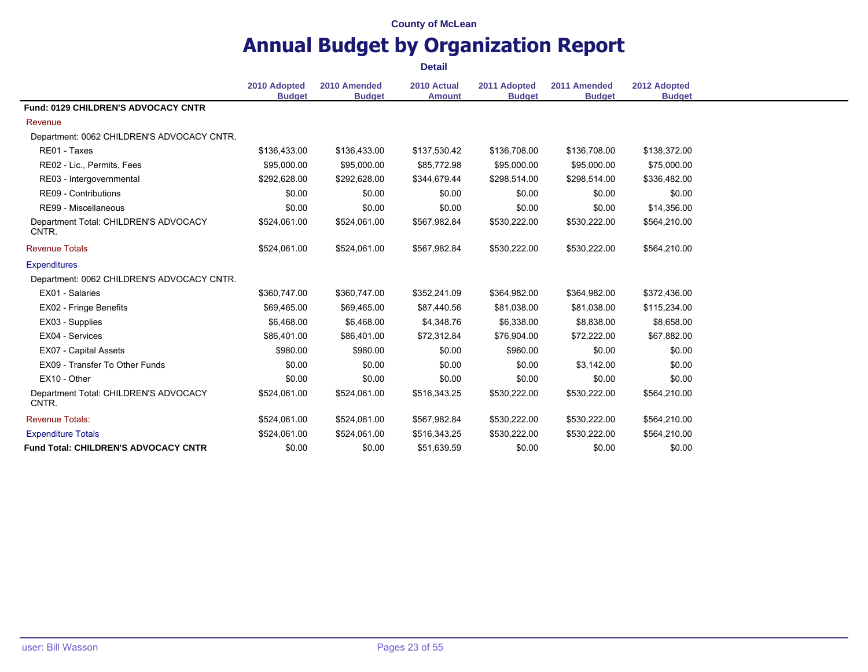|                                                |                               |                               | <b>Detail</b>                |                               |                               |                               |
|------------------------------------------------|-------------------------------|-------------------------------|------------------------------|-------------------------------|-------------------------------|-------------------------------|
|                                                | 2010 Adopted<br><b>Budget</b> | 2010 Amended<br><b>Budget</b> | 2010 Actual<br><b>Amount</b> | 2011 Adopted<br><b>Budget</b> | 2011 Amended<br><b>Budget</b> | 2012 Adopted<br><b>Budget</b> |
| Fund: 0129 CHILDREN'S ADVOCACY CNTR            |                               |                               |                              |                               |                               |                               |
| Revenue                                        |                               |                               |                              |                               |                               |                               |
| Department: 0062 CHILDREN'S ADVOCACY CNTR.     |                               |                               |                              |                               |                               |                               |
| RE01 - Taxes                                   | \$136,433.00                  | \$136,433.00                  | \$137,530.42                 | \$136,708.00                  | \$136,708.00                  | \$138,372.00                  |
| RE02 - Lic., Permits, Fees                     | \$95,000.00                   | \$95,000.00                   | \$85,772.98                  | \$95,000.00                   | \$95,000.00                   | \$75,000.00                   |
| RE03 - Intergovernmental                       | \$292,628.00                  | \$292,628.00                  | \$344,679.44                 | \$298,514.00                  | \$298,514.00                  | \$336,482.00                  |
| RE09 - Contributions                           | \$0.00                        | \$0.00                        | \$0.00                       | \$0.00                        | \$0.00                        | \$0.00                        |
| RE99 - Miscellaneous                           | \$0.00                        | \$0.00                        | \$0.00                       | \$0.00                        | \$0.00                        | \$14,356.00                   |
| Department Total: CHILDREN'S ADVOCACY<br>CNTR. | \$524,061.00                  | \$524,061.00                  | \$567,982.84                 | \$530,222.00                  | \$530,222.00                  | \$564,210.00                  |
| <b>Revenue Totals</b>                          | \$524,061.00                  | \$524,061.00                  | \$567,982.84                 | \$530,222.00                  | \$530,222.00                  | \$564,210.00                  |
| <b>Expenditures</b>                            |                               |                               |                              |                               |                               |                               |
| Department: 0062 CHILDREN'S ADVOCACY CNTR.     |                               |                               |                              |                               |                               |                               |
| EX01 - Salaries                                | \$360,747.00                  | \$360,747.00                  | \$352,241.09                 | \$364,982.00                  | \$364,982.00                  | \$372,436.00                  |
| EX02 - Fringe Benefits                         | \$69,465.00                   | \$69,465.00                   | \$87,440.56                  | \$81,038.00                   | \$81,038.00                   | \$115,234.00                  |
| EX03 - Supplies                                | \$6,468.00                    | \$6,468.00                    | \$4,348.76                   | \$6,338.00                    | \$8,838.00                    | \$8,658.00                    |
| EX04 - Services                                | \$86,401.00                   | \$86,401.00                   | \$72,312.84                  | \$76,904.00                   | \$72,222.00                   | \$67,882.00                   |
| <b>EX07 - Capital Assets</b>                   | \$980.00                      | \$980.00                      | \$0.00                       | \$960.00                      | \$0.00                        | \$0.00                        |
| EX09 - Transfer To Other Funds                 | \$0.00                        | \$0.00                        | \$0.00                       | \$0.00                        | \$3,142.00                    | \$0.00                        |
| EX10 - Other                                   | \$0.00                        | \$0.00                        | \$0.00                       | \$0.00                        | \$0.00                        | \$0.00                        |
| Department Total: CHILDREN'S ADVOCACY<br>CNTR. | \$524,061.00                  | \$524,061.00                  | \$516,343.25                 | \$530,222.00                  | \$530,222.00                  | \$564,210.00                  |
| <b>Revenue Totals:</b>                         | \$524,061.00                  | \$524,061.00                  | \$567,982.84                 | \$530,222.00                  | \$530,222.00                  | \$564,210.00                  |
| <b>Expenditure Totals</b>                      | \$524,061.00                  | \$524,061.00                  | \$516,343.25                 | \$530,222.00                  | \$530,222.00                  | \$564,210.00                  |
| <b>Fund Total: CHILDREN'S ADVOCACY CNTR</b>    | \$0.00                        | \$0.00                        | \$51,639.59                  | \$0.00                        | \$0.00                        | \$0.00                        |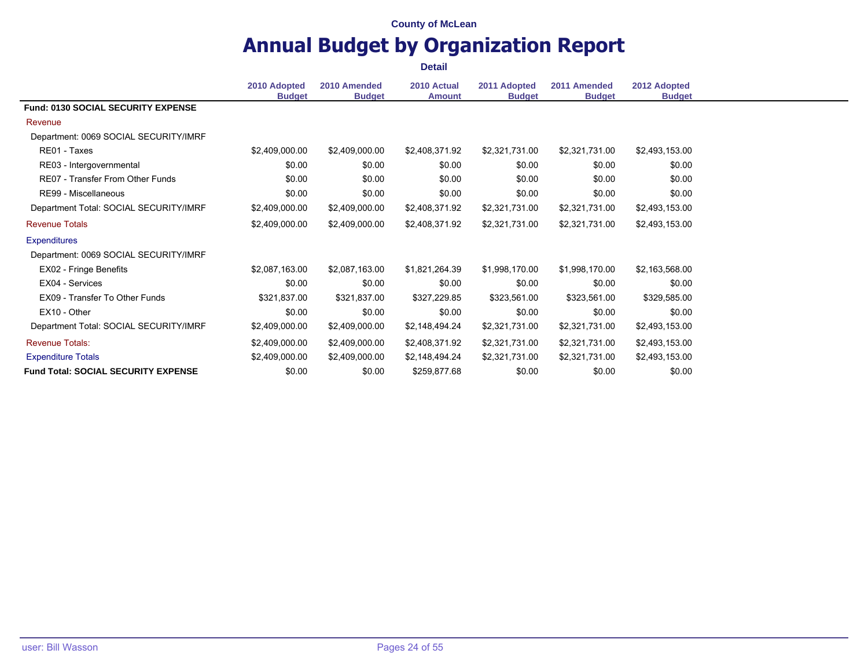|                                            |                |                | <b>Detail</b>  |                |                |                |
|--------------------------------------------|----------------|----------------|----------------|----------------|----------------|----------------|
|                                            | 2010 Adopted   | 2010 Amended   | 2010 Actual    | 2011 Adopted   | 2011 Amended   | 2012 Adopted   |
| <b>Fund: 0130 SOCIAL SECURITY EXPENSE</b>  | <b>Budget</b>  | <b>Budget</b>  | <b>Amount</b>  | <b>Budget</b>  | <b>Budget</b>  | <b>Budget</b>  |
|                                            |                |                |                |                |                |                |
| Revenue                                    |                |                |                |                |                |                |
| Department: 0069 SOCIAL SECURITY/IMRF      |                |                |                |                |                |                |
| RE01 - Taxes                               | \$2,409,000.00 | \$2,409,000.00 | \$2,408,371.92 | \$2,321,731.00 | \$2,321,731.00 | \$2,493,153.00 |
| RE03 - Intergovernmental                   | \$0.00         | \$0.00         | \$0.00         | \$0.00         | \$0.00         | \$0.00         |
| RE07 - Transfer From Other Funds           | \$0.00         | \$0.00         | \$0.00         | \$0.00         | \$0.00         | \$0.00         |
| RE99 - Miscellaneous                       | \$0.00         | \$0.00         | \$0.00         | \$0.00         | \$0.00         | \$0.00         |
| Department Total: SOCIAL SECURITY/IMRF     | \$2,409,000.00 | \$2,409,000.00 | \$2,408,371.92 | \$2,321,731.00 | \$2,321,731.00 | \$2,493,153.00 |
| <b>Revenue Totals</b>                      | \$2,409,000.00 | \$2,409,000.00 | \$2,408,371.92 | \$2,321,731.00 | \$2,321,731.00 | \$2,493,153.00 |
| <b>Expenditures</b>                        |                |                |                |                |                |                |
| Department: 0069 SOCIAL SECURITY/IMRF      |                |                |                |                |                |                |
| EX02 - Fringe Benefits                     | \$2,087,163.00 | \$2,087,163.00 | \$1,821,264.39 | \$1,998,170.00 | \$1,998,170.00 | \$2,163,568.00 |
| EX04 - Services                            | \$0.00         | \$0.00         | \$0.00         | \$0.00         | \$0.00         | \$0.00         |
| EX09 - Transfer To Other Funds             | \$321,837.00   | \$321,837.00   | \$327,229.85   | \$323,561.00   | \$323,561.00   | \$329,585.00   |
| EX10 - Other                               | \$0.00         | \$0.00         | \$0.00         | \$0.00         | \$0.00         | \$0.00         |
| Department Total: SOCIAL SECURITY/IMRF     | \$2,409,000.00 | \$2,409,000.00 | \$2,148,494.24 | \$2,321,731.00 | \$2,321,731.00 | \$2,493,153.00 |
| <b>Revenue Totals:</b>                     | \$2,409,000.00 | \$2,409,000.00 | \$2,408,371.92 | \$2,321,731.00 | \$2,321,731.00 | \$2,493,153.00 |
| <b>Expenditure Totals</b>                  | \$2,409,000.00 | \$2,409,000.00 | \$2,148,494.24 | \$2,321,731.00 | \$2,321,731.00 | \$2,493,153.00 |
| <b>Fund Total: SOCIAL SECURITY EXPENSE</b> | \$0.00         | \$0.00         | \$259,877.68   | \$0.00         | \$0.00         | \$0.00         |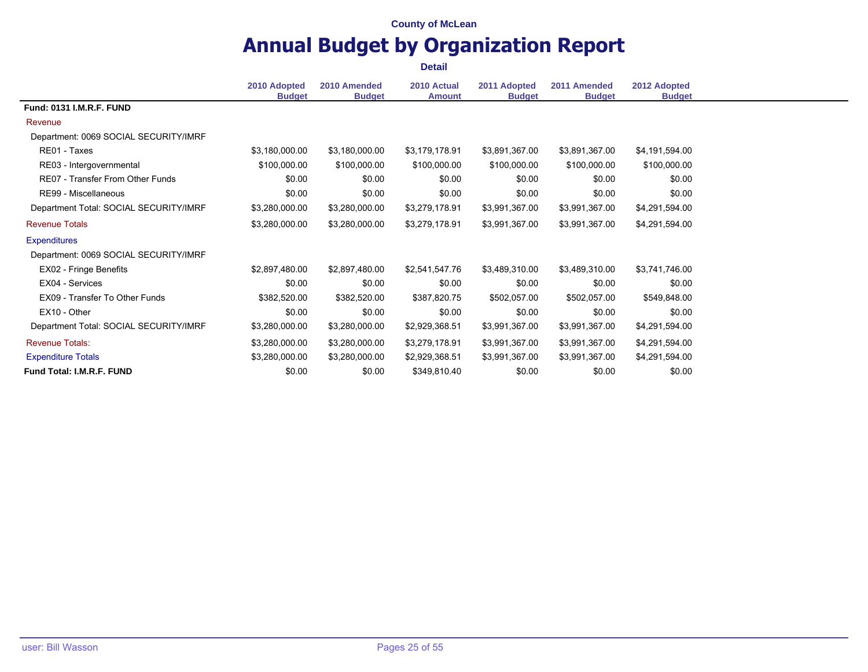|                                        | <b>Detail</b>  |                |                |                |                |                |  |  |
|----------------------------------------|----------------|----------------|----------------|----------------|----------------|----------------|--|--|
|                                        | 2010 Adopted   | 2010 Amended   | 2010 Actual    | 2011 Adopted   | 2011 Amended   | 2012 Adopted   |  |  |
| <b>Fund: 0131 I.M.R.F. FUND</b>        | <b>Budget</b>  | <b>Budget</b>  | <b>Amount</b>  | <b>Budget</b>  | <b>Budget</b>  | <b>Budget</b>  |  |  |
| Revenue                                |                |                |                |                |                |                |  |  |
| Department: 0069 SOCIAL SECURITY/IMRF  |                |                |                |                |                |                |  |  |
| RE01 - Taxes                           | \$3,180,000.00 | \$3,180,000.00 | \$3,179,178.91 | \$3,891,367.00 | \$3,891,367.00 | \$4,191,594.00 |  |  |
| RE03 - Intergovernmental               | \$100,000.00   | \$100,000.00   | \$100,000.00   | \$100,000.00   | \$100,000.00   | \$100,000.00   |  |  |
| RE07 - Transfer From Other Funds       | \$0.00         | \$0.00         | \$0.00         | \$0.00         | \$0.00         | \$0.00         |  |  |
|                                        |                |                |                |                |                |                |  |  |
| RE99 - Miscellaneous                   | \$0.00         | \$0.00         | \$0.00         | \$0.00         | \$0.00         | \$0.00         |  |  |
| Department Total: SOCIAL SECURITY/IMRF | \$3,280,000.00 | \$3,280,000.00 | \$3,279,178.91 | \$3,991,367.00 | \$3,991,367.00 | \$4,291,594.00 |  |  |
| <b>Revenue Totals</b>                  | \$3,280,000.00 | \$3,280,000.00 | \$3,279,178.91 | \$3,991,367.00 | \$3,991,367.00 | \$4,291,594.00 |  |  |
| <b>Expenditures</b>                    |                |                |                |                |                |                |  |  |
| Department: 0069 SOCIAL SECURITY/IMRF  |                |                |                |                |                |                |  |  |
| EX02 - Fringe Benefits                 | \$2.897.480.00 | \$2,897,480.00 | \$2,541,547.76 | \$3,489,310.00 | \$3,489,310.00 | \$3,741,746.00 |  |  |
| EX04 - Services                        | \$0.00         | \$0.00         | \$0.00         | \$0.00         | \$0.00         | \$0.00         |  |  |
| EX09 - Transfer To Other Funds         | \$382,520.00   | \$382,520.00   | \$387,820.75   | \$502,057.00   | \$502,057.00   | \$549,848.00   |  |  |
| EX10 - Other                           | \$0.00         | \$0.00         | \$0.00         | \$0.00         | \$0.00         | \$0.00         |  |  |
| Department Total: SOCIAL SECURITY/IMRF | \$3,280,000.00 | \$3,280,000.00 | \$2,929,368.51 | \$3,991,367.00 | \$3,991,367.00 | \$4,291,594.00 |  |  |
| <b>Revenue Totals:</b>                 | \$3,280,000.00 | \$3,280,000.00 | \$3,279,178.91 | \$3,991,367.00 | \$3,991,367.00 | \$4,291,594.00 |  |  |
| <b>Expenditure Totals</b>              | \$3,280,000.00 | \$3,280,000.00 | \$2,929,368.51 | \$3,991,367.00 | \$3,991,367.00 | \$4,291,594.00 |  |  |
| <b>Fund Total: I.M.R.F. FUND</b>       | \$0.00         | \$0.00         | \$349,810.40   | \$0.00         | \$0.00         | \$0.00         |  |  |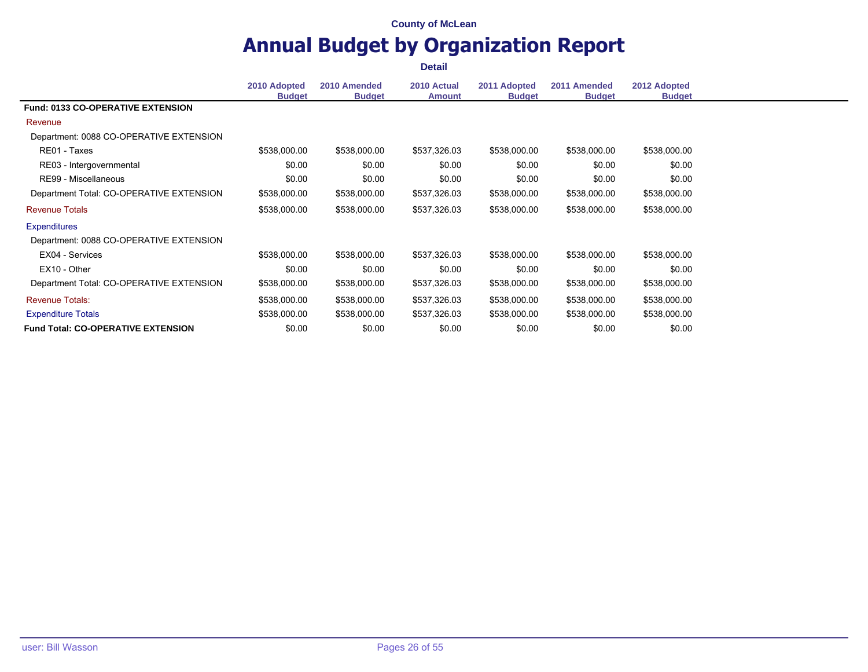|                                           | <b>Detail</b>                 |                               |                              |                               |                               |                               |  |  |
|-------------------------------------------|-------------------------------|-------------------------------|------------------------------|-------------------------------|-------------------------------|-------------------------------|--|--|
|                                           | 2010 Adopted<br><b>Budget</b> | 2010 Amended<br><b>Budget</b> | 2010 Actual<br><b>Amount</b> | 2011 Adopted<br><b>Budget</b> | 2011 Amended<br><b>Budget</b> | 2012 Adopted<br><b>Budget</b> |  |  |
| <b>Fund: 0133 CO-OPERATIVE EXTENSION</b>  |                               |                               |                              |                               |                               |                               |  |  |
| Revenue                                   |                               |                               |                              |                               |                               |                               |  |  |
| Department: 0088 CO-OPERATIVE EXTENSION   |                               |                               |                              |                               |                               |                               |  |  |
| RE01 - Taxes                              | \$538,000.00                  | \$538,000.00                  | \$537,326.03                 | \$538,000.00                  | \$538,000.00                  | \$538,000.00                  |  |  |
| RE03 - Intergovernmental                  | \$0.00                        | \$0.00                        | \$0.00                       | \$0.00                        | \$0.00                        | \$0.00                        |  |  |
| RE99 - Miscellaneous                      | \$0.00                        | \$0.00                        | \$0.00                       | \$0.00                        | \$0.00                        | \$0.00                        |  |  |
| Department Total: CO-OPERATIVE EXTENSION  | \$538,000.00                  | \$538,000.00                  | \$537,326.03                 | \$538,000.00                  | \$538,000.00                  | \$538,000.00                  |  |  |
| <b>Revenue Totals</b>                     | \$538,000.00                  | \$538,000.00                  | \$537,326.03                 | \$538,000.00                  | \$538,000.00                  | \$538,000.00                  |  |  |
| <b>Expenditures</b>                       |                               |                               |                              |                               |                               |                               |  |  |
| Department: 0088 CO-OPERATIVE EXTENSION   |                               |                               |                              |                               |                               |                               |  |  |
| EX04 - Services                           | \$538,000.00                  | \$538,000.00                  | \$537,326.03                 | \$538,000.00                  | \$538,000.00                  | \$538,000.00                  |  |  |
| EX10 - Other                              | \$0.00                        | \$0.00                        | \$0.00                       | \$0.00                        | \$0.00                        | \$0.00                        |  |  |
| Department Total: CO-OPERATIVE EXTENSION  | \$538,000.00                  | \$538,000.00                  | \$537,326.03                 | \$538,000.00                  | \$538,000.00                  | \$538,000.00                  |  |  |
| <b>Revenue Totals:</b>                    | \$538,000.00                  | \$538,000.00                  | \$537,326.03                 | \$538,000.00                  | \$538,000.00                  | \$538,000.00                  |  |  |
| <b>Expenditure Totals</b>                 | \$538,000.00                  | \$538,000.00                  | \$537,326.03                 | \$538,000.00                  | \$538,000.00                  | \$538,000.00                  |  |  |
| <b>Fund Total: CO-OPERATIVE EXTENSION</b> | \$0.00                        | \$0.00                        | \$0.00                       | \$0.00                        | \$0.00                        | \$0.00                        |  |  |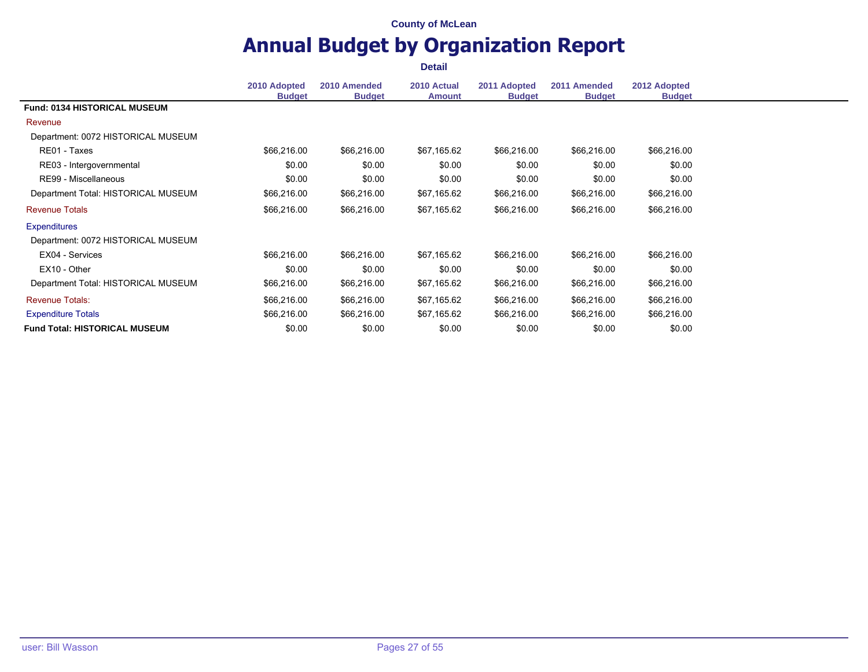|                                      | <b>Detail</b>                 |                               |                              |                               |                               |                               |  |  |
|--------------------------------------|-------------------------------|-------------------------------|------------------------------|-------------------------------|-------------------------------|-------------------------------|--|--|
|                                      | 2010 Adopted<br><b>Budget</b> | 2010 Amended<br><b>Budget</b> | 2010 Actual<br><b>Amount</b> | 2011 Adopted<br><b>Budget</b> | 2011 Amended<br><b>Budget</b> | 2012 Adopted<br><b>Budget</b> |  |  |
| Fund: 0134 HISTORICAL MUSEUM         |                               |                               |                              |                               |                               |                               |  |  |
| Revenue                              |                               |                               |                              |                               |                               |                               |  |  |
| Department: 0072 HISTORICAL MUSEUM   |                               |                               |                              |                               |                               |                               |  |  |
| RE01 - Taxes                         | \$66,216.00                   | \$66,216.00                   | \$67,165.62                  | \$66,216.00                   | \$66,216.00                   | \$66,216.00                   |  |  |
| RE03 - Intergovernmental             | \$0.00                        | \$0.00                        | \$0.00                       | \$0.00                        | \$0.00                        | \$0.00                        |  |  |
| RE99 - Miscellaneous                 | \$0.00                        | \$0.00                        | \$0.00                       | \$0.00                        | \$0.00                        | \$0.00                        |  |  |
| Department Total: HISTORICAL MUSEUM  | \$66,216.00                   | \$66,216.00                   | \$67,165.62                  | \$66,216.00                   | \$66,216.00                   | \$66,216.00                   |  |  |
| <b>Revenue Totals</b>                | \$66,216.00                   | \$66,216.00                   | \$67,165.62                  | \$66,216.00                   | \$66,216.00                   | \$66,216.00                   |  |  |
| <b>Expenditures</b>                  |                               |                               |                              |                               |                               |                               |  |  |
| Department: 0072 HISTORICAL MUSEUM   |                               |                               |                              |                               |                               |                               |  |  |
| EX04 - Services                      | \$66,216.00                   | \$66,216.00                   | \$67,165.62                  | \$66,216.00                   | \$66,216.00                   | \$66,216.00                   |  |  |
| EX10 - Other                         | \$0.00                        | \$0.00                        | \$0.00                       | \$0.00                        | \$0.00                        | \$0.00                        |  |  |
| Department Total: HISTORICAL MUSEUM  | \$66,216.00                   | \$66,216.00                   | \$67,165.62                  | \$66,216.00                   | \$66,216.00                   | \$66,216.00                   |  |  |
| <b>Revenue Totals:</b>               | \$66,216.00                   | \$66,216.00                   | \$67,165.62                  | \$66,216.00                   | \$66,216.00                   | \$66,216.00                   |  |  |
| <b>Expenditure Totals</b>            | \$66,216.00                   | \$66,216.00                   | \$67,165.62                  | \$66,216.00                   | \$66,216.00                   | \$66,216.00                   |  |  |
| <b>Fund Total: HISTORICAL MUSEUM</b> | \$0.00                        | \$0.00                        | \$0.00                       | \$0.00                        | \$0.00                        | \$0.00                        |  |  |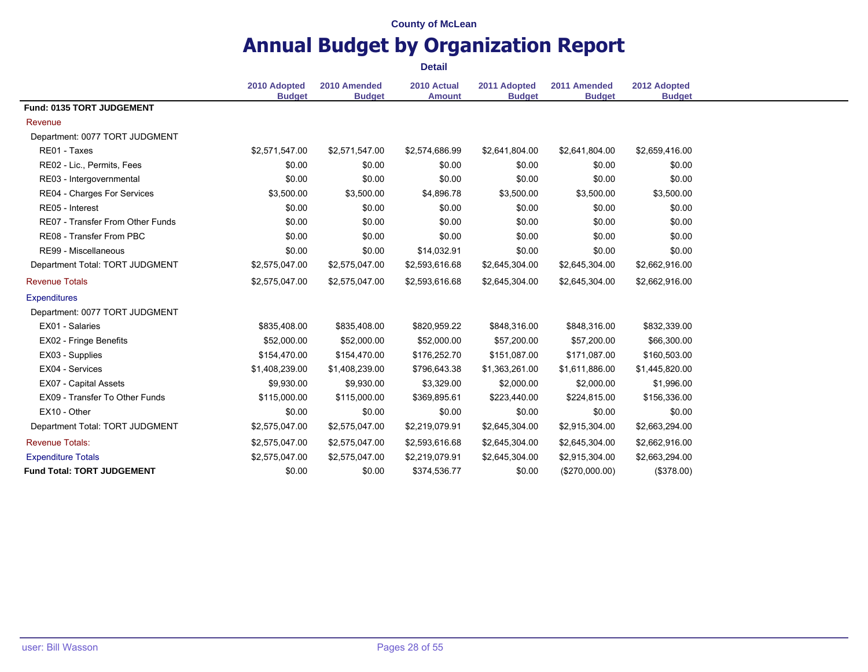|                                   |                               |                               | <b>Detail</b>                |                               |                               |                               |
|-----------------------------------|-------------------------------|-------------------------------|------------------------------|-------------------------------|-------------------------------|-------------------------------|
|                                   | 2010 Adopted<br><b>Budget</b> | 2010 Amended<br><b>Budget</b> | 2010 Actual<br><b>Amount</b> | 2011 Adopted<br><b>Budget</b> | 2011 Amended<br><b>Budget</b> | 2012 Adopted<br><b>Budget</b> |
| Fund: 0135 TORT JUDGEMENT         |                               |                               |                              |                               |                               |                               |
| Revenue                           |                               |                               |                              |                               |                               |                               |
| Department: 0077 TORT JUDGMENT    |                               |                               |                              |                               |                               |                               |
| RE01 - Taxes                      | \$2,571,547.00                | \$2,571,547.00                | \$2,574,686.99               | \$2,641,804.00                | \$2,641,804.00                | \$2,659,416.00                |
| RE02 - Lic., Permits, Fees        | \$0.00                        | \$0.00                        | \$0.00                       | \$0.00                        | \$0.00                        | \$0.00                        |
| RE03 - Intergovernmental          | \$0.00                        | \$0.00                        | \$0.00                       | \$0.00                        | \$0.00                        | \$0.00                        |
| RE04 - Charges For Services       | \$3,500.00                    | \$3,500.00                    | \$4,896.78                   | \$3,500.00                    | \$3,500.00                    | \$3,500.00                    |
| RE05 - Interest                   | \$0.00                        | \$0.00                        | \$0.00                       | \$0.00                        | \$0.00                        | \$0.00                        |
| RE07 - Transfer From Other Funds  | \$0.00                        | \$0.00                        | \$0.00                       | \$0.00                        | \$0.00                        | \$0.00                        |
| RE08 - Transfer From PBC          | \$0.00                        | \$0.00                        | \$0.00                       | \$0.00                        | \$0.00                        | \$0.00                        |
| RE99 - Miscellaneous              | \$0.00                        | \$0.00                        | \$14,032.91                  | \$0.00                        | \$0.00                        | \$0.00                        |
| Department Total: TORT JUDGMENT   | \$2,575,047.00                | \$2,575,047.00                | \$2,593,616.68               | \$2,645,304.00                | \$2,645,304.00                | \$2,662,916.00                |
| <b>Revenue Totals</b>             | \$2,575,047.00                | \$2,575,047.00                | \$2,593,616.68               | \$2,645,304.00                | \$2,645,304.00                | \$2,662,916.00                |
| <b>Expenditures</b>               |                               |                               |                              |                               |                               |                               |
| Department: 0077 TORT JUDGMENT    |                               |                               |                              |                               |                               |                               |
| EX01 - Salaries                   | \$835,408.00                  | \$835,408.00                  | \$820,959.22                 | \$848,316.00                  | \$848,316.00                  | \$832,339.00                  |
| EX02 - Fringe Benefits            | \$52,000.00                   | \$52,000.00                   | \$52,000.00                  | \$57,200.00                   | \$57,200.00                   | \$66,300.00                   |
| EX03 - Supplies                   | \$154,470.00                  | \$154,470.00                  | \$176,252.70                 | \$151,087.00                  | \$171,087.00                  | \$160,503.00                  |
| EX04 - Services                   | \$1,408,239.00                | \$1,408,239.00                | \$796,643.38                 | \$1,363,261.00                | \$1,611,886.00                | \$1,445,820.00                |
| EX07 - Capital Assets             | \$9,930.00                    | \$9,930.00                    | \$3,329.00                   | \$2,000.00                    | \$2,000.00                    | \$1,996.00                    |
| EX09 - Transfer To Other Funds    | \$115,000.00                  | \$115,000.00                  | \$369,895.61                 | \$223,440.00                  | \$224,815.00                  | \$156,336.00                  |
| EX10 - Other                      | \$0.00                        | \$0.00                        | \$0.00                       | \$0.00                        | \$0.00                        | \$0.00                        |
| Department Total: TORT JUDGMENT   | \$2,575,047.00                | \$2,575,047.00                | \$2,219,079.91               | \$2,645,304.00                | \$2,915,304.00                | \$2,663,294.00                |
| <b>Revenue Totals:</b>            | \$2,575,047.00                | \$2,575,047.00                | \$2,593,616.68               | \$2,645,304.00                | \$2,645,304.00                | \$2,662,916.00                |
| <b>Expenditure Totals</b>         | \$2,575,047.00                | \$2,575,047.00                | \$2,219,079.91               | \$2,645,304.00                | \$2,915,304.00                | \$2,663,294.00                |
| <b>Fund Total: TORT JUDGEMENT</b> | \$0.00                        | \$0.00                        | \$374,536.77                 | \$0.00                        | (\$270,000.00)                | (\$378.00)                    |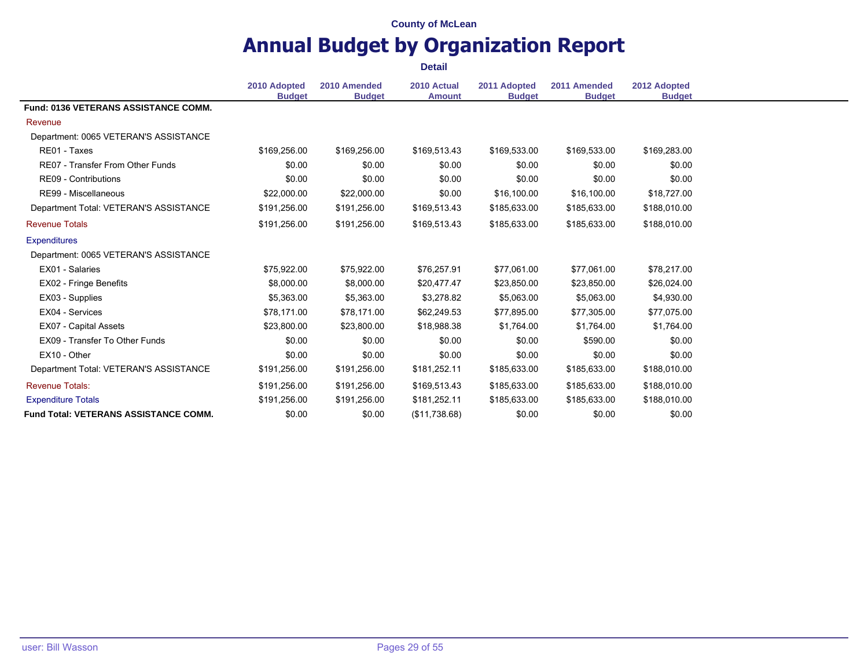|                                              |                               |                               | <b>Detail</b>                |                               |                               |                               |
|----------------------------------------------|-------------------------------|-------------------------------|------------------------------|-------------------------------|-------------------------------|-------------------------------|
|                                              | 2010 Adopted<br><b>Budget</b> | 2010 Amended<br><b>Budget</b> | 2010 Actual<br><b>Amount</b> | 2011 Adopted<br><b>Budget</b> | 2011 Amended<br><b>Budget</b> | 2012 Adopted<br><b>Budget</b> |
| <b>Fund: 0136 VETERANS ASSISTANCE COMM.</b>  |                               |                               |                              |                               |                               |                               |
| Revenue                                      |                               |                               |                              |                               |                               |                               |
| Department: 0065 VETERAN'S ASSISTANCE        |                               |                               |                              |                               |                               |                               |
| RE01 - Taxes                                 | \$169,256.00                  | \$169,256.00                  | \$169.513.43                 | \$169,533.00                  | \$169.533.00                  | \$169,283.00                  |
| RE07 - Transfer From Other Funds             | \$0.00                        | \$0.00                        | \$0.00                       | \$0.00                        | \$0.00                        | \$0.00                        |
| RE09 - Contributions                         | \$0.00                        | \$0.00                        | \$0.00                       | \$0.00                        | \$0.00                        | \$0.00                        |
| RE99 - Miscellaneous                         | \$22,000.00                   | \$22,000.00                   | \$0.00                       | \$16,100.00                   | \$16,100.00                   | \$18,727.00                   |
| Department Total: VETERAN'S ASSISTANCE       | \$191,256.00                  | \$191,256.00                  | \$169,513.43                 | \$185,633.00                  | \$185,633.00                  | \$188,010.00                  |
| <b>Revenue Totals</b>                        | \$191,256.00                  | \$191,256.00                  | \$169,513.43                 | \$185,633.00                  | \$185,633.00                  | \$188,010.00                  |
| <b>Expenditures</b>                          |                               |                               |                              |                               |                               |                               |
| Department: 0065 VETERAN'S ASSISTANCE        |                               |                               |                              |                               |                               |                               |
| EX01 - Salaries                              | \$75,922.00                   | \$75,922.00                   | \$76,257.91                  | \$77,061.00                   | \$77,061.00                   | \$78,217.00                   |
| EX02 - Fringe Benefits                       | \$8,000.00                    | \$8,000.00                    | \$20,477.47                  | \$23,850.00                   | \$23,850.00                   | \$26,024.00                   |
| EX03 - Supplies                              | \$5,363.00                    | \$5,363.00                    | \$3,278.82                   | \$5,063.00                    | \$5,063.00                    | \$4,930.00                    |
| EX04 - Services                              | \$78,171.00                   | \$78,171.00                   | \$62,249.53                  | \$77,895.00                   | \$77,305.00                   | \$77,075.00                   |
| EX07 - Capital Assets                        | \$23,800.00                   | \$23,800.00                   | \$18,988.38                  | \$1,764.00                    | \$1,764.00                    | \$1,764.00                    |
| EX09 - Transfer To Other Funds               | \$0.00                        | \$0.00                        | \$0.00                       | \$0.00                        | \$590.00                      | \$0.00                        |
| EX10 - Other                                 | \$0.00                        | \$0.00                        | \$0.00                       | \$0.00                        | \$0.00                        | \$0.00                        |
| Department Total: VETERAN'S ASSISTANCE       | \$191,256.00                  | \$191,256.00                  | \$181,252.11                 | \$185,633.00                  | \$185,633.00                  | \$188,010.00                  |
| <b>Revenue Totals:</b>                       | \$191,256.00                  | \$191,256.00                  | \$169,513.43                 | \$185,633.00                  | \$185,633.00                  | \$188,010.00                  |
| <b>Expenditure Totals</b>                    | \$191,256.00                  | \$191,256.00                  | \$181,252.11                 | \$185,633.00                  | \$185,633.00                  | \$188,010.00                  |
| <b>Fund Total: VETERANS ASSISTANCE COMM.</b> | \$0.00                        | \$0.00                        | (\$11,738.68)                | \$0.00                        | \$0.00                        | \$0.00                        |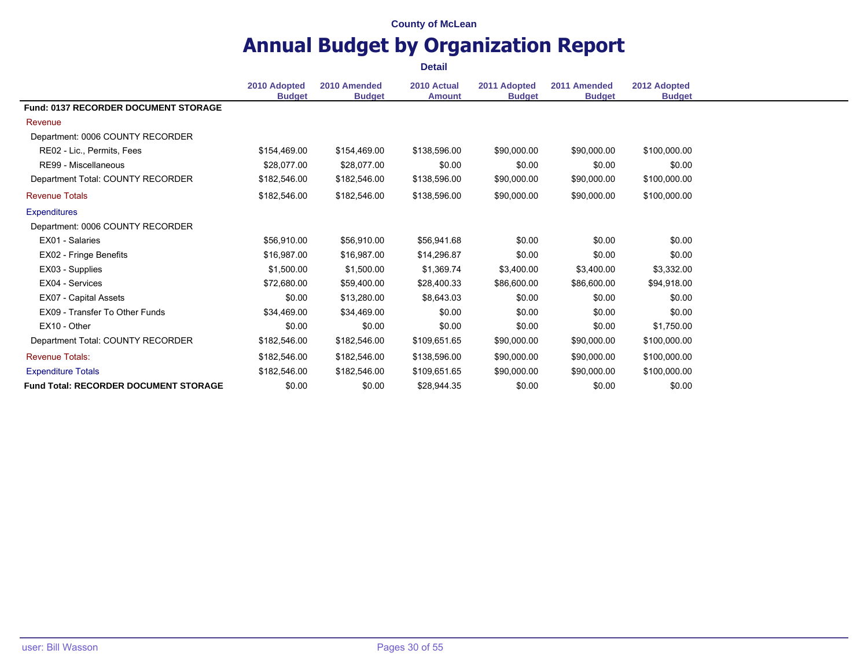|                                              |                               |                               | <b>Detail</b>                |                               |                               |                               |
|----------------------------------------------|-------------------------------|-------------------------------|------------------------------|-------------------------------|-------------------------------|-------------------------------|
|                                              | 2010 Adopted<br><b>Budget</b> | 2010 Amended<br><b>Budget</b> | 2010 Actual<br><b>Amount</b> | 2011 Adopted<br><b>Budget</b> | 2011 Amended<br><b>Budget</b> | 2012 Adopted<br><b>Budget</b> |
| <b>Fund: 0137 RECORDER DOCUMENT STORAGE</b>  |                               |                               |                              |                               |                               |                               |
| Revenue                                      |                               |                               |                              |                               |                               |                               |
| Department: 0006 COUNTY RECORDER             |                               |                               |                              |                               |                               |                               |
| RE02 - Lic., Permits, Fees                   | \$154,469.00                  | \$154,469.00                  | \$138,596.00                 | \$90,000.00                   | \$90,000.00                   | \$100,000.00                  |
| RE99 - Miscellaneous                         | \$28,077.00                   | \$28,077.00                   | \$0.00                       | \$0.00                        | \$0.00                        | \$0.00                        |
| Department Total: COUNTY RECORDER            | \$182,546.00                  | \$182,546.00                  | \$138,596.00                 | \$90,000.00                   | \$90,000.00                   | \$100,000.00                  |
| <b>Revenue Totals</b>                        | \$182,546.00                  | \$182,546.00                  | \$138,596.00                 | \$90,000.00                   | \$90,000.00                   | \$100,000.00                  |
| <b>Expenditures</b>                          |                               |                               |                              |                               |                               |                               |
| Department: 0006 COUNTY RECORDER             |                               |                               |                              |                               |                               |                               |
| EX01 - Salaries                              | \$56,910.00                   | \$56,910.00                   | \$56,941.68                  | \$0.00                        | \$0.00                        | \$0.00                        |
| EX02 - Fringe Benefits                       | \$16,987.00                   | \$16,987.00                   | \$14,296.87                  | \$0.00                        | \$0.00                        | \$0.00                        |
| EX03 - Supplies                              | \$1,500.00                    | \$1,500.00                    | \$1,369.74                   | \$3,400.00                    | \$3,400.00                    | \$3,332.00                    |
| EX04 - Services                              | \$72,680.00                   | \$59,400.00                   | \$28,400.33                  | \$86,600.00                   | \$86,600.00                   | \$94,918.00                   |
| <b>EX07 - Capital Assets</b>                 | \$0.00                        | \$13,280.00                   | \$8,643.03                   | \$0.00                        | \$0.00                        | \$0.00                        |
| EX09 - Transfer To Other Funds               | \$34,469.00                   | \$34,469.00                   | \$0.00                       | \$0.00                        | \$0.00                        | \$0.00                        |
| EX10 - Other                                 | \$0.00                        | \$0.00                        | \$0.00                       | \$0.00                        | \$0.00                        | \$1,750.00                    |
| Department Total: COUNTY RECORDER            | \$182,546.00                  | \$182,546.00                  | \$109,651.65                 | \$90,000.00                   | \$90,000.00                   | \$100,000.00                  |
| <b>Revenue Totals:</b>                       | \$182,546.00                  | \$182,546.00                  | \$138,596.00                 | \$90,000.00                   | \$90,000.00                   | \$100,000.00                  |
| <b>Expenditure Totals</b>                    | \$182,546.00                  | \$182,546.00                  | \$109,651.65                 | \$90,000.00                   | \$90,000.00                   | \$100,000.00                  |
| <b>Fund Total: RECORDER DOCUMENT STORAGE</b> | \$0.00                        | \$0.00                        | \$28,944.35                  | \$0.00                        | \$0.00                        | \$0.00                        |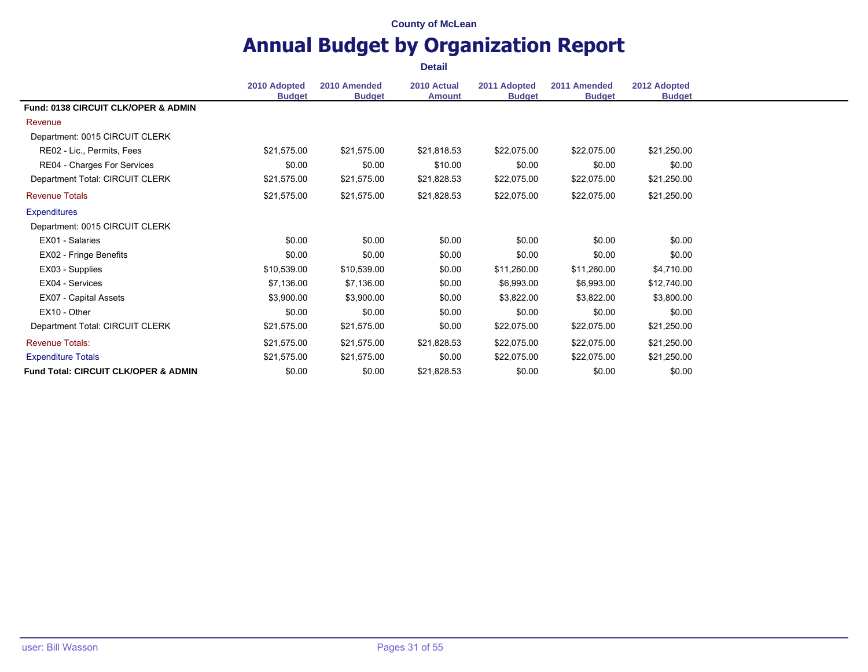|                                                 | <b>Detail</b>                 |                               |                              |                               |                               |                               |  |  |
|-------------------------------------------------|-------------------------------|-------------------------------|------------------------------|-------------------------------|-------------------------------|-------------------------------|--|--|
|                                                 | 2010 Adopted<br><b>Budget</b> | 2010 Amended<br><b>Budget</b> | 2010 Actual<br><b>Amount</b> | 2011 Adopted<br><b>Budget</b> | 2011 Amended<br><b>Budget</b> | 2012 Adopted<br><b>Budget</b> |  |  |
| <b>Fund: 0138 CIRCUIT CLK/OPER &amp; ADMIN</b>  |                               |                               |                              |                               |                               |                               |  |  |
| Revenue                                         |                               |                               |                              |                               |                               |                               |  |  |
| Department: 0015 CIRCUIT CLERK                  |                               |                               |                              |                               |                               |                               |  |  |
| RE02 - Lic., Permits, Fees                      | \$21,575.00                   | \$21,575.00                   | \$21,818.53                  | \$22,075.00                   | \$22,075.00                   | \$21,250.00                   |  |  |
| RE04 - Charges For Services                     | \$0.00                        | \$0.00                        | \$10.00                      | \$0.00                        | \$0.00                        | \$0.00                        |  |  |
| Department Total: CIRCUIT CLERK                 | \$21,575.00                   | \$21,575.00                   | \$21,828.53                  | \$22,075.00                   | \$22,075.00                   | \$21,250.00                   |  |  |
| <b>Revenue Totals</b>                           | \$21,575.00                   | \$21,575.00                   | \$21,828.53                  | \$22,075.00                   | \$22,075.00                   | \$21,250.00                   |  |  |
| <b>Expenditures</b>                             |                               |                               |                              |                               |                               |                               |  |  |
| Department: 0015 CIRCUIT CLERK                  |                               |                               |                              |                               |                               |                               |  |  |
| EX01 - Salaries                                 | \$0.00                        | \$0.00                        | \$0.00                       | \$0.00                        | \$0.00                        | \$0.00                        |  |  |
| EX02 - Fringe Benefits                          | \$0.00                        | \$0.00                        | \$0.00                       | \$0.00                        | \$0.00                        | \$0.00                        |  |  |
| EX03 - Supplies                                 | \$10,539.00                   | \$10,539.00                   | \$0.00                       | \$11,260.00                   | \$11,260.00                   | \$4,710.00                    |  |  |
| EX04 - Services                                 | \$7,136.00                    | \$7,136.00                    | \$0.00                       | \$6,993.00                    | \$6,993.00                    | \$12,740.00                   |  |  |
| EX07 - Capital Assets                           | \$3,900.00                    | \$3,900.00                    | \$0.00                       | \$3,822.00                    | \$3,822.00                    | \$3,800.00                    |  |  |
| EX10 - Other                                    | \$0.00                        | \$0.00                        | \$0.00                       | \$0.00                        | \$0.00                        | \$0.00                        |  |  |
| Department Total: CIRCUIT CLERK                 | \$21,575.00                   | \$21,575.00                   | \$0.00                       | \$22,075.00                   | \$22,075.00                   | \$21,250.00                   |  |  |
| <b>Revenue Totals:</b>                          | \$21,575.00                   | \$21,575.00                   | \$21,828.53                  | \$22,075.00                   | \$22,075.00                   | \$21,250.00                   |  |  |
| <b>Expenditure Totals</b>                       | \$21,575.00                   | \$21,575.00                   | \$0.00                       | \$22,075.00                   | \$22,075.00                   | \$21,250.00                   |  |  |
| <b>Fund Total: CIRCUIT CLK/OPER &amp; ADMIN</b> | \$0.00                        | \$0.00                        | \$21,828.53                  | \$0.00                        | \$0.00                        | \$0.00                        |  |  |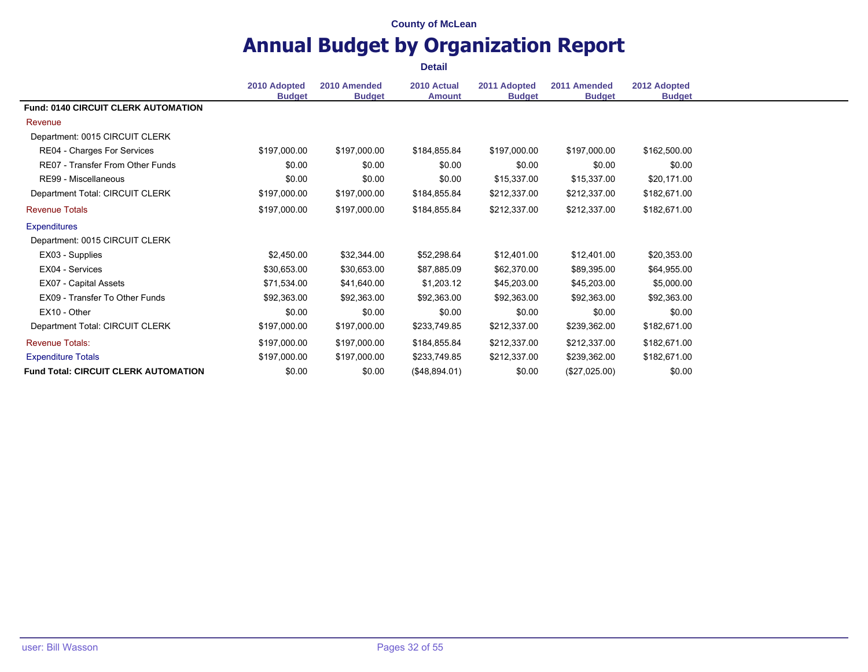|                                             | <b>Detail</b>                 |                               |                              |                               |                               |                               |  |  |
|---------------------------------------------|-------------------------------|-------------------------------|------------------------------|-------------------------------|-------------------------------|-------------------------------|--|--|
|                                             | 2010 Adopted<br><b>Budget</b> | 2010 Amended<br><b>Budget</b> | 2010 Actual<br><b>Amount</b> | 2011 Adopted<br><b>Budget</b> | 2011 Amended<br><b>Budget</b> | 2012 Adopted<br><b>Budget</b> |  |  |
| <b>Fund: 0140 CIRCUIT CLERK AUTOMATION</b>  |                               |                               |                              |                               |                               |                               |  |  |
| Revenue                                     |                               |                               |                              |                               |                               |                               |  |  |
| Department: 0015 CIRCUIT CLERK              |                               |                               |                              |                               |                               |                               |  |  |
| RE04 - Charges For Services                 | \$197,000.00                  | \$197,000.00                  | \$184,855.84                 | \$197,000.00                  | \$197,000.00                  | \$162,500.00                  |  |  |
| RE07 - Transfer From Other Funds            | \$0.00                        | \$0.00                        | \$0.00                       | \$0.00                        | \$0.00                        | \$0.00                        |  |  |
| RE99 - Miscellaneous                        | \$0.00                        | \$0.00                        | \$0.00                       | \$15,337.00                   | \$15,337.00                   | \$20,171.00                   |  |  |
| Department Total: CIRCUIT CLERK             | \$197,000.00                  | \$197,000.00                  | \$184,855.84                 | \$212,337.00                  | \$212,337.00                  | \$182,671.00                  |  |  |
| <b>Revenue Totals</b>                       | \$197,000.00                  | \$197,000.00                  | \$184,855.84                 | \$212,337.00                  | \$212,337.00                  | \$182,671.00                  |  |  |
| <b>Expenditures</b>                         |                               |                               |                              |                               |                               |                               |  |  |
| Department: 0015 CIRCUIT CLERK              |                               |                               |                              |                               |                               |                               |  |  |
| EX03 - Supplies                             | \$2,450.00                    | \$32,344.00                   | \$52,298.64                  | \$12,401.00                   | \$12,401.00                   | \$20,353.00                   |  |  |
| EX04 - Services                             | \$30,653.00                   | \$30,653.00                   | \$87,885.09                  | \$62,370.00                   | \$89,395.00                   | \$64,955.00                   |  |  |
| EX07 - Capital Assets                       | \$71,534.00                   | \$41,640.00                   | \$1,203.12                   | \$45,203.00                   | \$45,203.00                   | \$5,000.00                    |  |  |
| EX09 - Transfer To Other Funds              | \$92,363.00                   | \$92,363.00                   | \$92,363.00                  | \$92,363.00                   | \$92,363.00                   | \$92,363.00                   |  |  |
| EX10 - Other                                | \$0.00                        | \$0.00                        | \$0.00                       | \$0.00                        | \$0.00                        | \$0.00                        |  |  |
| Department Total: CIRCUIT CLERK             | \$197,000.00                  | \$197,000.00                  | \$233,749.85                 | \$212,337.00                  | \$239,362.00                  | \$182,671.00                  |  |  |
| <b>Revenue Totals:</b>                      | \$197,000.00                  | \$197,000.00                  | \$184,855.84                 | \$212,337.00                  | \$212,337.00                  | \$182,671.00                  |  |  |
| <b>Expenditure Totals</b>                   | \$197,000.00                  | \$197,000.00                  | \$233,749.85                 | \$212,337.00                  | \$239,362.00                  | \$182,671.00                  |  |  |
| <b>Fund Total: CIRCUIT CLERK AUTOMATION</b> | \$0.00                        | \$0.00                        | (\$48,894.01)                | \$0.00                        | (\$27,025.00)                 | \$0.00                        |  |  |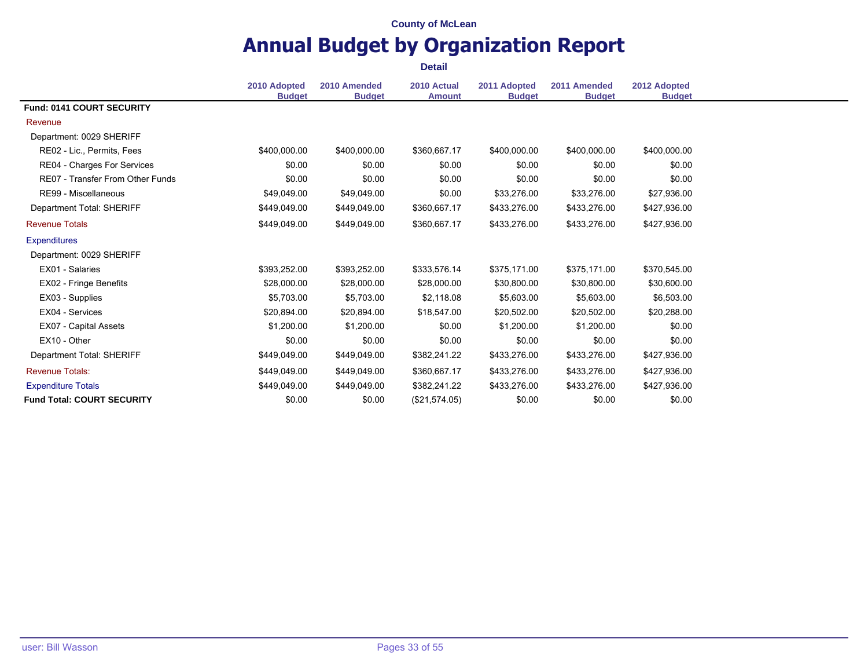|                                   |                               |                               | <b>Detail</b>                |                               |                               |                               |
|-----------------------------------|-------------------------------|-------------------------------|------------------------------|-------------------------------|-------------------------------|-------------------------------|
|                                   | 2010 Adopted<br><b>Budget</b> | 2010 Amended<br><b>Budget</b> | 2010 Actual<br><b>Amount</b> | 2011 Adopted<br><b>Budget</b> | 2011 Amended<br><b>Budget</b> | 2012 Adopted<br><b>Budget</b> |
| <b>Fund: 0141 COURT SECURITY</b>  |                               |                               |                              |                               |                               |                               |
| Revenue                           |                               |                               |                              |                               |                               |                               |
| Department: 0029 SHERIFF          |                               |                               |                              |                               |                               |                               |
| RE02 - Lic., Permits, Fees        | \$400,000.00                  | \$400,000.00                  | \$360,667.17                 | \$400,000.00                  | \$400,000.00                  | \$400,000.00                  |
| RE04 - Charges For Services       | \$0.00                        | \$0.00                        | \$0.00                       | \$0.00                        | \$0.00                        | \$0.00                        |
| RE07 - Transfer From Other Funds  | \$0.00                        | \$0.00                        | \$0.00                       | \$0.00                        | \$0.00                        | \$0.00                        |
| RE99 - Miscellaneous              | \$49,049.00                   | \$49,049.00                   | \$0.00                       | \$33,276.00                   | \$33,276.00                   | \$27,936.00                   |
| Department Total: SHERIFF         | \$449,049.00                  | \$449,049.00                  | \$360,667.17                 | \$433,276.00                  | \$433,276.00                  | \$427,936.00                  |
| <b>Revenue Totals</b>             | \$449,049.00                  | \$449,049.00                  | \$360,667.17                 | \$433,276.00                  | \$433,276.00                  | \$427,936.00                  |
| <b>Expenditures</b>               |                               |                               |                              |                               |                               |                               |
| Department: 0029 SHERIFF          |                               |                               |                              |                               |                               |                               |
| EX01 - Salaries                   | \$393,252.00                  | \$393,252.00                  | \$333,576.14                 | \$375,171.00                  | \$375,171.00                  | \$370,545.00                  |
| EX02 - Fringe Benefits            | \$28,000.00                   | \$28,000.00                   | \$28,000.00                  | \$30,800.00                   | \$30,800.00                   | \$30,600.00                   |
| EX03 - Supplies                   | \$5,703.00                    | \$5,703.00                    | \$2,118.08                   | \$5,603.00                    | \$5,603.00                    | \$6,503.00                    |
| EX04 - Services                   | \$20,894.00                   | \$20,894.00                   | \$18,547.00                  | \$20,502.00                   | \$20,502.00                   | \$20,288.00                   |
| EX07 - Capital Assets             | \$1,200.00                    | \$1,200.00                    | \$0.00                       | \$1,200.00                    | \$1,200.00                    | \$0.00                        |
| EX10 - Other                      | \$0.00                        | \$0.00                        | \$0.00                       | \$0.00                        | \$0.00                        | \$0.00                        |
| Department Total: SHERIFF         | \$449,049.00                  | \$449,049.00                  | \$382,241.22                 | \$433,276.00                  | \$433,276.00                  | \$427,936.00                  |
| <b>Revenue Totals:</b>            | \$449,049.00                  | \$449,049.00                  | \$360,667.17                 | \$433,276.00                  | \$433,276.00                  | \$427,936.00                  |
| <b>Expenditure Totals</b>         | \$449,049.00                  | \$449,049.00                  | \$382,241.22                 | \$433,276.00                  | \$433,276.00                  | \$427,936.00                  |
| <b>Fund Total: COURT SECURITY</b> | \$0.00                        | \$0.00                        | (\$21,574.05)                | \$0.00                        | \$0.00                        | \$0.00                        |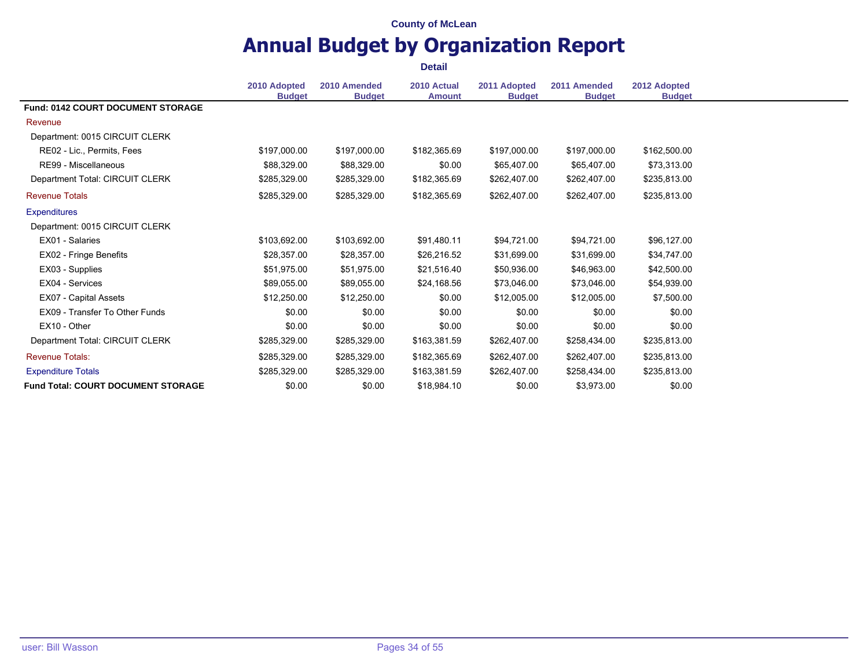|                                           |                               |                               | <b>Detail</b>                |                               |                               |                               |
|-------------------------------------------|-------------------------------|-------------------------------|------------------------------|-------------------------------|-------------------------------|-------------------------------|
|                                           | 2010 Adopted<br><b>Budget</b> | 2010 Amended<br><b>Budget</b> | 2010 Actual<br><b>Amount</b> | 2011 Adopted<br><b>Budget</b> | 2011 Amended<br><b>Budget</b> | 2012 Adopted<br><b>Budget</b> |
| Fund: 0142 COURT DOCUMENT STORAGE         |                               |                               |                              |                               |                               |                               |
| Revenue                                   |                               |                               |                              |                               |                               |                               |
| Department: 0015 CIRCUIT CLERK            |                               |                               |                              |                               |                               |                               |
| RE02 - Lic., Permits, Fees                | \$197,000.00                  | \$197,000.00                  | \$182,365.69                 | \$197,000.00                  | \$197,000.00                  | \$162,500.00                  |
| RE99 - Miscellaneous                      | \$88,329.00                   | \$88,329.00                   | \$0.00                       | \$65,407.00                   | \$65,407.00                   | \$73,313.00                   |
| Department Total: CIRCUIT CLERK           | \$285,329.00                  | \$285,329.00                  | \$182,365.69                 | \$262,407.00                  | \$262,407.00                  | \$235,813.00                  |
| <b>Revenue Totals</b>                     | \$285,329.00                  | \$285,329.00                  | \$182,365.69                 | \$262,407.00                  | \$262,407.00                  | \$235,813.00                  |
| <b>Expenditures</b>                       |                               |                               |                              |                               |                               |                               |
| Department: 0015 CIRCUIT CLERK            |                               |                               |                              |                               |                               |                               |
| EX01 - Salaries                           | \$103,692.00                  | \$103,692.00                  | \$91,480.11                  | \$94,721.00                   | \$94,721.00                   | \$96,127.00                   |
| EX02 - Fringe Benefits                    | \$28,357.00                   | \$28,357.00                   | \$26,216.52                  | \$31,699.00                   | \$31,699.00                   | \$34,747.00                   |
| EX03 - Supplies                           | \$51,975.00                   | \$51,975.00                   | \$21,516.40                  | \$50,936.00                   | \$46,963.00                   | \$42,500.00                   |
| EX04 - Services                           | \$89,055.00                   | \$89,055.00                   | \$24,168.56                  | \$73,046.00                   | \$73,046.00                   | \$54,939.00                   |
| EX07 - Capital Assets                     | \$12,250.00                   | \$12,250.00                   | \$0.00                       | \$12,005.00                   | \$12,005.00                   | \$7,500.00                    |
| EX09 - Transfer To Other Funds            | \$0.00                        | \$0.00                        | \$0.00                       | \$0.00                        | \$0.00                        | \$0.00                        |
| EX10 - Other                              | \$0.00                        | \$0.00                        | \$0.00                       | \$0.00                        | \$0.00                        | \$0.00                        |
| Department Total: CIRCUIT CLERK           | \$285,329.00                  | \$285,329.00                  | \$163,381.59                 | \$262,407.00                  | \$258,434.00                  | \$235,813.00                  |
| <b>Revenue Totals:</b>                    | \$285,329.00                  | \$285,329.00                  | \$182,365.69                 | \$262,407.00                  | \$262,407.00                  | \$235,813.00                  |
| <b>Expenditure Totals</b>                 | \$285,329.00                  | \$285,329.00                  | \$163,381.59                 | \$262,407.00                  | \$258,434.00                  | \$235,813.00                  |
| <b>Fund Total: COURT DOCUMENT STORAGE</b> | \$0.00                        | \$0.00                        | \$18,984.10                  | \$0.00                        | \$3,973.00                    | \$0.00                        |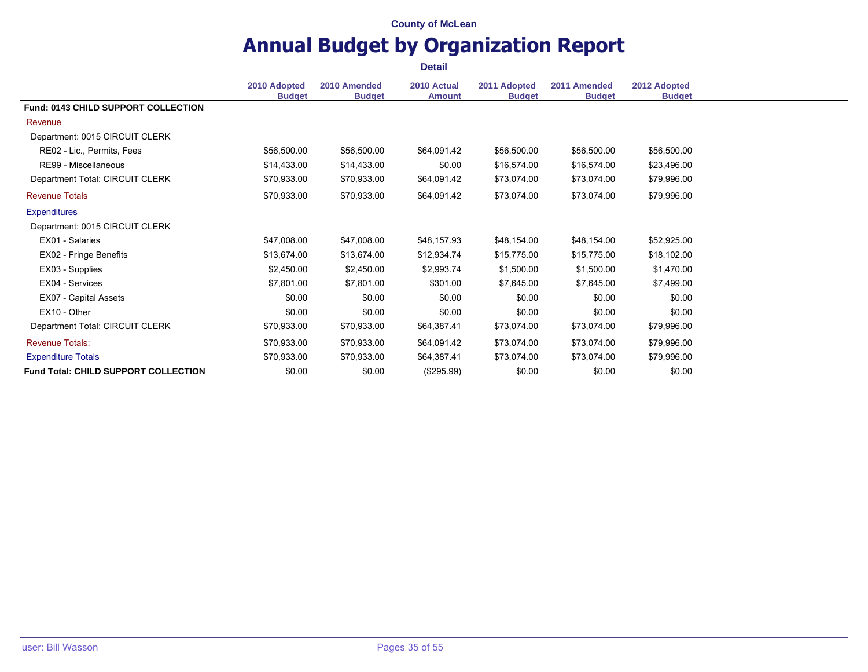|                                             | <b>Detail</b>                 |                               |                              |                               |                               |                               |  |  |
|---------------------------------------------|-------------------------------|-------------------------------|------------------------------|-------------------------------|-------------------------------|-------------------------------|--|--|
|                                             | 2010 Adopted<br><b>Budget</b> | 2010 Amended<br><b>Budget</b> | 2010 Actual<br><b>Amount</b> | 2011 Adopted<br><b>Budget</b> | 2011 Amended<br><b>Budget</b> | 2012 Adopted<br><b>Budget</b> |  |  |
| <b>Fund: 0143 CHILD SUPPORT COLLECTION</b>  |                               |                               |                              |                               |                               |                               |  |  |
| Revenue                                     |                               |                               |                              |                               |                               |                               |  |  |
| Department: 0015 CIRCUIT CLERK              |                               |                               |                              |                               |                               |                               |  |  |
| RE02 - Lic., Permits, Fees                  | \$56,500.00                   | \$56,500.00                   | \$64,091.42                  | \$56,500.00                   | \$56,500.00                   | \$56,500.00                   |  |  |
| RE99 - Miscellaneous                        | \$14,433.00                   | \$14,433.00                   | \$0.00                       | \$16,574.00                   | \$16,574.00                   | \$23,496.00                   |  |  |
| Department Total: CIRCUIT CLERK             | \$70,933.00                   | \$70,933.00                   | \$64,091.42                  | \$73,074.00                   | \$73,074.00                   | \$79,996.00                   |  |  |
| <b>Revenue Totals</b>                       | \$70,933.00                   | \$70,933.00                   | \$64,091.42                  | \$73,074.00                   | \$73,074.00                   | \$79,996.00                   |  |  |
| <b>Expenditures</b>                         |                               |                               |                              |                               |                               |                               |  |  |
| Department: 0015 CIRCUIT CLERK              |                               |                               |                              |                               |                               |                               |  |  |
| EX01 - Salaries                             | \$47,008.00                   | \$47,008.00                   | \$48,157.93                  | \$48,154.00                   | \$48,154.00                   | \$52,925.00                   |  |  |
| EX02 - Fringe Benefits                      | \$13,674.00                   | \$13,674.00                   | \$12,934.74                  | \$15,775.00                   | \$15,775.00                   | \$18,102.00                   |  |  |
| EX03 - Supplies                             | \$2,450.00                    | \$2,450.00                    | \$2,993.74                   | \$1,500.00                    | \$1,500.00                    | \$1,470.00                    |  |  |
| EX04 - Services                             | \$7,801.00                    | \$7,801.00                    | \$301.00                     | \$7,645.00                    | \$7.645.00                    | \$7,499.00                    |  |  |
| EX07 - Capital Assets                       | \$0.00                        | \$0.00                        | \$0.00                       | \$0.00                        | \$0.00                        | \$0.00                        |  |  |
| EX10 - Other                                | \$0.00                        | \$0.00                        | \$0.00                       | \$0.00                        | \$0.00                        | \$0.00                        |  |  |
| Department Total: CIRCUIT CLERK             | \$70,933.00                   | \$70,933.00                   | \$64,387.41                  | \$73,074.00                   | \$73,074.00                   | \$79,996.00                   |  |  |
| <b>Revenue Totals:</b>                      | \$70,933.00                   | \$70,933.00                   | \$64,091.42                  | \$73,074.00                   | \$73,074.00                   | \$79,996.00                   |  |  |
| <b>Expenditure Totals</b>                   | \$70,933.00                   | \$70,933.00                   | \$64,387.41                  | \$73,074.00                   | \$73,074.00                   | \$79,996.00                   |  |  |
| <b>Fund Total: CHILD SUPPORT COLLECTION</b> | \$0.00                        | \$0.00                        | (\$295.99)                   | \$0.00                        | \$0.00                        | \$0.00                        |  |  |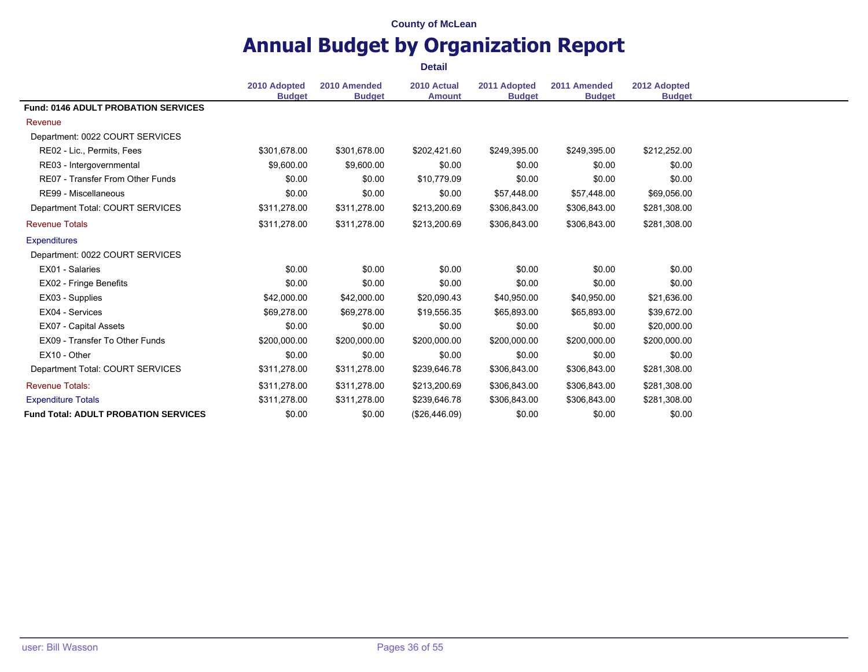|                                             |                               |                               | <b>Detail</b>                |                               |                               |                               |
|---------------------------------------------|-------------------------------|-------------------------------|------------------------------|-------------------------------|-------------------------------|-------------------------------|
|                                             | 2010 Adopted<br><b>Budget</b> | 2010 Amended<br><b>Budget</b> | 2010 Actual<br><b>Amount</b> | 2011 Adopted<br><b>Budget</b> | 2011 Amended<br><b>Budget</b> | 2012 Adopted<br><b>Budget</b> |
| <b>Fund: 0146 ADULT PROBATION SERVICES</b>  |                               |                               |                              |                               |                               |                               |
| Revenue                                     |                               |                               |                              |                               |                               |                               |
| Department: 0022 COURT SERVICES             |                               |                               |                              |                               |                               |                               |
| RE02 - Lic., Permits, Fees                  | \$301,678.00                  | \$301,678.00                  | \$202,421.60                 | \$249,395.00                  | \$249,395.00                  | \$212,252.00                  |
| RE03 - Intergovernmental                    | \$9,600.00                    | \$9,600.00                    | \$0.00                       | \$0.00                        | \$0.00                        | \$0.00                        |
| RE07 - Transfer From Other Funds            | \$0.00                        | \$0.00                        | \$10,779.09                  | \$0.00                        | \$0.00                        | \$0.00                        |
| RE99 - Miscellaneous                        | \$0.00                        | \$0.00                        | \$0.00                       | \$57,448.00                   | \$57,448.00                   | \$69,056.00                   |
| Department Total: COURT SERVICES            | \$311,278.00                  | \$311,278.00                  | \$213,200.69                 | \$306,843.00                  | \$306,843.00                  | \$281,308.00                  |
| <b>Revenue Totals</b>                       | \$311,278.00                  | \$311,278.00                  | \$213,200.69                 | \$306,843.00                  | \$306,843.00                  | \$281,308.00                  |
| <b>Expenditures</b>                         |                               |                               |                              |                               |                               |                               |
| Department: 0022 COURT SERVICES             |                               |                               |                              |                               |                               |                               |
| EX01 - Salaries                             | \$0.00                        | \$0.00                        | \$0.00                       | \$0.00                        | \$0.00                        | \$0.00                        |
| EX02 - Fringe Benefits                      | \$0.00                        | \$0.00                        | \$0.00                       | \$0.00                        | \$0.00                        | \$0.00                        |
| EX03 - Supplies                             | \$42,000.00                   | \$42,000.00                   | \$20,090.43                  | \$40,950.00                   | \$40,950.00                   | \$21,636.00                   |
| EX04 - Services                             | \$69,278.00                   | \$69,278.00                   | \$19,556.35                  | \$65,893.00                   | \$65,893.00                   | \$39,672.00                   |
| EX07 - Capital Assets                       | \$0.00                        | \$0.00                        | \$0.00                       | \$0.00                        | \$0.00                        | \$20,000.00                   |
| EX09 - Transfer To Other Funds              | \$200,000.00                  | \$200,000.00                  | \$200,000.00                 | \$200,000.00                  | \$200,000.00                  | \$200,000.00                  |
| EX10 - Other                                | \$0.00                        | \$0.00                        | \$0.00                       | \$0.00                        | \$0.00                        | \$0.00                        |
| Department Total: COURT SERVICES            | \$311,278.00                  | \$311,278.00                  | \$239,646.78                 | \$306,843.00                  | \$306,843.00                  | \$281,308.00                  |
| <b>Revenue Totals:</b>                      | \$311,278.00                  | \$311,278.00                  | \$213,200.69                 | \$306,843.00                  | \$306,843.00                  | \$281,308.00                  |
| <b>Expenditure Totals</b>                   | \$311,278.00                  | \$311,278.00                  | \$239,646.78                 | \$306,843.00                  | \$306,843.00                  | \$281,308.00                  |
| <b>Fund Total: ADULT PROBATION SERVICES</b> | \$0.00                        | \$0.00                        | (\$26,446.09)                | \$0.00                        | \$0.00                        | \$0.00                        |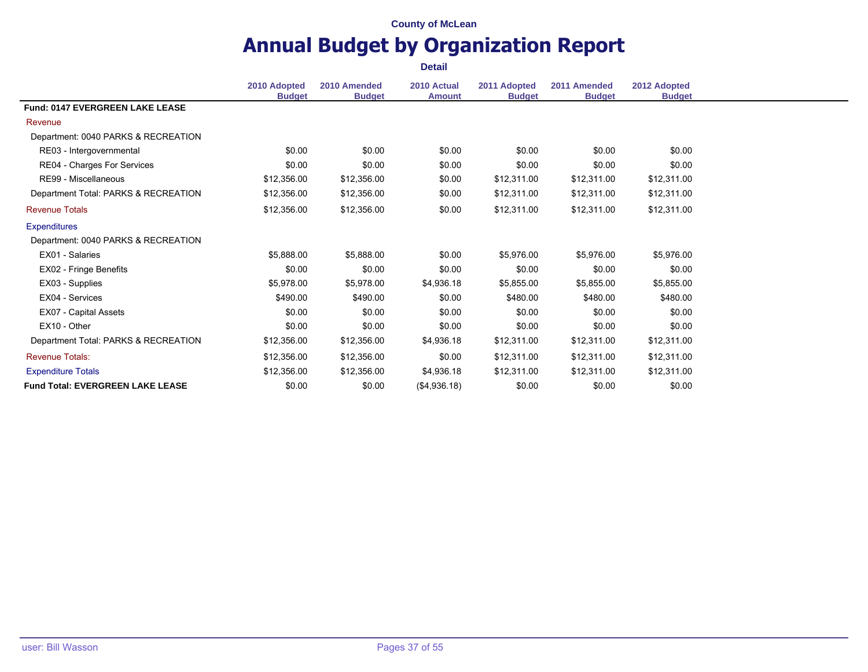|                                         | <b>Detail</b>                 |                               |                              |                               |                               |                               |  |
|-----------------------------------------|-------------------------------|-------------------------------|------------------------------|-------------------------------|-------------------------------|-------------------------------|--|
|                                         | 2010 Adopted<br><b>Budget</b> | 2010 Amended<br><b>Budget</b> | 2010 Actual<br><b>Amount</b> | 2011 Adopted<br><b>Budget</b> | 2011 Amended<br><b>Budget</b> | 2012 Adopted<br><b>Budget</b> |  |
| <b>Fund: 0147 EVERGREEN LAKE LEASE</b>  |                               |                               |                              |                               |                               |                               |  |
| Revenue                                 |                               |                               |                              |                               |                               |                               |  |
| Department: 0040 PARKS & RECREATION     |                               |                               |                              |                               |                               |                               |  |
| RE03 - Intergovernmental                | \$0.00                        | \$0.00                        | \$0.00                       | \$0.00                        | \$0.00                        | \$0.00                        |  |
| RE04 - Charges For Services             | \$0.00                        | \$0.00                        | \$0.00                       | \$0.00                        | \$0.00                        | \$0.00                        |  |
| RE99 - Miscellaneous                    | \$12,356.00                   | \$12,356.00                   | \$0.00                       | \$12,311.00                   | \$12,311.00                   | \$12,311.00                   |  |
| Department Total: PARKS & RECREATION    | \$12,356.00                   | \$12,356.00                   | \$0.00                       | \$12,311.00                   | \$12,311.00                   | \$12,311.00                   |  |
| <b>Revenue Totals</b>                   | \$12,356.00                   | \$12,356.00                   | \$0.00                       | \$12,311.00                   | \$12,311.00                   | \$12,311.00                   |  |
| <b>Expenditures</b>                     |                               |                               |                              |                               |                               |                               |  |
| Department: 0040 PARKS & RECREATION     |                               |                               |                              |                               |                               |                               |  |
| EX01 - Salaries                         | \$5,888.00                    | \$5,888.00                    | \$0.00                       | \$5,976.00                    | \$5,976.00                    | \$5,976.00                    |  |
| EX02 - Fringe Benefits                  | \$0.00                        | \$0.00                        | \$0.00                       | \$0.00                        | \$0.00                        | \$0.00                        |  |
| EX03 - Supplies                         | \$5,978.00                    | \$5,978.00                    | \$4,936.18                   | \$5,855.00                    | \$5,855.00                    | \$5,855.00                    |  |
| EX04 - Services                         | \$490.00                      | \$490.00                      | \$0.00                       | \$480.00                      | \$480.00                      | \$480.00                      |  |
| EX07 - Capital Assets                   | \$0.00                        | \$0.00                        | \$0.00                       | \$0.00                        | \$0.00                        | \$0.00                        |  |
| EX10 - Other                            | \$0.00                        | \$0.00                        | \$0.00                       | \$0.00                        | \$0.00                        | \$0.00                        |  |
| Department Total: PARKS & RECREATION    | \$12,356.00                   | \$12,356.00                   | \$4,936.18                   | \$12,311.00                   | \$12,311.00                   | \$12,311.00                   |  |
| <b>Revenue Totals:</b>                  | \$12,356.00                   | \$12,356.00                   | \$0.00                       | \$12,311.00                   | \$12,311.00                   | \$12,311.00                   |  |
| <b>Expenditure Totals</b>               | \$12,356.00                   | \$12,356.00                   | \$4,936.18                   | \$12,311.00                   | \$12,311.00                   | \$12,311.00                   |  |
| <b>Fund Total: EVERGREEN LAKE LEASE</b> | \$0.00                        | \$0.00                        | (\$4,936.18)                 | \$0.00                        | \$0.00                        | \$0.00                        |  |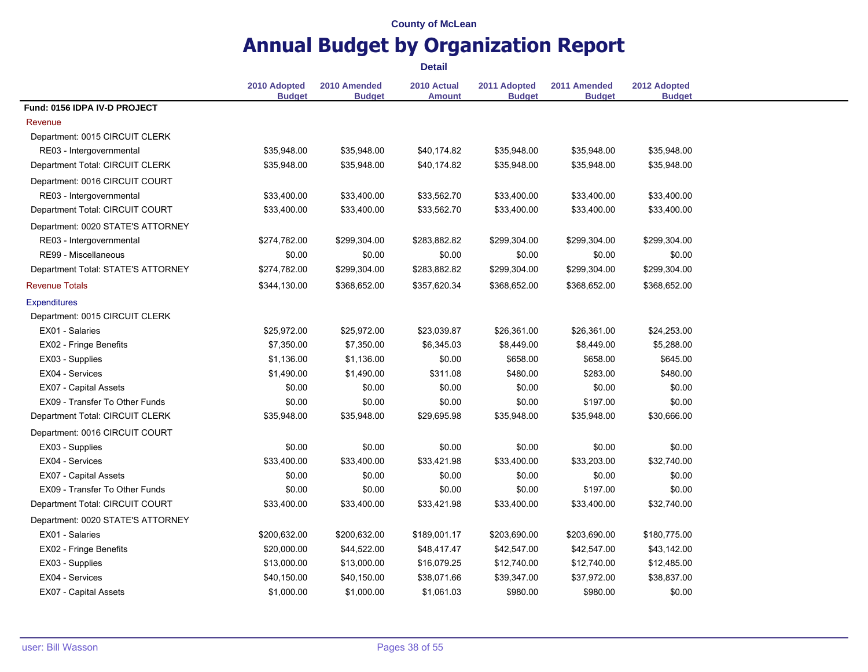### **Annual Budget by Organization Report**

**Detail**

**2010 Adopted Budget 2010 Amended Budget 2010 Actual Amount 2011 Adopted Budget 2011 Amended Budget 2012 Adopted Budget Fund: 0156 IDPA IV-D PROJECT** Revenue Department: 0015 CIRCUIT CLERK RE03 - Intergovernmental  $$35,948.00$   $$35,948.00$   $$35,948.00$   $$35,948.00$   $$35,948.00$   $$35,948.00$   $$35,948.00$ Department Total: CIRCUIT CLERK \$35,948.00 \$35,948.00 \$40,174.82 \$35,948.00 \$35,948.00 \$35,948.00 Department: 0016 CIRCUIT COURT RE03 - Intergovernmental  $$33,400.00$   $$33,400.00$   $$33,400.00$   $$33,400.00$   $$33,400.00$   $$33,400.00$   $$33,400.00$ Department Total: CIRCUIT COURT \$33,400.00 \$33,400.00 \$33,562.70 \$33,400.00 \$33,400.00 \$33,400.00 Department: 0020 STATE'S ATTORNEY RE03 - Intergovernmental **5274,782.00** \$299,304.00 \$283,882.82 \$299,304.00 \$299,304.00 \$299,304.00 \$299,304.00 RE99 - Miscellaneous 60.00 \$0.00 \$0.00 \$0.00 \$0.00 \$0.00 \$0.00 \$0.00 \$0.00 \$0.00 Department Total: STATE'S ATTORNEY \$274,782.00 \$299,304.00 \$283,882.82 \$299,304.00 \$299,304.00 \$299,304.00 Revenue Totals \$344,130.00 \$368,652.00 \$357,620.34 \$368,652.00 \$368,652.00 \$368,652.00 **Expenditures** Department: 0015 CIRCUIT CLERK EX01 - Salaries \$25,972.00 \$25,972.00 \$23,039.87 \$26,361.00 \$26,361.00 \$24,253.00 EX02 - Fringe Benefits \$7,350.00 \$7,350.00 \$6,345.03 \$8,449.00 \$8,449.00 \$5,288.00 EX03 - Supplies \$1,136.00 \$1,136.00 \$0.00 \$658.00 \$658.00 \$645.00 EX04 - Services \$1,490.00 \$1,490.00 \$311.08 \$480.00 \$283.00 \$480.00 EX07 - Capital Assets \$0.00 \$0.00 \$0.00 \$0.00 \$0.00 \$0.00 EX09 - Transfer To Other Funds \$0.00 \$0.00 \$0.00 \$0.00 \$0.00 \$0.00 \$0.00 \$0.00 \$ Department Total: CIRCUIT CLERK  $$35,948.00$   $$35,948.00$   $$29,695.98$   $$35,948.00$   $$35,948.00$   $$35,948.00$ Department: 0016 CIRCUIT COURT EX03 - Supplies \$0.00 \$0.00 \$0.00 \$0.00 \$0.00 \$0.00 EX04 - Services \$33,400.00 \$33,400.00 \$33,421.98 \$33,400.00 \$33,203.00 \$32,740.00 EX07 - Capital Assets **60.00** \$0.00 \$0.00 \$0.00 \$0.00 \$0.00 \$0.00 \$0.00 \$0.00 \$0.00 EX09 - Transfer To Other Funds \$0.00 \$0.00 \$0.00 \$0.00 \$0.00 \$0.00 \$0.00 \$0.00 \$0.00 Department Total: CIRCUIT COURT \$33,400.00 \$33,400.00 \$33,421.98 \$33,400.00 \$33,400.00 \$32,740.00 Department: 0020 STATE'S ATTORNEY EX01 - Salaries \$200,632.00 \$200,632.00 \$189,001.17 \$203,690.00 \$203,690.00 \$180,775.00 EX02 - Fringe Benefits 643,142.00 \$20,000.00 \$44,522.00 \$48,417.47 \$42,547.00 \$42,547.00 \$43,142.00 EX03 - Supplies \$13,000.00 \$13,000.00 \$16,079.25 \$12,740.00 \$12,740.00 \$12,485.00 EX04 - Services \$40,150.00 \$40,150.00 \$38,071.66 \$39,347.00 \$37,972.00 \$38,837.00 EX07 - Capital Assets **600 Capital Assets** \$1,000 Capital Assets \$980.00 \$980.00 \$980.00 \$980.00 \$980.00 \$0.00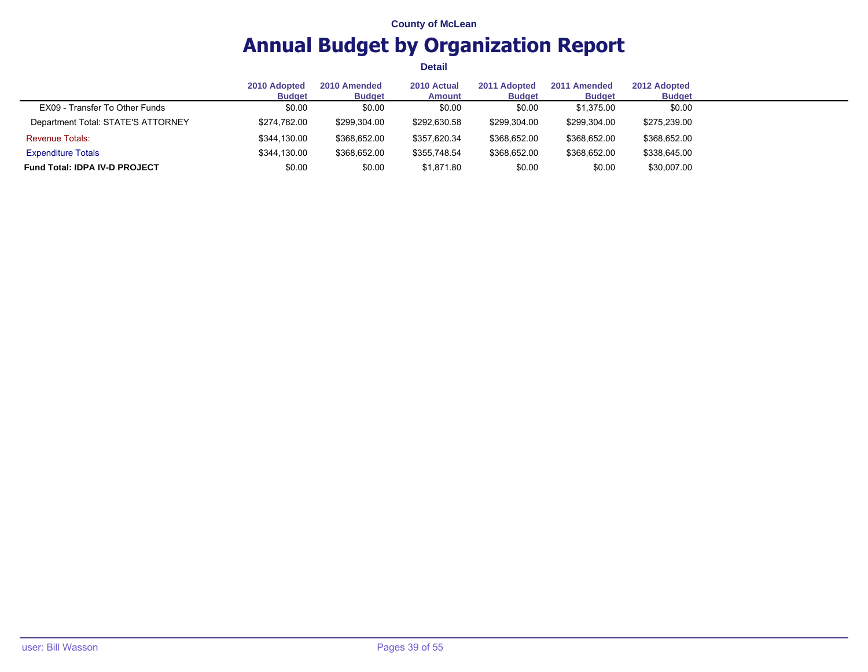# **Annual Budget by Organization Report**

|                                      | 2010 Adopted<br><b>Budget</b> | 2010 Amended<br><b>Budget</b> | 2010 Actual<br><b>Amount</b> | 2011 Adopted<br><b>Budget</b> | 2011 Amended<br><b>Budget</b> | 2012 Adopted<br><b>Budget</b> |
|--------------------------------------|-------------------------------|-------------------------------|------------------------------|-------------------------------|-------------------------------|-------------------------------|
| EX09 - Transfer To Other Funds       | \$0.00                        | \$0.00                        | \$0.00                       | \$0.00                        | \$1,375.00                    | \$0.00                        |
| Department Total: STATE'S ATTORNEY   | \$274,782.00                  | \$299.304.00                  | \$292,630.58                 | \$299.304.00                  | \$299.304.00                  | \$275,239.00                  |
| <b>Revenue Totals:</b>               | \$344,130.00                  | \$368,652.00                  | \$357,620.34                 | \$368,652.00                  | \$368,652.00                  | \$368,652.00                  |
| <b>Expenditure Totals</b>            | \$344,130.00                  | \$368.652.00                  | \$355.748.54                 | \$368.652.00                  | \$368.652.00                  | \$338,645.00                  |
| <b>Fund Total: IDPA IV-D PROJECT</b> | \$0.00                        | \$0.00                        | \$1,871.80                   | \$0.00                        | \$0.00                        | \$30,007.00                   |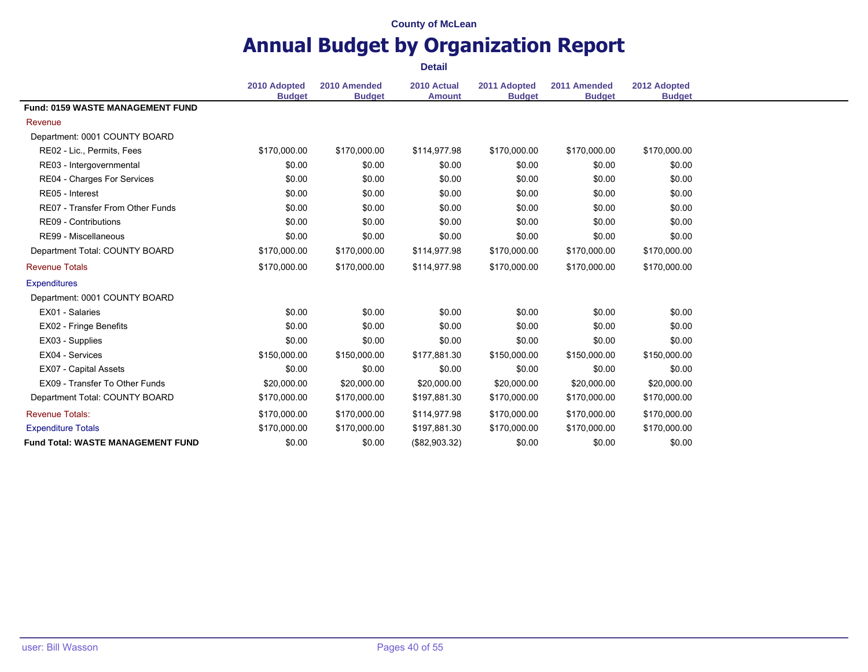|                                          |                               |                               | <b>Detail</b>                |                               |                               |                               |
|------------------------------------------|-------------------------------|-------------------------------|------------------------------|-------------------------------|-------------------------------|-------------------------------|
|                                          | 2010 Adopted<br><b>Budget</b> | 2010 Amended<br><b>Budget</b> | 2010 Actual<br><b>Amount</b> | 2011 Adopted<br><b>Budget</b> | 2011 Amended<br><b>Budget</b> | 2012 Adopted<br><b>Budget</b> |
| Fund: 0159 WASTE MANAGEMENT FUND         |                               |                               |                              |                               |                               |                               |
| Revenue                                  |                               |                               |                              |                               |                               |                               |
| Department: 0001 COUNTY BOARD            |                               |                               |                              |                               |                               |                               |
| RE02 - Lic., Permits, Fees               | \$170,000.00                  | \$170,000.00                  | \$114,977.98                 | \$170,000.00                  | \$170,000.00                  | \$170,000.00                  |
| RE03 - Intergovernmental                 | \$0.00                        | \$0.00                        | \$0.00                       | \$0.00                        | \$0.00                        | \$0.00                        |
| RE04 - Charges For Services              | \$0.00                        | \$0.00                        | \$0.00                       | \$0.00                        | \$0.00                        | \$0.00                        |
| RE05 - Interest                          | \$0.00                        | \$0.00                        | \$0.00                       | \$0.00                        | \$0.00                        | \$0.00                        |
| RE07 - Transfer From Other Funds         | \$0.00                        | \$0.00                        | \$0.00                       | \$0.00                        | \$0.00                        | \$0.00                        |
| RE09 - Contributions                     | \$0.00                        | \$0.00                        | \$0.00                       | \$0.00                        | \$0.00                        | \$0.00                        |
| RE99 - Miscellaneous                     | \$0.00                        | \$0.00                        | \$0.00                       | \$0.00                        | \$0.00                        | \$0.00                        |
| Department Total: COUNTY BOARD           | \$170,000.00                  | \$170,000.00                  | \$114,977.98                 | \$170,000.00                  | \$170,000.00                  | \$170,000.00                  |
| <b>Revenue Totals</b>                    | \$170,000.00                  | \$170,000.00                  | \$114,977.98                 | \$170,000.00                  | \$170,000.00                  | \$170,000.00                  |
| <b>Expenditures</b>                      |                               |                               |                              |                               |                               |                               |
| Department: 0001 COUNTY BOARD            |                               |                               |                              |                               |                               |                               |
| EX01 - Salaries                          | \$0.00                        | \$0.00                        | \$0.00                       | \$0.00                        | \$0.00                        | \$0.00                        |
| EX02 - Fringe Benefits                   | \$0.00                        | \$0.00                        | \$0.00                       | \$0.00                        | \$0.00                        | \$0.00                        |
| EX03 - Supplies                          | \$0.00                        | \$0.00                        | \$0.00                       | \$0.00                        | \$0.00                        | \$0.00                        |
| EX04 - Services                          | \$150,000.00                  | \$150,000.00                  | \$177,881.30                 | \$150,000.00                  | \$150,000.00                  | \$150,000.00                  |
| <b>EX07 - Capital Assets</b>             | \$0.00                        | \$0.00                        | \$0.00                       | \$0.00                        | \$0.00                        | \$0.00                        |
| EX09 - Transfer To Other Funds           | \$20,000.00                   | \$20,000.00                   | \$20,000.00                  | \$20,000.00                   | \$20,000.00                   | \$20,000.00                   |
| Department Total: COUNTY BOARD           | \$170,000.00                  | \$170,000.00                  | \$197,881.30                 | \$170,000.00                  | \$170,000.00                  | \$170,000.00                  |
| <b>Revenue Totals:</b>                   | \$170,000.00                  | \$170,000.00                  | \$114,977.98                 | \$170,000.00                  | \$170,000.00                  | \$170,000.00                  |
| <b>Expenditure Totals</b>                | \$170,000.00                  | \$170,000.00                  | \$197,881.30                 | \$170,000.00                  | \$170,000.00                  | \$170,000.00                  |
| <b>Fund Total: WASTE MANAGEMENT FUND</b> | \$0.00                        | \$0.00                        | (\$82,903.32)                | \$0.00                        | \$0.00                        | \$0.00                        |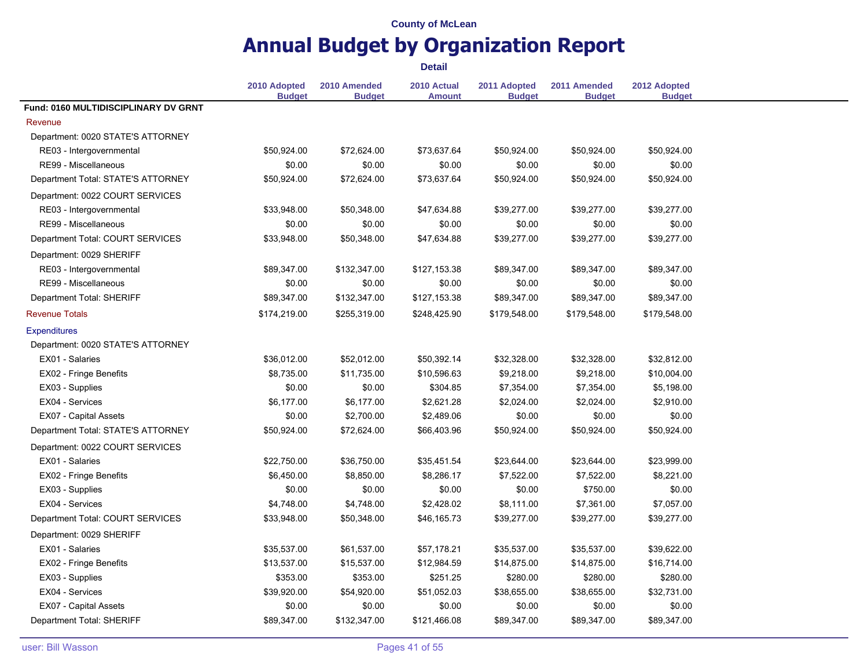### **Annual Budget by Organization Report**

**Detail**

**2010 Adopted Budget 2010 Amended Budget 2010 Actual Amount 2011 Adopted Budget 2011 Amended Budget 2012 Adopted Budget Fund: 0160 MULTIDISCIPLINARY DV GRNT** Revenue Department: 0020 STATE'S ATTORNEY RE03 - Intergovernmental  $$50,924.00$   $$72,624.00$   $$73,637.64$   $$50,924.00$   $$50,924.00$   $$50,924.00$ RE99 - Miscellaneous \$0.00 \$0.00 \$0.00 \$0.00 \$0.00 \$0.00 Department Total: STATE'S ATTORNEY \$50,924.00 \$72,624.00 \$73,637.64 \$50,924.00 \$50,924.00 \$50,924.00 Department: 0022 COURT SERVICES RE03 - Intergovernmental  $$33,948.00$   $$50,348.00$   $$47,634.88$   $$39,277.00$   $$39,277.00$   $$39,277.00$ RE99 - Miscellaneous \$0.00 \$0.00 \$0.00 \$0.00 \$0.00 \$0.00 Department Total: COURT SERVICES  $$33,948.00$   $$50,348.00$   $$47,634.88$   $$39,277.00$   $$39,277.00$   $$39,277.00$ Department: 0029 SHERIFF RE03 - Intergovernmental  $$89,347.00$   $$132,347.00$   $$127,153.38$   $$89,347.00$   $$89,347.00$   $$89,347.00$ RE99 - Miscellaneous \$0.00 \$0.00 \$0.00 \$0.00 \$0.00 \$0.00 Department Total: SHERIFF 689,347.00 \$89,347.00 \$132,347.00 \$127,153.38 \$89,347.00 \$89,347.00 \$89,347.00 Revenue Totals \$174,219.00 \$255,319.00 \$248,425.90 \$179,548.00 \$179,548.00 \$179,548.00 **Expenditures** Department: 0020 STATE'S ATTORNEY EX01 - Salaries \$36,012.00 \$52,012.00 \$50,392.14 \$32,328.00 \$32,328.00 \$32,812.00 EX02 - Fringe Benefits 68,735.00 \$11,735.00 \$11,735.00 \$10,596.63 \$9,218.00 \$9,218.00 \$10,004.00 EX03 - Supplies \$0.00 \$0.00 \$304.85 \$7,354.00 \$7,354.00 \$5,198.00 EX04 - Services \$6,177.00 \$6,177.00 \$2,621.28 \$2,024.00 \$2,024.00 \$2,910.00 EX07 - Capital Assets **60.00** \$0.00 \$2,700.00 \$2,489.06 \$0.00 \$0.00 \$0.00 \$0.00 Department Total: STATE'S ATTORNEY \$50,924.00 \$50,924.00 \$72,624.00 \$66,403.96 \$50,924.00 \$50,924.00 \$50,924.00 Department: 0022 COURT SERVICES EX01 - Salaries \$22,750.00 \$36,750.00 \$35,451.54 \$23,644.00 \$23,644.00 \$23,999.00 EX02 - Fringe Benefits 68,221.00 \$6,450.00 \$8,850.00 \$8,850.00 \$8,286.17 \$7,522.00 \$7,522.00 \$8,221.00 EX03 - Supplies \$0.00 \$0.00 \$0.00 \$0.00 \$750.00 \$0.00 EX04 - Services \$4,748.00 \$4,748.00 \$2,428.02 \$8,111.00 \$7,361.00 \$7,057.00 Department Total: COURT SERVICES  $$33,948.00$   $$50,348.00$   $$46,165.73$   $$39,277.00$   $$39,277.00$   $$39,277.00$ Department: 0029 SHERIFF EX01 - Salaries \$35,537.00 \$61,537.00 \$57,178.21 \$35,537.00 \$35,537.00 \$39,622.00 EX02 - Fringe Benefits \$13,537.00 \$15,537.00 \$12,984.59 \$14,875.00 \$14,875.00 \$16,714.00 EX03 - Supplies \$353.00 \$353.00 \$251.25 \$280.00 \$280.00 \$280.00 EX04 - Services \$39,920.00 \$54,920.00 \$51,052.03 \$38,655.00 \$38,655.00 \$32,731.00 EX07 - Capital Assets **60.00** \$0.00 \$0.00 \$0.00 \$0.00 \$0.00 \$0.00 \$0.00 \$0.00 \$0.00 Department Total: SHERIFF 689,347.00 \$89,347.00 \$132,347.00 \$121,466.08 \$89,347.00 \$89,347.00 \$89,347.00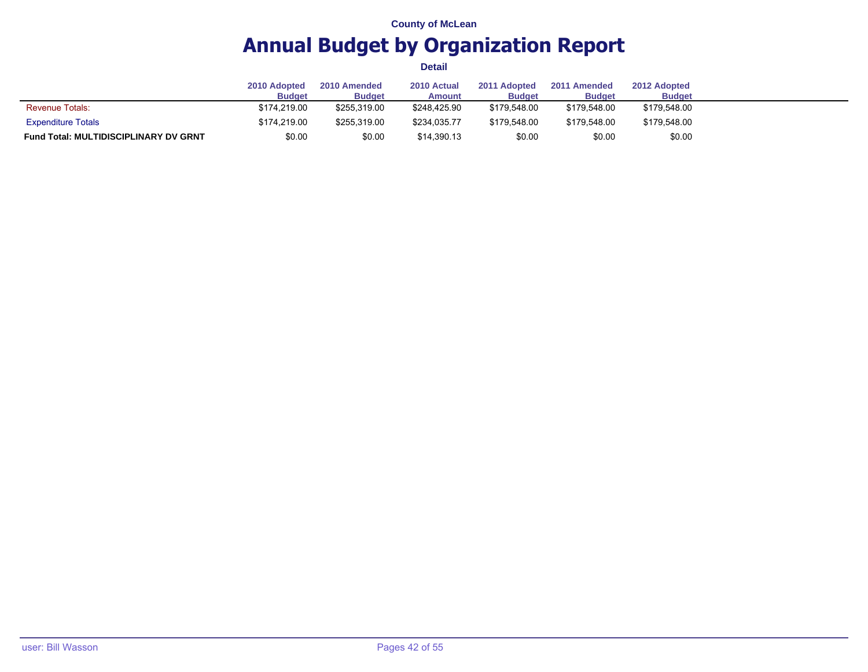# **Annual Budget by Organization Report**

|                                              | 2010 Adopted<br><b>Budget</b> | 2010 Amended<br><b>Budget</b> | 2010 Actual<br><b>Amount</b> | 2011 Adopted<br><b>Budget</b> | 2011 Amended<br><b>Budget</b> | 2012 Adopted<br><b>Budget</b> |
|----------------------------------------------|-------------------------------|-------------------------------|------------------------------|-------------------------------|-------------------------------|-------------------------------|
| <b>Revenue Totals:</b>                       | \$174,219.00                  | \$255.319.00                  | \$248,425.90                 | \$179.548.00                  | \$179.548.00                  | \$179,548.00                  |
| <b>Expenditure Totals</b>                    | \$174.219.00                  | \$255.319.00                  | \$234.035.77                 | \$179.548.00                  | \$179.548.00                  | \$179.548.00                  |
| <b>Fund Total: MULTIDISCIPLINARY DV GRNT</b> | \$0.00                        | \$0.00                        | \$14,390.13                  | \$0.00                        | \$0.00                        | \$0.00                        |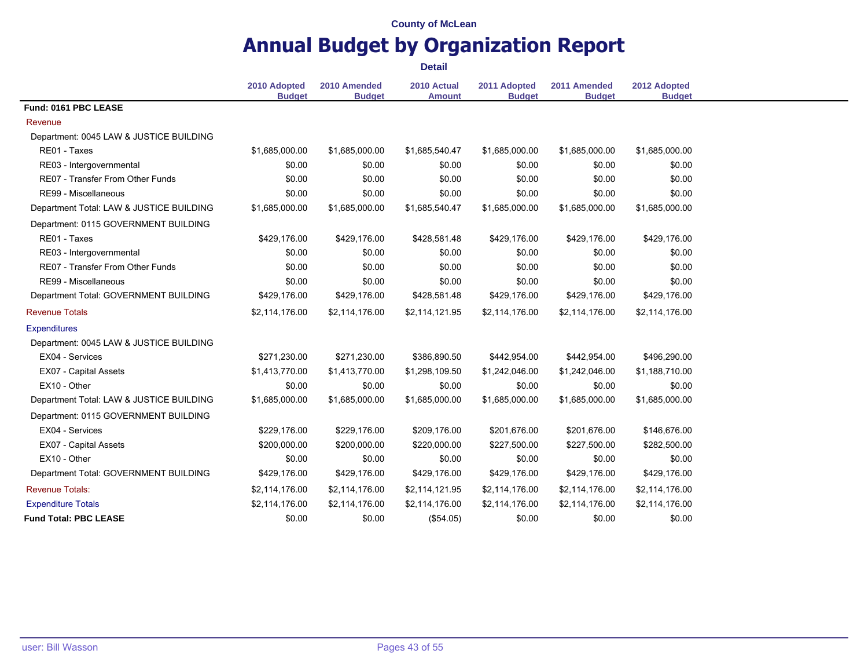|                                          |                               |                               | <b>Detail</b>                |                               |                               |                               |
|------------------------------------------|-------------------------------|-------------------------------|------------------------------|-------------------------------|-------------------------------|-------------------------------|
|                                          | 2010 Adopted<br><b>Budget</b> | 2010 Amended<br><b>Budget</b> | 2010 Actual<br><b>Amount</b> | 2011 Adopted<br><b>Budget</b> | 2011 Amended<br><b>Budget</b> | 2012 Adopted<br><b>Budget</b> |
| Fund: 0161 PBC LEASE                     |                               |                               |                              |                               |                               |                               |
| Revenue                                  |                               |                               |                              |                               |                               |                               |
| Department: 0045 LAW & JUSTICE BUILDING  |                               |                               |                              |                               |                               |                               |
| RE01 - Taxes                             | \$1,685,000.00                | \$1,685,000.00                | \$1,685,540.47               | \$1,685,000.00                | \$1,685,000.00                | \$1,685,000.00                |
| RE03 - Intergovernmental                 | \$0.00                        | \$0.00                        | \$0.00                       | \$0.00                        | \$0.00                        | \$0.00                        |
| RE07 - Transfer From Other Funds         | \$0.00                        | \$0.00                        | \$0.00                       | \$0.00                        | \$0.00                        | \$0.00                        |
| RE99 - Miscellaneous                     | \$0.00                        | \$0.00                        | \$0.00                       | \$0.00                        | \$0.00                        | \$0.00                        |
| Department Total: LAW & JUSTICE BUILDING | \$1,685,000.00                | \$1,685,000.00                | \$1,685,540.47               | \$1,685,000.00                | \$1,685,000.00                | \$1,685,000.00                |
| Department: 0115 GOVERNMENT BUILDING     |                               |                               |                              |                               |                               |                               |
| RE01 - Taxes                             | \$429,176.00                  | \$429,176.00                  | \$428,581.48                 | \$429,176.00                  | \$429,176.00                  | \$429,176.00                  |
| RE03 - Intergovernmental                 | \$0.00                        | \$0.00                        | \$0.00                       | \$0.00                        | \$0.00                        | \$0.00                        |
| RE07 - Transfer From Other Funds         | \$0.00                        | \$0.00                        | \$0.00                       | \$0.00                        | \$0.00                        | \$0.00                        |
| RE99 - Miscellaneous                     | \$0.00                        | \$0.00                        | \$0.00                       | \$0.00                        | \$0.00                        | \$0.00                        |
| Department Total: GOVERNMENT BUILDING    | \$429,176.00                  | \$429,176.00                  | \$428,581.48                 | \$429,176.00                  | \$429,176.00                  | \$429,176.00                  |
| <b>Revenue Totals</b>                    | \$2,114,176.00                | \$2,114,176.00                | \$2,114,121.95               | \$2,114,176.00                | \$2,114,176.00                | \$2,114,176.00                |
| <b>Expenditures</b>                      |                               |                               |                              |                               |                               |                               |
| Department: 0045 LAW & JUSTICE BUILDING  |                               |                               |                              |                               |                               |                               |
| EX04 - Services                          | \$271,230.00                  | \$271,230.00                  | \$386,890.50                 | \$442,954.00                  | \$442,954.00                  | \$496,290.00                  |
| EX07 - Capital Assets                    | \$1,413,770.00                | \$1,413,770.00                | \$1,298,109.50               | \$1,242,046.00                | \$1,242,046.00                | \$1,188,710.00                |
| EX10 - Other                             | \$0.00                        | \$0.00                        | \$0.00                       | \$0.00                        | \$0.00                        | \$0.00                        |
| Department Total: LAW & JUSTICE BUILDING | \$1,685,000.00                | \$1,685,000.00                | \$1,685,000.00               | \$1,685,000.00                | \$1,685,000.00                | \$1,685,000.00                |
| Department: 0115 GOVERNMENT BUILDING     |                               |                               |                              |                               |                               |                               |
| EX04 - Services                          | \$229,176.00                  | \$229,176.00                  | \$209,176.00                 | \$201,676.00                  | \$201,676.00                  | \$146,676.00                  |
| EX07 - Capital Assets                    | \$200,000.00                  | \$200,000.00                  | \$220,000.00                 | \$227,500.00                  | \$227,500.00                  | \$282,500.00                  |
| EX10 - Other                             | \$0.00                        | \$0.00                        | \$0.00                       | \$0.00                        | \$0.00                        | \$0.00                        |
| Department Total: GOVERNMENT BUILDING    | \$429,176.00                  | \$429,176.00                  | \$429,176.00                 | \$429,176.00                  | \$429,176.00                  | \$429,176.00                  |
| <b>Revenue Totals:</b>                   | \$2,114,176.00                | \$2,114,176.00                | \$2,114,121.95               | \$2,114,176.00                | \$2,114,176.00                | \$2,114,176.00                |
| <b>Expenditure Totals</b>                | \$2,114,176.00                | \$2,114,176.00                | \$2,114,176.00               | \$2,114,176.00                | \$2,114,176.00                | \$2,114,176.00                |
| <b>Fund Total: PBC LEASE</b>             | \$0.00                        | \$0.00                        | (\$54.05)                    | \$0.00                        | \$0.00                        | \$0.00                        |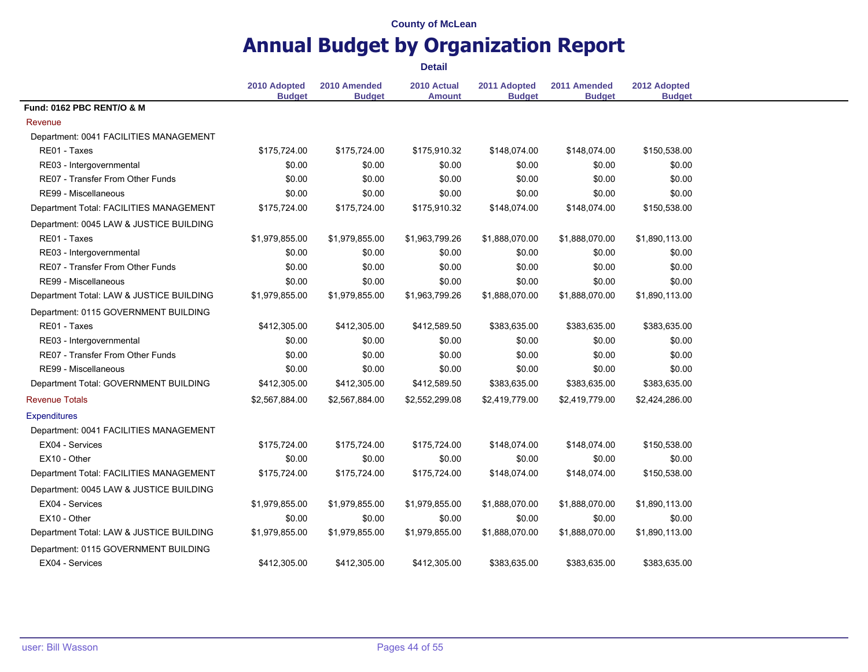|                                          | <b>Detail</b>                 |                               |                              |                               |                               |                               |  |
|------------------------------------------|-------------------------------|-------------------------------|------------------------------|-------------------------------|-------------------------------|-------------------------------|--|
|                                          | 2010 Adopted<br><b>Budget</b> | 2010 Amended<br><b>Budget</b> | 2010 Actual<br><b>Amount</b> | 2011 Adopted<br><b>Budget</b> | 2011 Amended<br><b>Budget</b> | 2012 Adopted<br><b>Budget</b> |  |
| Fund: 0162 PBC RENT/O & M                |                               |                               |                              |                               |                               |                               |  |
| Revenue                                  |                               |                               |                              |                               |                               |                               |  |
| Department: 0041 FACILITIES MANAGEMENT   |                               |                               |                              |                               |                               |                               |  |
| RE01 - Taxes                             | \$175,724.00                  | \$175,724.00                  | \$175,910.32                 | \$148,074.00                  | \$148,074.00                  | \$150,538.00                  |  |
| RE03 - Intergovernmental                 | \$0.00                        | \$0.00                        | \$0.00                       | \$0.00                        | \$0.00                        | \$0.00                        |  |
| RE07 - Transfer From Other Funds         | \$0.00                        | \$0.00                        | \$0.00                       | \$0.00                        | \$0.00                        | \$0.00                        |  |
| RE99 - Miscellaneous                     | \$0.00                        | \$0.00                        | \$0.00                       | \$0.00                        | \$0.00                        | \$0.00                        |  |
| Department Total: FACILITIES MANAGEMENT  | \$175,724.00                  | \$175,724.00                  | \$175.910.32                 | \$148,074.00                  | \$148,074.00                  | \$150,538.00                  |  |
| Department: 0045 LAW & JUSTICE BUILDING  |                               |                               |                              |                               |                               |                               |  |
| RE01 - Taxes                             | \$1,979,855.00                | \$1,979,855.00                | \$1,963,799.26               | \$1,888,070.00                | \$1,888,070.00                | \$1,890,113.00                |  |
| RE03 - Intergovernmental                 | \$0.00                        | \$0.00                        | \$0.00                       | \$0.00                        | \$0.00                        | \$0.00                        |  |
| RE07 - Transfer From Other Funds         | \$0.00                        | \$0.00                        | \$0.00                       | \$0.00                        | \$0.00                        | \$0.00                        |  |
| RE99 - Miscellaneous                     | \$0.00                        | \$0.00                        | \$0.00                       | \$0.00                        | \$0.00                        | \$0.00                        |  |
| Department Total: LAW & JUSTICE BUILDING | \$1,979,855.00                | \$1,979,855.00                | \$1,963,799.26               | \$1,888,070.00                | \$1,888,070.00                | \$1,890,113.00                |  |
| Department: 0115 GOVERNMENT BUILDING     |                               |                               |                              |                               |                               |                               |  |
| RE01 - Taxes                             | \$412,305.00                  | \$412,305.00                  | \$412,589.50                 | \$383,635.00                  | \$383,635.00                  | \$383,635.00                  |  |
| RE03 - Intergovernmental                 | \$0.00                        | \$0.00                        | \$0.00                       | \$0.00                        | \$0.00                        | \$0.00                        |  |
| RE07 - Transfer From Other Funds         | \$0.00                        | \$0.00                        | \$0.00                       | \$0.00                        | \$0.00                        | \$0.00                        |  |
| RE99 - Miscellaneous                     | \$0.00                        | \$0.00                        | \$0.00                       | \$0.00                        | \$0.00                        | \$0.00                        |  |
| Department Total: GOVERNMENT BUILDING    | \$412,305.00                  | \$412,305.00                  | \$412,589.50                 | \$383,635.00                  | \$383,635.00                  | \$383,635.00                  |  |
| <b>Revenue Totals</b>                    | \$2,567,884.00                | \$2,567,884.00                | \$2,552,299.08               | \$2,419,779.00                | \$2,419,779.00                | \$2,424,286.00                |  |
| <b>Expenditures</b>                      |                               |                               |                              |                               |                               |                               |  |
| Department: 0041 FACILITIES MANAGEMENT   |                               |                               |                              |                               |                               |                               |  |
| EX04 - Services                          | \$175,724.00                  | \$175,724.00                  | \$175,724.00                 | \$148,074.00                  | \$148,074.00                  | \$150,538.00                  |  |
| EX10 - Other                             | \$0.00                        | \$0.00                        | \$0.00                       | \$0.00                        | \$0.00                        | \$0.00                        |  |
| Department Total: FACILITIES MANAGEMENT  | \$175,724.00                  | \$175,724.00                  | \$175,724.00                 | \$148,074.00                  | \$148,074.00                  | \$150,538.00                  |  |
| Department: 0045 LAW & JUSTICE BUILDING  |                               |                               |                              |                               |                               |                               |  |
| EX04 - Services                          | \$1,979,855.00                | \$1,979,855.00                | \$1,979,855.00               | \$1,888,070.00                | \$1,888,070.00                | \$1,890,113.00                |  |
| EX10 - Other                             | \$0.00                        | \$0.00                        | \$0.00                       | \$0.00                        | \$0.00                        | \$0.00                        |  |
| Department Total: LAW & JUSTICE BUILDING | \$1,979,855.00                | \$1,979,855.00                | \$1,979,855.00               | \$1,888,070.00                | \$1,888,070.00                | \$1,890,113.00                |  |
| Department: 0115 GOVERNMENT BUILDING     |                               |                               |                              |                               |                               |                               |  |
| EX04 - Services                          | \$412,305.00                  | \$412,305.00                  | \$412,305.00                 | \$383,635.00                  | \$383,635.00                  | \$383,635.00                  |  |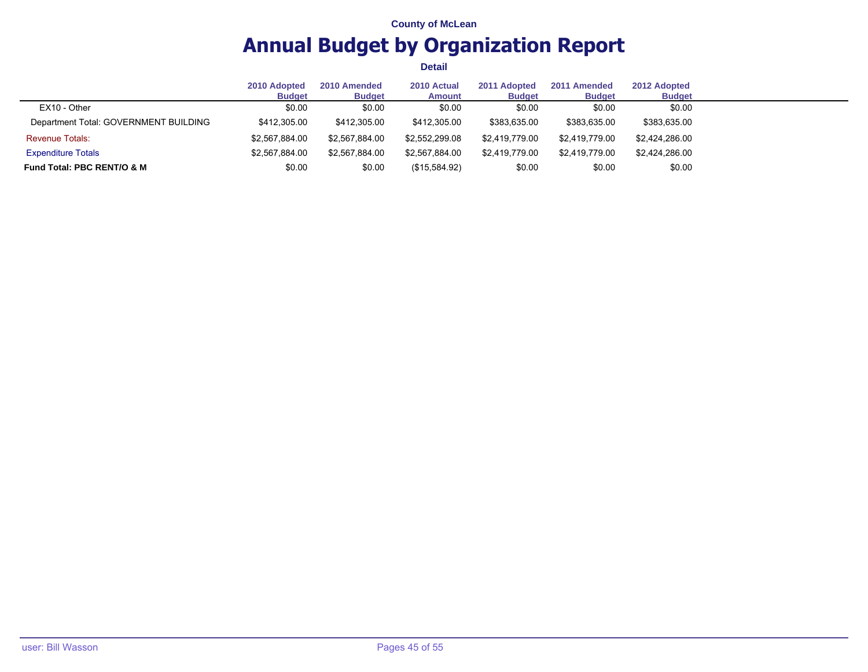# **Annual Budget by Organization Report**

|                                       | 2010 Adopted<br><b>Budget</b> | 2010 Amended<br><b>Budget</b> | 2010 Actual<br><b>Amount</b> | 2011 Adopted<br><b>Budget</b> | 2011 Amended<br><b>Budget</b> | 2012 Adopted<br><b>Budget</b> |
|---------------------------------------|-------------------------------|-------------------------------|------------------------------|-------------------------------|-------------------------------|-------------------------------|
| EX10 - Other                          | \$0.00                        | \$0.00                        | \$0.00                       | \$0.00                        | \$0.00                        | \$0.00                        |
| Department Total: GOVERNMENT BUILDING | \$412,305.00                  | \$412,305.00                  | \$412,305.00                 | \$383,635.00                  | \$383,635.00                  | \$383,635.00                  |
| <b>Revenue Totals:</b>                | \$2.567.884.00                | \$2.567.884.00                | \$2,552,299.08               | \$2,419,779.00                | \$2.419.779.00                | \$2.424.286.00                |
| <b>Expenditure Totals</b>             | \$2,567,884.00                | \$2.567.884.00                | \$2.567.884.00               | \$2.419.779.00                | \$2.419.779.00                | \$2,424,286.00                |
| Fund Total: PBC RENT/O & M            | \$0.00                        | \$0.00                        | (\$15,584.92)                | \$0.00                        | \$0.00                        | \$0.00                        |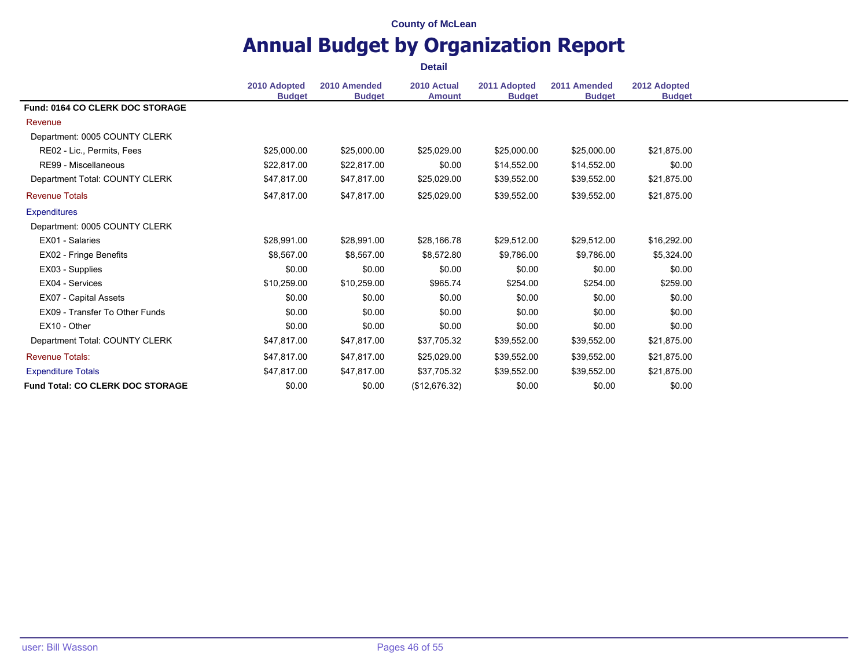|                                         |                               |                               | <b>Detail</b>                |                               |                               |                               |
|-----------------------------------------|-------------------------------|-------------------------------|------------------------------|-------------------------------|-------------------------------|-------------------------------|
|                                         | 2010 Adopted<br><b>Budget</b> | 2010 Amended<br><b>Budget</b> | 2010 Actual<br><b>Amount</b> | 2011 Adopted<br><b>Budget</b> | 2011 Amended<br><b>Budget</b> | 2012 Adopted<br><b>Budget</b> |
| Fund: 0164 CO CLERK DOC STORAGE         |                               |                               |                              |                               |                               |                               |
| Revenue                                 |                               |                               |                              |                               |                               |                               |
| Department: 0005 COUNTY CLERK           |                               |                               |                              |                               |                               |                               |
| RE02 - Lic., Permits, Fees              | \$25,000.00                   | \$25,000.00                   | \$25,029.00                  | \$25,000.00                   | \$25,000.00                   | \$21,875.00                   |
| RE99 - Miscellaneous                    | \$22,817.00                   | \$22,817.00                   | \$0.00                       | \$14,552.00                   | \$14,552.00                   | \$0.00                        |
| Department Total: COUNTY CLERK          | \$47,817.00                   | \$47,817.00                   | \$25,029.00                  | \$39,552.00                   | \$39,552.00                   | \$21,875.00                   |
| <b>Revenue Totals</b>                   | \$47,817.00                   | \$47,817.00                   | \$25,029.00                  | \$39,552.00                   | \$39,552.00                   | \$21,875.00                   |
| <b>Expenditures</b>                     |                               |                               |                              |                               |                               |                               |
| Department: 0005 COUNTY CLERK           |                               |                               |                              |                               |                               |                               |
| EX01 - Salaries                         | \$28,991.00                   | \$28,991.00                   | \$28,166.78                  | \$29,512.00                   | \$29,512.00                   | \$16,292.00                   |
| EX02 - Fringe Benefits                  | \$8,567.00                    | \$8,567.00                    | \$8,572.80                   | \$9,786.00                    | \$9,786.00                    | \$5,324.00                    |
| EX03 - Supplies                         | \$0.00                        | \$0.00                        | \$0.00                       | \$0.00                        | \$0.00                        | \$0.00                        |
| EX04 - Services                         | \$10,259.00                   | \$10,259.00                   | \$965.74                     | \$254.00                      | \$254.00                      | \$259.00                      |
| EX07 - Capital Assets                   | \$0.00                        | \$0.00                        | \$0.00                       | \$0.00                        | \$0.00                        | \$0.00                        |
| EX09 - Transfer To Other Funds          | \$0.00                        | \$0.00                        | \$0.00                       | \$0.00                        | \$0.00                        | \$0.00                        |
| EX10 - Other                            | \$0.00                        | \$0.00                        | \$0.00                       | \$0.00                        | \$0.00                        | \$0.00                        |
| Department Total: COUNTY CLERK          | \$47,817.00                   | \$47,817.00                   | \$37,705.32                  | \$39,552.00                   | \$39,552.00                   | \$21,875.00                   |
| <b>Revenue Totals:</b>                  | \$47,817.00                   | \$47,817.00                   | \$25,029.00                  | \$39,552.00                   | \$39,552.00                   | \$21,875.00                   |
| <b>Expenditure Totals</b>               | \$47,817.00                   | \$47,817.00                   | \$37,705.32                  | \$39,552.00                   | \$39,552.00                   | \$21,875.00                   |
| <b>Fund Total: CO CLERK DOC STORAGE</b> | \$0.00                        | \$0.00                        | (\$12,676.32)                | \$0.00                        | \$0.00                        | \$0.00                        |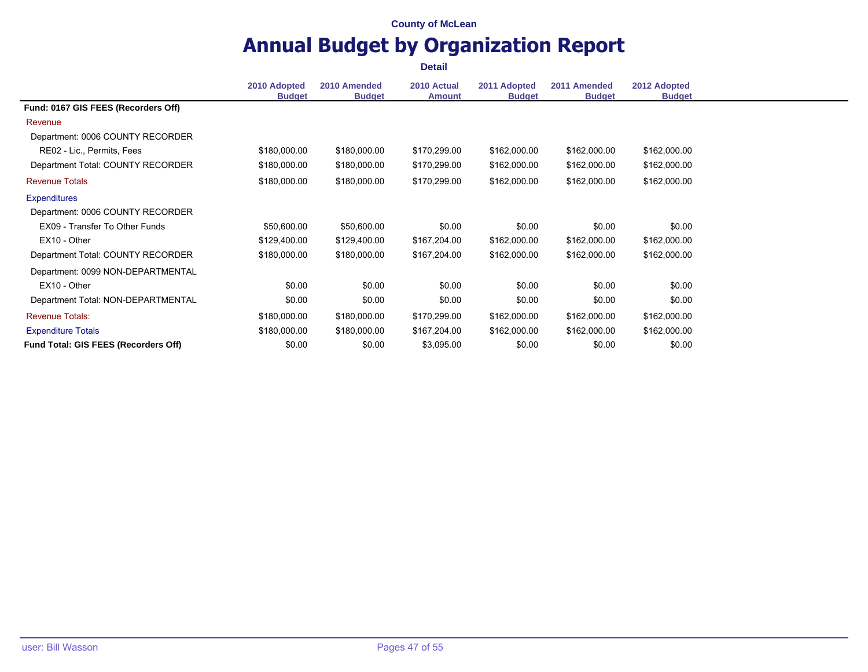### **Annual Budget by Organization Report**

**Detail**

**2010 Adopted Budget 2010 Amended Budget 2010 Actual Amount 2011 Adopted Budget 2011 Amended Budget 2012 Adopted Budget Fund: 0167 GIS FEES (Recorders Off)** Revenue Department: 0006 COUNTY RECORDER RE02 - Lic., Permits, Fees **\$180,000.00** \$180,000.00 \$180,000.00 \$170,299.00 \$162,000.00 \$162,000.00 \$162,000.00 Department Total: COUNTY RECORDER \$180,000.00 \$180,000.00 \$170,299.00 \$162,000.00 \$162,000.00 \$162,000.00 Revenue Totals \$180,000.00 \$180,000.00 \$170,299.00 \$162,000.00 \$162,000.00 \$162,000.00 **Expenditures** Department: 0006 COUNTY RECORDER EX09 - Transfer To Other Funds  $$50,600.00$   $$50,600.00$   $$0.00$  \$0.00 \$0.00 \$0.00 \$0.00 EX10 - Other \$129,400.00 \$129,400.00 \$167,204.00 \$162,000.00 \$162,000.00 \$162,000.00 Department Total: COUNTY RECORDER \$180,000.00 \$180,000.00 \$167,204.00 \$162,000.00 \$162,000.00 \$162,000.00 Department: 0099 NON-DEPARTMENTAL EX10 - Other \$0.00 \$0.00 \$0.00 \$0.00 \$0.00 \$0.00 Department Total: NON-DEPARTMENTAL \$0.00 \$0.00 \$0.00 \$0.00 \$0.00 \$0.00 Revenue Totals: \$180,000.00 \$180,000.00 \$170,299.00 \$162,000.00 \$162,000.00 \$162,000.00 Expenditure Totals \$180,000.00 \$180,000.00 \$167,204.00 \$162,000.00 \$162,000.00 \$162,000.00 **Fund Total: GIS FEES (Recorders Off)**  $$0.00$   $$3,095.00$   $$0.00$   $$0.00$   $$0.00$   $$0.00$   $$0.00$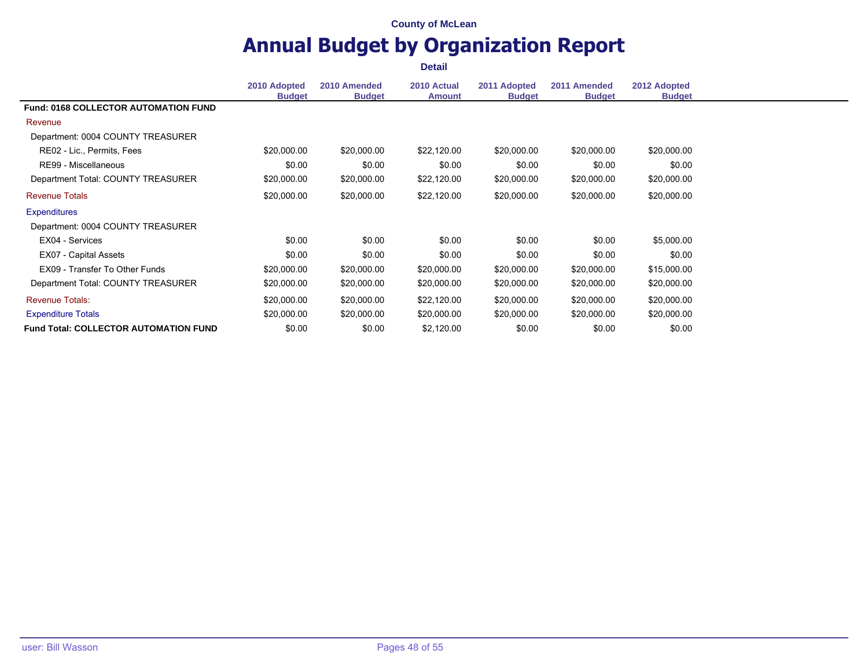|                                              | <b>Detail</b>                 |                               |                              |                               |                               |                               |  |  |
|----------------------------------------------|-------------------------------|-------------------------------|------------------------------|-------------------------------|-------------------------------|-------------------------------|--|--|
|                                              | 2010 Adopted<br><b>Budget</b> | 2010 Amended<br><b>Budget</b> | 2010 Actual<br><b>Amount</b> | 2011 Adopted<br><b>Budget</b> | 2011 Amended<br><b>Budget</b> | 2012 Adopted<br><b>Budget</b> |  |  |
| <b>Fund: 0168 COLLECTOR AUTOMATION FUND</b>  |                               |                               |                              |                               |                               |                               |  |  |
| Revenue                                      |                               |                               |                              |                               |                               |                               |  |  |
| Department: 0004 COUNTY TREASURER            |                               |                               |                              |                               |                               |                               |  |  |
| RE02 - Lic., Permits, Fees                   | \$20,000.00                   | \$20,000.00                   | \$22,120.00                  | \$20,000.00                   | \$20,000.00                   | \$20,000.00                   |  |  |
| RE99 - Miscellaneous                         | \$0.00                        | \$0.00                        | \$0.00                       | \$0.00                        | \$0.00                        | \$0.00                        |  |  |
| Department Total: COUNTY TREASURER           | \$20,000.00                   | \$20,000.00                   | \$22,120.00                  | \$20,000.00                   | \$20,000.00                   | \$20,000.00                   |  |  |
| <b>Revenue Totals</b>                        | \$20,000.00                   | \$20,000.00                   | \$22,120.00                  | \$20,000.00                   | \$20,000.00                   | \$20,000.00                   |  |  |
| <b>Expenditures</b>                          |                               |                               |                              |                               |                               |                               |  |  |
| Department: 0004 COUNTY TREASURER            |                               |                               |                              |                               |                               |                               |  |  |
| EX04 - Services                              | \$0.00                        | \$0.00                        | \$0.00                       | \$0.00                        | \$0.00                        | \$5,000.00                    |  |  |
| EX07 - Capital Assets                        | \$0.00                        | \$0.00                        | \$0.00                       | \$0.00                        | \$0.00                        | \$0.00                        |  |  |
| EX09 - Transfer To Other Funds               | \$20,000.00                   | \$20,000.00                   | \$20,000.00                  | \$20,000.00                   | \$20,000.00                   | \$15,000.00                   |  |  |
| Department Total: COUNTY TREASURER           | \$20,000.00                   | \$20,000.00                   | \$20,000.00                  | \$20,000.00                   | \$20,000.00                   | \$20,000.00                   |  |  |
| <b>Revenue Totals:</b>                       | \$20,000.00                   | \$20,000.00                   | \$22,120.00                  | \$20,000.00                   | \$20,000.00                   | \$20,000.00                   |  |  |
| <b>Expenditure Totals</b>                    | \$20,000.00                   | \$20,000.00                   | \$20,000.00                  | \$20,000.00                   | \$20,000.00                   | \$20,000.00                   |  |  |
| <b>Fund Total: COLLECTOR AUTOMATION FUND</b> | \$0.00                        | \$0.00                        | \$2,120.00                   | \$0.00                        | \$0.00                        | \$0.00                        |  |  |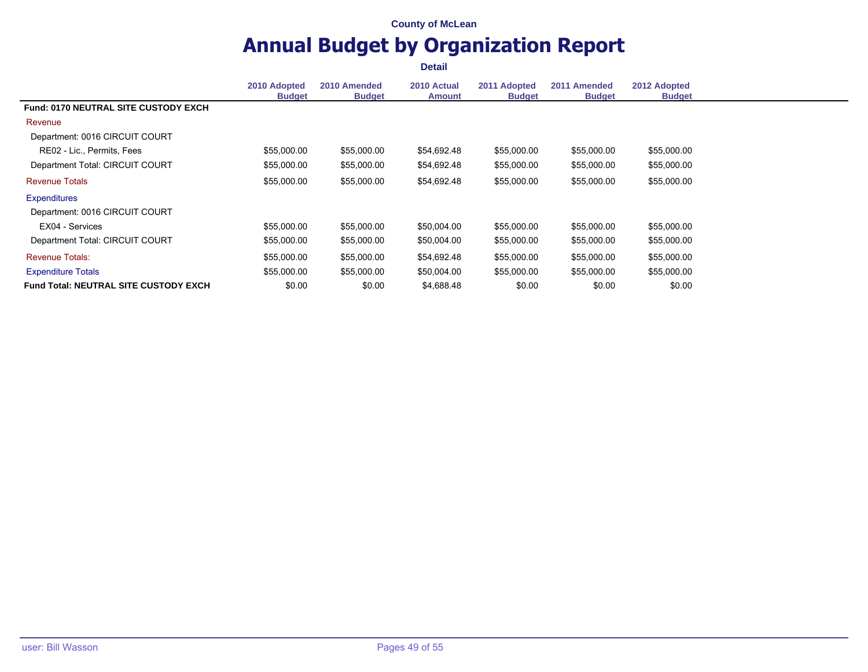|                                              | <b>Detail</b>                 |                               |                              |                               |                               |                               |  |
|----------------------------------------------|-------------------------------|-------------------------------|------------------------------|-------------------------------|-------------------------------|-------------------------------|--|
|                                              | 2010 Adopted<br><b>Budget</b> | 2010 Amended<br><b>Budget</b> | 2010 Actual<br><b>Amount</b> | 2011 Adopted<br><b>Budget</b> | 2011 Amended<br><b>Budget</b> | 2012 Adopted<br><b>Budget</b> |  |
| Fund: 0170 NEUTRAL SITE CUSTODY EXCH         |                               |                               |                              |                               |                               |                               |  |
| Revenue                                      |                               |                               |                              |                               |                               |                               |  |
| Department: 0016 CIRCUIT COURT               |                               |                               |                              |                               |                               |                               |  |
| RE02 - Lic., Permits, Fees                   | \$55,000.00                   | \$55,000.00                   | \$54,692.48                  | \$55,000.00                   | \$55,000.00                   | \$55,000.00                   |  |
| Department Total: CIRCUIT COURT              | \$55,000.00                   | \$55,000.00                   | \$54,692.48                  | \$55,000.00                   | \$55,000.00                   | \$55,000.00                   |  |
| <b>Revenue Totals</b>                        | \$55,000.00                   | \$55,000.00                   | \$54,692.48                  | \$55,000.00                   | \$55,000.00                   | \$55,000.00                   |  |
| <b>Expenditures</b>                          |                               |                               |                              |                               |                               |                               |  |
| Department: 0016 CIRCUIT COURT               |                               |                               |                              |                               |                               |                               |  |
| EX04 - Services                              | \$55,000.00                   | \$55,000.00                   | \$50,004.00                  | \$55,000.00                   | \$55,000.00                   | \$55,000.00                   |  |
| Department Total: CIRCUIT COURT              | \$55,000.00                   | \$55,000.00                   | \$50,004.00                  | \$55,000.00                   | \$55,000.00                   | \$55,000.00                   |  |
| <b>Revenue Totals:</b>                       | \$55,000.00                   | \$55,000.00                   | \$54,692.48                  | \$55,000.00                   | \$55,000.00                   | \$55,000.00                   |  |
| <b>Expenditure Totals</b>                    | \$55,000.00                   | \$55,000.00                   | \$50,004.00                  | \$55,000.00                   | \$55,000.00                   | \$55,000.00                   |  |
| <b>Fund Total: NEUTRAL SITE CUSTODY EXCH</b> | \$0.00                        | \$0.00                        | \$4,688.48                   | \$0.00                        | \$0.00                        | \$0.00                        |  |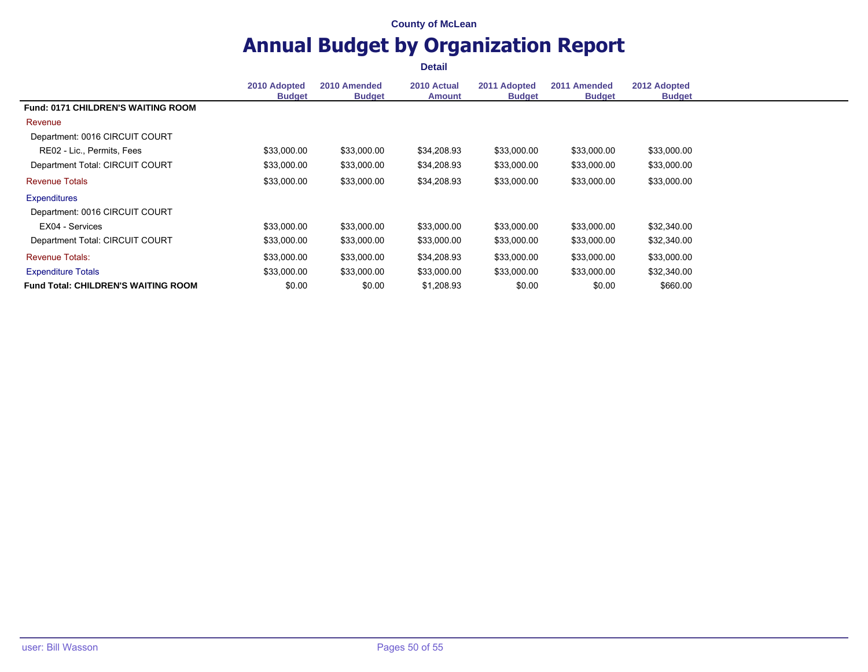|                                            | <b>Detail</b>                 |                               |                              |                               |                               |                               |  |  |
|--------------------------------------------|-------------------------------|-------------------------------|------------------------------|-------------------------------|-------------------------------|-------------------------------|--|--|
|                                            | 2010 Adopted<br><b>Budget</b> | 2010 Amended<br><b>Budget</b> | 2010 Actual<br><b>Amount</b> | 2011 Adopted<br><b>Budget</b> | 2011 Amended<br><b>Budget</b> | 2012 Adopted<br><b>Budget</b> |  |  |
| <b>Fund: 0171 CHILDREN'S WAITING ROOM</b>  |                               |                               |                              |                               |                               |                               |  |  |
| Revenue                                    |                               |                               |                              |                               |                               |                               |  |  |
| Department: 0016 CIRCUIT COURT             |                               |                               |                              |                               |                               |                               |  |  |
| RE02 - Lic., Permits, Fees                 | \$33,000.00                   | \$33,000.00                   | \$34,208.93                  | \$33,000.00                   | \$33,000.00                   | \$33,000.00                   |  |  |
| Department Total: CIRCUIT COURT            | \$33,000.00                   | \$33,000.00                   | \$34,208.93                  | \$33,000.00                   | \$33,000.00                   | \$33,000.00                   |  |  |
| <b>Revenue Totals</b>                      | \$33,000.00                   | \$33,000.00                   | \$34,208.93                  | \$33,000.00                   | \$33,000.00                   | \$33,000.00                   |  |  |
| <b>Expenditures</b>                        |                               |                               |                              |                               |                               |                               |  |  |
| Department: 0016 CIRCUIT COURT             |                               |                               |                              |                               |                               |                               |  |  |
| EX04 - Services                            | \$33,000.00                   | \$33,000.00                   | \$33,000.00                  | \$33,000.00                   | \$33,000.00                   | \$32,340.00                   |  |  |
| Department Total: CIRCUIT COURT            | \$33,000.00                   | \$33,000.00                   | \$33,000.00                  | \$33,000.00                   | \$33,000.00                   | \$32,340.00                   |  |  |
| <b>Revenue Totals:</b>                     | \$33,000.00                   | \$33,000.00                   | \$34,208.93                  | \$33,000.00                   | \$33,000.00                   | \$33,000.00                   |  |  |
| <b>Expenditure Totals</b>                  | \$33,000.00                   | \$33,000.00                   | \$33,000.00                  | \$33,000.00                   | \$33,000.00                   | \$32,340.00                   |  |  |
| <b>Fund Total: CHILDREN'S WAITING ROOM</b> | \$0.00                        | \$0.00                        | \$1,208.93                   | \$0.00                        | \$0.00                        | \$660.00                      |  |  |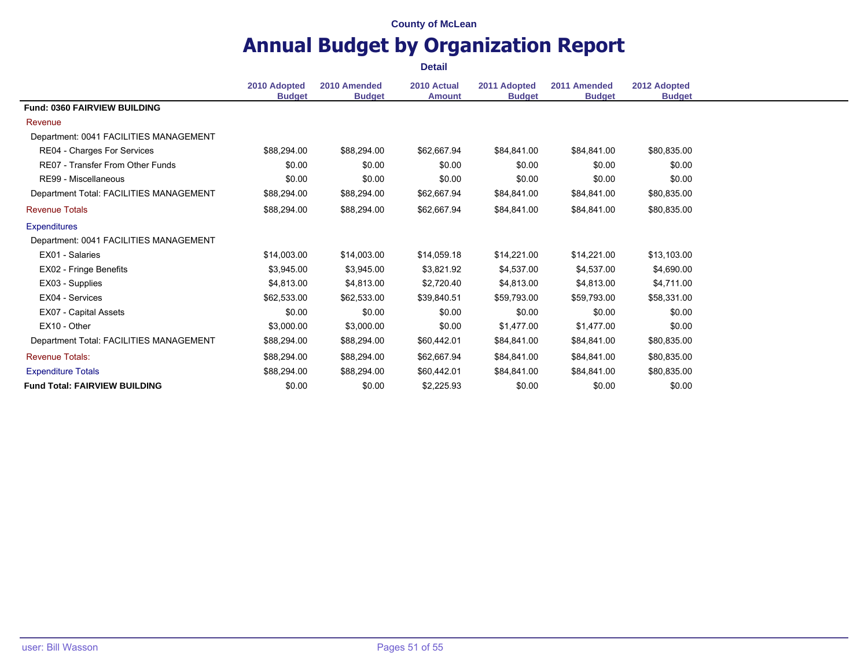|                                         | <b>Detail</b>                 |                               |                              |                               |                               |                               |  |
|-----------------------------------------|-------------------------------|-------------------------------|------------------------------|-------------------------------|-------------------------------|-------------------------------|--|
|                                         | 2010 Adopted<br><b>Budget</b> | 2010 Amended<br><b>Budget</b> | 2010 Actual<br><b>Amount</b> | 2011 Adopted<br><b>Budget</b> | 2011 Amended<br><b>Budget</b> | 2012 Adopted<br><b>Budget</b> |  |
| Fund: 0360 FAIRVIEW BUILDING            |                               |                               |                              |                               |                               |                               |  |
| Revenue                                 |                               |                               |                              |                               |                               |                               |  |
| Department: 0041 FACILITIES MANAGEMENT  |                               |                               |                              |                               |                               |                               |  |
| RE04 - Charges For Services             | \$88,294.00                   | \$88,294.00                   | \$62,667.94                  | \$84,841.00                   | \$84,841.00                   | \$80,835.00                   |  |
| RE07 - Transfer From Other Funds        | \$0.00                        | \$0.00                        | \$0.00                       | \$0.00                        | \$0.00                        | \$0.00                        |  |
| RE99 - Miscellaneous                    | \$0.00                        | \$0.00                        | \$0.00                       | \$0.00                        | \$0.00                        | \$0.00                        |  |
| Department Total: FACILITIES MANAGEMENT | \$88,294.00                   | \$88,294.00                   | \$62,667.94                  | \$84,841.00                   | \$84,841.00                   | \$80,835.00                   |  |
| <b>Revenue Totals</b>                   | \$88,294.00                   | \$88,294.00                   | \$62,667.94                  | \$84,841.00                   | \$84,841.00                   | \$80,835.00                   |  |
| <b>Expenditures</b>                     |                               |                               |                              |                               |                               |                               |  |
| Department: 0041 FACILITIES MANAGEMENT  |                               |                               |                              |                               |                               |                               |  |
| EX01 - Salaries                         | \$14.003.00                   | \$14,003.00                   | \$14,059.18                  | \$14,221.00                   | \$14,221.00                   | \$13,103.00                   |  |
| EX02 - Fringe Benefits                  | \$3,945.00                    | \$3,945.00                    | \$3,821.92                   | \$4,537.00                    | \$4,537.00                    | \$4,690.00                    |  |
| EX03 - Supplies                         | \$4,813.00                    | \$4,813.00                    | \$2,720.40                   | \$4,813.00                    | \$4,813.00                    | \$4,711.00                    |  |
| EX04 - Services                         | \$62,533.00                   | \$62,533.00                   | \$39,840.51                  | \$59,793.00                   | \$59,793.00                   | \$58,331.00                   |  |
| EX07 - Capital Assets                   | \$0.00                        | \$0.00                        | \$0.00                       | \$0.00                        | \$0.00                        | \$0.00                        |  |
| EX10 - Other                            | \$3,000.00                    | \$3,000.00                    | \$0.00                       | \$1,477.00                    | \$1,477.00                    | \$0.00                        |  |
| Department Total: FACILITIES MANAGEMENT | \$88,294.00                   | \$88,294.00                   | \$60,442.01                  | \$84,841.00                   | \$84,841.00                   | \$80,835.00                   |  |
| <b>Revenue Totals:</b>                  | \$88,294.00                   | \$88,294.00                   | \$62,667.94                  | \$84,841.00                   | \$84,841.00                   | \$80,835.00                   |  |
| <b>Expenditure Totals</b>               | \$88,294.00                   | \$88,294.00                   | \$60,442.01                  | \$84,841.00                   | \$84,841.00                   | \$80,835.00                   |  |
| <b>Fund Total: FAIRVIEW BUILDING</b>    | \$0.00                        | \$0.00                        | \$2,225.93                   | \$0.00                        | \$0.00                        | \$0.00                        |  |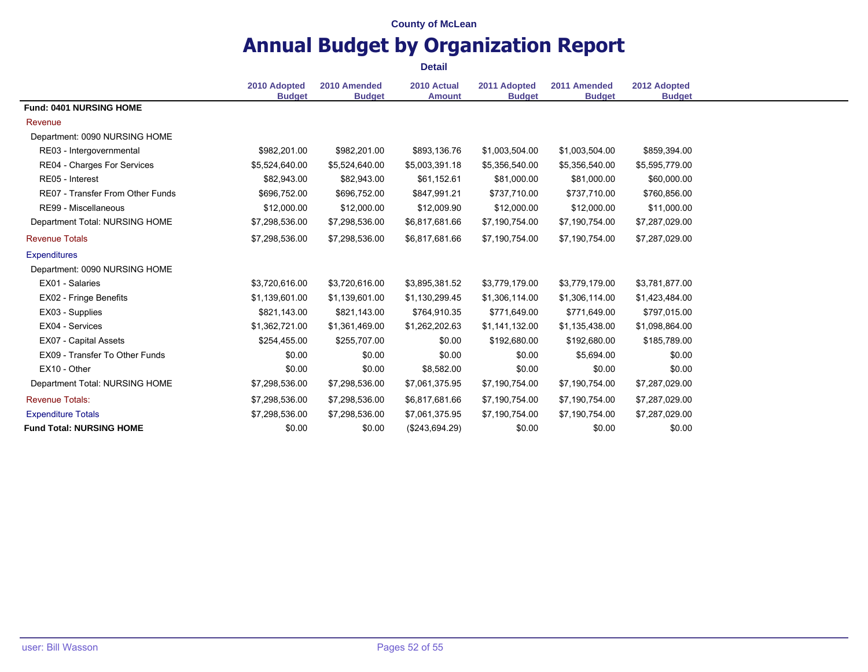|                                  | <b>Detail</b>                 |                               |                              |                               |                               |                               |
|----------------------------------|-------------------------------|-------------------------------|------------------------------|-------------------------------|-------------------------------|-------------------------------|
|                                  | 2010 Adopted<br><b>Budget</b> | 2010 Amended<br><b>Budget</b> | 2010 Actual<br><b>Amount</b> | 2011 Adopted<br><b>Budget</b> | 2011 Amended<br><b>Budget</b> | 2012 Adopted<br><b>Budget</b> |
| Fund: 0401 NURSING HOME          |                               |                               |                              |                               |                               |                               |
| Revenue                          |                               |                               |                              |                               |                               |                               |
| Department: 0090 NURSING HOME    |                               |                               |                              |                               |                               |                               |
| RE03 - Intergovernmental         | \$982,201.00                  | \$982,201.00                  | \$893,136.76                 | \$1,003,504.00                | \$1,003,504.00                | \$859,394.00                  |
| RE04 - Charges For Services      | \$5,524,640.00                | \$5,524,640.00                | \$5,003,391.18               | \$5,356,540.00                | \$5,356,540.00                | \$5,595,779.00                |
| RE05 - Interest                  | \$82,943.00                   | \$82,943.00                   | \$61,152.61                  | \$81,000.00                   | \$81,000.00                   | \$60,000.00                   |
| RE07 - Transfer From Other Funds | \$696,752.00                  | \$696,752.00                  | \$847,991.21                 | \$737,710.00                  | \$737,710.00                  | \$760,856.00                  |
| RE99 - Miscellaneous             | \$12,000.00                   | \$12,000.00                   | \$12,009.90                  | \$12,000.00                   | \$12,000.00                   | \$11,000.00                   |
| Department Total: NURSING HOME   | \$7,298,536.00                | \$7,298,536.00                | \$6,817,681.66               | \$7,190,754.00                | \$7,190,754.00                | \$7,287,029.00                |
| <b>Revenue Totals</b>            | \$7,298,536.00                | \$7,298,536.00                | \$6,817,681.66               | \$7,190,754.00                | \$7,190,754.00                | \$7,287,029.00                |
| <b>Expenditures</b>              |                               |                               |                              |                               |                               |                               |
| Department: 0090 NURSING HOME    |                               |                               |                              |                               |                               |                               |
| EX01 - Salaries                  | \$3,720,616.00                | \$3,720,616.00                | \$3,895,381.52               | \$3,779,179.00                | \$3,779,179.00                | \$3,781,877.00                |
| EX02 - Fringe Benefits           | \$1,139,601.00                | \$1,139,601.00                | \$1,130,299.45               | \$1,306,114.00                | \$1,306,114.00                | \$1,423,484.00                |
| EX03 - Supplies                  | \$821,143.00                  | \$821,143.00                  | \$764,910.35                 | \$771,649.00                  | \$771,649.00                  | \$797,015.00                  |
| EX04 - Services                  | \$1,362,721.00                | \$1,361,469.00                | \$1,262,202.63               | \$1,141,132.00                | \$1,135,438.00                | \$1,098,864.00                |
| EX07 - Capital Assets            | \$254,455.00                  | \$255,707.00                  | \$0.00                       | \$192,680.00                  | \$192,680.00                  | \$185,789.00                  |
| EX09 - Transfer To Other Funds   | \$0.00                        | \$0.00                        | \$0.00                       | \$0.00                        | \$5,694.00                    | \$0.00                        |
| EX10 - Other                     | \$0.00                        | \$0.00                        | \$8,582.00                   | \$0.00                        | \$0.00                        | \$0.00                        |
| Department Total: NURSING HOME   | \$7,298,536.00                | \$7,298,536.00                | \$7,061,375.95               | \$7,190,754.00                | \$7,190,754.00                | \$7,287,029.00                |
| <b>Revenue Totals:</b>           | \$7,298,536.00                | \$7,298,536.00                | \$6,817,681.66               | \$7,190,754.00                | \$7,190,754.00                | \$7,287,029.00                |
| <b>Expenditure Totals</b>        | \$7,298,536.00                | \$7,298,536.00                | \$7,061,375.95               | \$7,190,754.00                | \$7,190,754.00                | \$7,287,029.00                |
| <b>Fund Total: NURSING HOME</b>  | \$0.00                        | \$0.00                        | (\$243,694.29)               | \$0.00                        | \$0.00                        | \$0.00                        |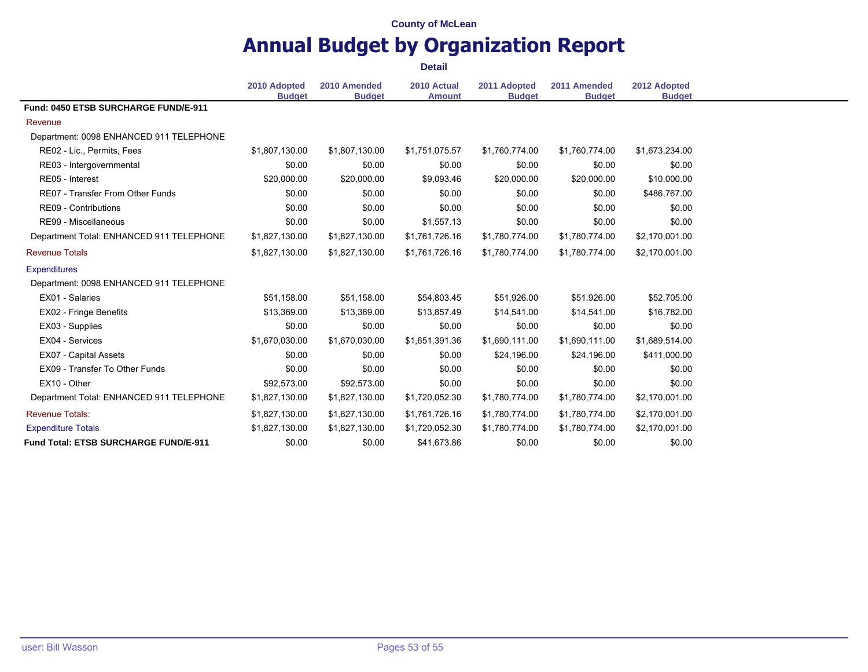|                                              | <b>Detail</b>                 |                               |                              |                               |                               |                               |
|----------------------------------------------|-------------------------------|-------------------------------|------------------------------|-------------------------------|-------------------------------|-------------------------------|
|                                              | 2010 Adopted<br><b>Budget</b> | 2010 Amended<br><b>Budget</b> | 2010 Actual<br><b>Amount</b> | 2011 Adopted<br><b>Budget</b> | 2011 Amended<br><b>Budget</b> | 2012 Adopted<br><b>Budget</b> |
| Fund: 0450 ETSB SURCHARGE FUND/E-911         |                               |                               |                              |                               |                               |                               |
| Revenue                                      |                               |                               |                              |                               |                               |                               |
| Department: 0098 ENHANCED 911 TELEPHONE      |                               |                               |                              |                               |                               |                               |
| RE02 - Lic., Permits, Fees                   | \$1,807,130.00                | \$1,807,130.00                | \$1,751,075.57               | \$1,760,774.00                | \$1,760,774.00                | \$1,673,234.00                |
| RE03 - Intergovernmental                     | \$0.00                        | \$0.00                        | \$0.00                       | \$0.00                        | \$0.00                        | \$0.00                        |
| RE05 - Interest                              | \$20,000.00                   | \$20,000.00                   | \$9,093.46                   | \$20,000.00                   | \$20,000.00                   | \$10,000.00                   |
| RE07 - Transfer From Other Funds             | \$0.00                        | \$0.00                        | \$0.00                       | \$0.00                        | \$0.00                        | \$486,767.00                  |
| RE09 - Contributions                         | \$0.00                        | \$0.00                        | \$0.00                       | \$0.00                        | \$0.00                        | \$0.00                        |
| RE99 - Miscellaneous                         | \$0.00                        | \$0.00                        | \$1,557.13                   | \$0.00                        | \$0.00                        | \$0.00                        |
| Department Total: ENHANCED 911 TELEPHONE     | \$1,827,130.00                | \$1,827,130.00                | \$1,761,726.16               | \$1,780,774.00                | \$1,780,774.00                | \$2,170,001.00                |
| <b>Revenue Totals</b>                        | \$1,827,130.00                | \$1,827,130.00                | \$1,761,726.16               | \$1,780,774.00                | \$1,780,774.00                | \$2,170,001.00                |
| <b>Expenditures</b>                          |                               |                               |                              |                               |                               |                               |
| Department: 0098 ENHANCED 911 TELEPHONE      |                               |                               |                              |                               |                               |                               |
| EX01 - Salaries                              | \$51,158.00                   | \$51,158.00                   | \$54,803.45                  | \$51,926.00                   | \$51,926.00                   | \$52,705.00                   |
| EX02 - Fringe Benefits                       | \$13,369.00                   | \$13,369.00                   | \$13,857.49                  | \$14,541.00                   | \$14,541.00                   | \$16,782.00                   |
| EX03 - Supplies                              | \$0.00                        | \$0.00                        | \$0.00                       | \$0.00                        | \$0.00                        | \$0.00                        |
| EX04 - Services                              | \$1,670,030.00                | \$1,670,030.00                | \$1,651,391.36               | \$1,690,111.00                | \$1,690,111.00                | \$1,689,514.00                |
| EX07 - Capital Assets                        | \$0.00                        | \$0.00                        | \$0.00                       | \$24,196.00                   | \$24,196.00                   | \$411,000.00                  |
| EX09 - Transfer To Other Funds               | \$0.00                        | \$0.00                        | \$0.00                       | \$0.00                        | \$0.00                        | \$0.00                        |
| EX10 - Other                                 | \$92,573.00                   | \$92,573.00                   | \$0.00                       | \$0.00                        | \$0.00                        | \$0.00                        |
| Department Total: ENHANCED 911 TELEPHONE     | \$1,827,130.00                | \$1,827,130.00                | \$1,720,052.30               | \$1,780,774.00                | \$1,780,774.00                | \$2,170,001.00                |
| <b>Revenue Totals:</b>                       | \$1,827,130.00                | \$1,827,130.00                | \$1,761,726.16               | \$1,780,774.00                | \$1,780,774.00                | \$2,170,001.00                |
| <b>Expenditure Totals</b>                    | \$1,827,130.00                | \$1,827,130.00                | \$1,720,052.30               | \$1,780,774.00                | \$1,780,774.00                | \$2,170,001.00                |
| <b>Fund Total: ETSB SURCHARGE FUND/E-911</b> | \$0.00                        | \$0.00                        | \$41,673.86                  | \$0.00                        | \$0.00                        | \$0.00                        |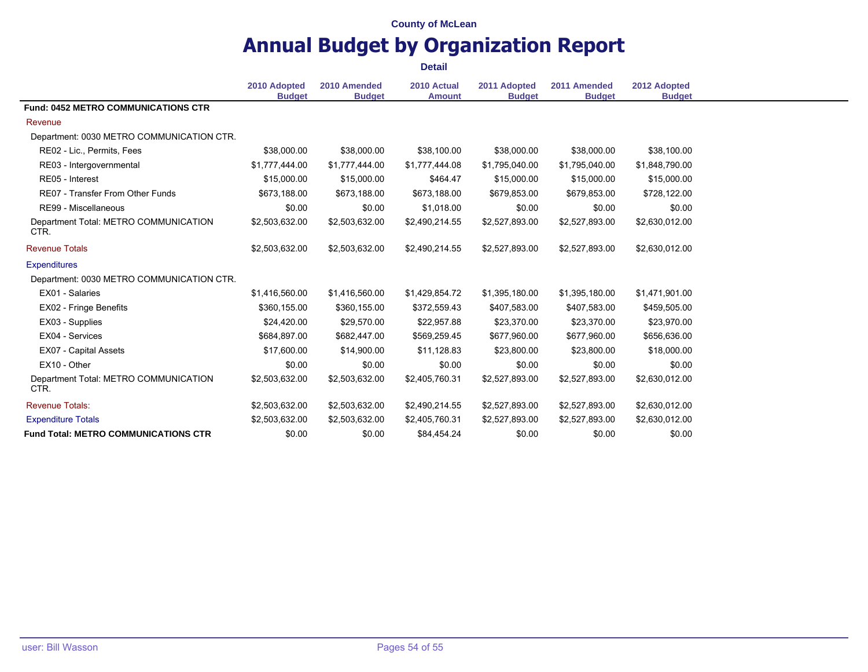|                                               | <b>Detail</b>                 |                               |                              |                               |                               |                               |
|-----------------------------------------------|-------------------------------|-------------------------------|------------------------------|-------------------------------|-------------------------------|-------------------------------|
|                                               | 2010 Adopted<br><b>Budget</b> | 2010 Amended<br><b>Budget</b> | 2010 Actual<br><b>Amount</b> | 2011 Adopted<br><b>Budget</b> | 2011 Amended<br><b>Budget</b> | 2012 Adopted<br><b>Budget</b> |
| <b>Fund: 0452 METRO COMMUNICATIONS CTR</b>    |                               |                               |                              |                               |                               |                               |
| Revenue                                       |                               |                               |                              |                               |                               |                               |
| Department: 0030 METRO COMMUNICATION CTR.     |                               |                               |                              |                               |                               |                               |
| RE02 - Lic., Permits, Fees                    | \$38,000.00                   | \$38,000.00                   | \$38,100.00                  | \$38,000.00                   | \$38,000.00                   | \$38,100.00                   |
| RE03 - Intergovernmental                      | \$1,777,444.00                | \$1,777,444.00                | \$1,777,444.08               | \$1,795,040.00                | \$1,795,040.00                | \$1,848,790.00                |
| RE05 - Interest                               | \$15,000.00                   | \$15,000.00                   | \$464.47                     | \$15,000.00                   | \$15,000.00                   | \$15,000.00                   |
| RE07 - Transfer From Other Funds              | \$673,188.00                  | \$673,188.00                  | \$673,188.00                 | \$679,853.00                  | \$679,853.00                  | \$728,122.00                  |
| RE99 - Miscellaneous                          | \$0.00                        | \$0.00                        | \$1,018.00                   | \$0.00                        | \$0.00                        | \$0.00                        |
| Department Total: METRO COMMUNICATION<br>CTR. | \$2,503,632.00                | \$2,503,632.00                | \$2,490,214.55               | \$2,527,893.00                | \$2,527,893.00                | \$2,630,012.00                |
| <b>Revenue Totals</b>                         | \$2,503,632.00                | \$2,503,632.00                | \$2,490,214.55               | \$2,527,893.00                | \$2,527,893.00                | \$2,630,012.00                |
| <b>Expenditures</b>                           |                               |                               |                              |                               |                               |                               |
| Department: 0030 METRO COMMUNICATION CTR.     |                               |                               |                              |                               |                               |                               |
| EX01 - Salaries                               | \$1,416,560.00                | \$1,416,560.00                | \$1,429,854.72               | \$1,395,180.00                | \$1,395,180.00                | \$1,471,901.00                |
| EX02 - Fringe Benefits                        | \$360,155.00                  | \$360,155.00                  | \$372,559.43                 | \$407,583.00                  | \$407,583.00                  | \$459,505.00                  |
| EX03 - Supplies                               | \$24,420.00                   | \$29,570.00                   | \$22,957.88                  | \$23,370.00                   | \$23,370.00                   | \$23,970.00                   |
| EX04 - Services                               | \$684,897.00                  | \$682,447.00                  | \$569,259.45                 | \$677,960.00                  | \$677,960.00                  | \$656,636.00                  |
| EX07 - Capital Assets                         | \$17,600.00                   | \$14,900.00                   | \$11,128.83                  | \$23,800.00                   | \$23,800.00                   | \$18,000.00                   |
| EX10 - Other                                  | \$0.00                        | \$0.00                        | \$0.00                       | \$0.00                        | \$0.00                        | \$0.00                        |
| Department Total: METRO COMMUNICATION<br>CTR. | \$2,503,632.00                | \$2,503,632.00                | \$2,405,760.31               | \$2,527,893.00                | \$2,527,893.00                | \$2,630,012.00                |
| <b>Revenue Totals:</b>                        | \$2,503,632.00                | \$2,503,632.00                | \$2,490,214.55               | \$2,527,893.00                | \$2,527,893.00                | \$2,630,012.00                |
| <b>Expenditure Totals</b>                     | \$2,503,632.00                | \$2,503,632.00                | \$2,405,760.31               | \$2,527,893.00                | \$2,527,893.00                | \$2,630,012.00                |
| <b>Fund Total: METRO COMMUNICATIONS CTR</b>   | \$0.00                        | \$0.00                        | \$84,454.24                  | \$0.00                        | \$0.00                        | \$0.00                        |
|                                               |                               |                               |                              |                               |                               |                               |